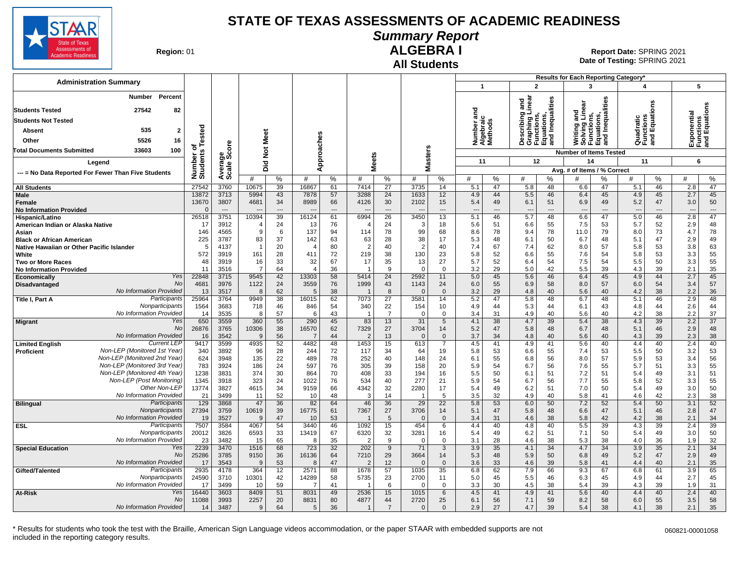

**Summary Report**

**Region: 01** 

#### **All Students ALGEBRA I**

**Date of Testing:**  SPRING 2021 01 **Report Date:** SPRING 2021

|                                                                              |                            |                                |                                |                   |                |                   |                                |                                      |                                          |                   |                                    |                            |                                                                       |                   | Results for Each Reporting Category*                      |                   |                                        |                            |                              |                                           |
|------------------------------------------------------------------------------|----------------------------|--------------------------------|--------------------------------|-------------------|----------------|-------------------|--------------------------------|--------------------------------------|------------------------------------------|-------------------|------------------------------------|----------------------------|-----------------------------------------------------------------------|-------------------|-----------------------------------------------------------|-------------------|----------------------------------------|----------------------------|------------------------------|-------------------------------------------|
| <b>Administration Summary</b>                                                |                            |                                |                                |                   |                |                   |                                |                                      |                                          |                   | $\mathbf{1}$                       |                            | $\overline{2}$                                                        |                   | 3                                                         |                   | $\overline{\mathbf{4}}$                |                            |                              | 5                                         |
| Percent<br>Number<br>27542<br>82<br><b>Students Tested</b>                   |                            |                                |                                |                   |                |                   |                                |                                      |                                          |                   |                                    |                            | inear<br>ъ<br>ā                                                       | Inequalities      | Writing and<br>Solving Linear<br>Functions,<br>Equations, | Inequalities      |                                        | δű                         |                              | Exponential<br>Functions<br>and Equations |
| <b>Students Not Tested</b>                                                   |                            |                                |                                |                   |                |                   |                                |                                      |                                          |                   |                                    |                            |                                                                       |                   |                                                           |                   |                                        |                            |                              |                                           |
| 535<br>$\overline{2}$<br>Absent                                              | ested                      |                                |                                |                   |                |                   |                                |                                      |                                          |                   | Number and<br>Algebraic<br>Methods |                            | Describing<br>Graphing Li<br>Functions,<br>Equations,<br>and Inequall |                   |                                                           |                   | Quadratic<br>Functions<br>and Equatio  |                            |                              |                                           |
| 5526<br>Other<br>16                                                          |                            |                                | Meet                           |                   |                |                   |                                |                                      |                                          |                   |                                    |                            |                                                                       |                   |                                                           | 을 줄               |                                        |                            |                              |                                           |
| 100<br><b>Total Documents Submitted</b><br>33603                             | ۴<br>ኄ                     |                                | $\breve{\mathbf{z}}$           |                   |                |                   |                                |                                      | 'n                                       |                   |                                    |                            |                                                                       |                   | <b>Number of Items Tested</b>                             |                   |                                        |                            |                              |                                           |
| Legend                                                                       | Number of<br>Students      | Average<br>Scale Score         |                                |                   |                | Approaches        |                                | <b>Meets</b>                         | aster:                                   |                   | 11                                 |                            |                                                                       | 12                | 14                                                        |                   | 11                                     |                            |                              | 6                                         |
|                                                                              |                            |                                | Did                            |                   |                |                   |                                |                                      | ż                                        |                   |                                    |                            |                                                                       |                   | Avg. # of Items / % Correct                               |                   |                                        |                            |                              |                                           |
| --- = No Data Reported For Fewer Than Five Students                          |                            |                                | #                              | %                 | #              | %                 | #                              | %                                    | #                                        | %                 | #                                  | %                          | #                                                                     | $\%$              | #                                                         | ℅                 | #                                      | %                          | #                            | %                                         |
| <b>All Students</b>                                                          | 27542                      | 3760                           | 10675                          | 39                | 16867          | 61                | 7414                           | 27                                   | 3735                                     | 14                | 5.1                                | 47                         | 5.8                                                                   | 48                | 6.6                                                       | 47                | 5.1                                    | 46                         | 2.8                          | 47                                        |
| Male<br>Female<br><b>No Information Provided</b>                             | 13872<br>13670<br>$\Omega$ | 3713<br>3807<br>$\overline{a}$ | 5994<br>4681<br>$\overline{a}$ | 43<br>34<br>$---$ | 7878<br>8989   | 57<br>66<br>$---$ | 3288<br>4126<br>$---$          | 24<br>30<br>$\overline{\phantom{a}}$ | 1633<br>2102<br>$\overline{\phantom{a}}$ | 12<br>15<br>$---$ | 4.9<br>5.4<br>$\overline{a}$       | 44<br>49<br>$\overline{a}$ | 5.5<br>6.1<br>$\overline{\phantom{a}}$                                | 46<br>51<br>$---$ | 6.4<br>6.9<br>$\overline{\phantom{a}}$                    | 45<br>49<br>$---$ | 4.9<br>5.2<br>$\overline{\phantom{a}}$ | 45<br>47<br>$\overline{a}$ | 2.7<br>3.0<br>$\overline{a}$ | 45<br>50<br>$\sim$                        |
| Hispanic/Latino                                                              | 26518                      | 3751                           | 10394                          | 39                | 16124          | 61                | 6994                           | 26                                   | 3450                                     | 13                | 5.1                                | 46                         | 5.7                                                                   | 48                | 6.6                                                       | 47                | 5.0                                    | 46                         | 2.8                          | 47                                        |
| American Indian or Alaska Native                                             | 17<br>146                  | 3912<br>4565                   | $\overline{\phantom{a}}$<br>9  | 24<br>6           | 13<br>137      | 76<br>94          | $\overline{4}$<br>114          | 24<br>78                             | 3<br>99                                  | 18<br>68          | 5.6<br>8.6                         | 51<br>78                   | 6.6<br>9.4                                                            | 55<br>78          | 7.5<br>11.0                                               | 53<br>79          | 5.7<br>8.0                             | 52<br>73                   | 2.9<br>4.7                   | 48<br>78                                  |
| Asian<br><b>Black or African American</b>                                    | 225                        | 3787                           | 83                             | 37                | 142            | 63                | 63                             | 28                                   | 38                                       | 17                | 5.3                                | 48                         | 6.1                                                                   | 50                | 6.7                                                       | 48                | 5.1                                    | 47                         | 2.9                          | 49                                        |
| Native Hawaiian or Other Pacific Islander                                    | 5                          | 4137                           | $\overline{1}$                 | 20                | $\overline{4}$ | 80                | $\overline{2}$                 | 40                                   | 2                                        | 40                | 7.4                                | 67                         | 7.4                                                                   | 62                | 8.0                                                       | 57                | 5.8                                    | 53                         | 3.8                          | 63                                        |
| White                                                                        | 572                        | 3919                           | 161                            | 28                | 411            | 72                | 219                            | 38                                   | 130                                      | 23                | 5.8                                | 52                         | 6.6                                                                   | 55                | 7.6                                                       | 54                | 5.8                                    | 53                         | 3.3                          | 55                                        |
| <b>Two or More Races</b>                                                     | 48                         | 3919                           | 16                             | 33                | 32             | 67                | 17                             | 35                                   | 13                                       | 27                | 5.7                                | 52                         | 6.4                                                                   | 54                | 7.5                                                       | 54                | 5.5                                    | 50                         | 3.3                          | 55                                        |
| <b>No Information Provided</b><br>Yes<br><b>Economically</b>                 | 11<br>22848                | 3516<br>3715                   | $\overline{7}$<br>9545         | 64<br>42          | Δ<br>13303     | 36<br>58          | $\overline{1}$<br>5414         | 9<br>24                              | $\Omega$<br>2592                         | $\Omega$<br>11    | 3.2<br>5.0                         | 29<br>45                   | 5.0<br>5.6                                                            | 42<br>46          | 5.5<br>6.4                                                | 39<br>45          | 4.3<br>4.9                             | 39<br>44                   | 2.1<br>2.7                   | 35<br>45                                  |
| No<br>Disadvantaged                                                          | 4681                       | 3976                           | 1122                           | 24                | 3559           | 76                | 1999                           | 43                                   | 1143                                     | 24                | 6.0                                | 55                         | 6.9                                                                   | 58                | 8.0                                                       | 57                | 6.0                                    | 54                         | 3.4                          | 57                                        |
| No Information Provided                                                      | 13                         | 3517                           | 8                              | 62                | 5              | 38                | $\overline{\mathbf{1}}$        | 8                                    | $\Omega$                                 | $\mathbf{0}$      | 3.2                                | 29                         | 4.8                                                                   | 40                | 5.6                                                       | 40                | 4.2                                    | 38                         | 2.2                          | 36                                        |
| Participants<br>Title I, Part A                                              | 25964                      | 3764                           | 9949                           | 38                | 16015          | 62                | 7073                           | 27                                   | 3581                                     | 14                | 5.2                                | 47                         | 5.8                                                                   | 48                | 6.7                                                       | 48                | 5.1                                    | 46                         | 2.9                          | 48                                        |
| Nonparticipants<br>No Information Provided                                   | 1564                       | 3683                           | 718                            | 46                | 846            | 54                | 340<br>$\overline{\mathbf{1}}$ | 22<br>$\overline{7}$                 | 154                                      | 10                | 4.9                                | 44                         | 5.3                                                                   | 44                | 6.1                                                       | 43                | 4.8                                    | 44                         | 2.6                          | 44                                        |
| Yes<br><b>Migrant</b>                                                        | 14<br>650                  | 3535<br>3559                   | 8<br>360                       | 57<br>55          | 6<br>290       | 43<br>45          | 83                             | 13                                   | $\Omega$<br>31                           | $\mathbf 0$<br>5  | 3.4<br>4.1                         | 31<br>38                   | 4.9<br>4.7                                                            | 40<br>39          | 5.6<br>5.4                                                | 40<br>38          | 4.2<br>4.3                             | 38<br>39                   | 2.2<br>2.2                   | 37<br>37                                  |
| No                                                                           | 26876                      | 3765                           | 10306                          | 38                | 16570          | 62                | 7329                           | 27                                   | 3704                                     | 14                | 5.2                                | 47                         | 5.8                                                                   | 48                | 6.7                                                       | 48                | 5.1                                    | 46                         | 2.9                          | 48                                        |
| No Information Provided                                                      | 16                         | 3542                           | 9                              | 56                | -7             | 44                | $\overline{2}$                 | 13                                   | $\Omega$                                 | $\mathbf{0}$      | 3.7                                | 34                         | 4.8                                                                   | 40                | 5.6                                                       | 40                | 4.3                                    | 39                         | 2.3                          | 38                                        |
| <b>Current LEF</b><br><b>Limited English</b><br>Non-LEP (Monitored 1st Year) | 9417                       | 3599                           | 4935                           | 52                | 4482           | 48                | 1453                           | 15                                   | 613                                      | $\overline{7}$    | 4.5                                | 41                         | 4.9                                                                   | 41                | 5.6                                                       | 40                | 4.4                                    | 40                         | 2.4                          | 40                                        |
| <b>Proficient</b><br>Non-LEP (Monitored 2nd Year                             | 340<br>624                 | 3892<br>3948                   | 96<br>135                      | 28<br>22          | 244<br>489     | 72<br>78          | 117<br>252                     | 34<br>40                             | 64<br>148                                | 19<br>24          | 5.8<br>6.1                         | 53<br>55                   | 6.6<br>6.8                                                            | 55<br>56          | 7.4<br>8.0                                                | 53<br>57          | 5.5<br>5.9                             | 50<br>53                   | 3.2<br>3.4                   | 53<br>56                                  |
| Non-LEP (Monitored 3rd Year)                                                 | 783                        | 3924                           | 186                            | 24                | 597            | 76                | 305                            | 39                                   | 158                                      | 20                | 5.9                                | 54                         | 6.7                                                                   | 56                | 7.6                                                       | 55                | 5.7                                    | 51                         | 3.3                          | 55                                        |
| Non-LEP (Monitored 4th Year)                                                 | 1238                       | 3831                           | 374                            | 30                | 864            | 70                | 408                            | 33                                   | 194                                      | 16                | 5.5                                | 50                         | 6.1                                                                   | 51                | 7.2                                                       | 51                | 5.4                                    | 49                         | 3.1                          | 51                                        |
| Non-LEP (Post Monitoring)                                                    | 1345                       | 3918                           | 323                            | 24                | 1022           | 76                | 534                            | 40                                   | 277                                      | 21                | 5.9                                | 54                         | 6.7                                                                   | 56                | 7.7                                                       | 55                | 5.8                                    | 52                         | 3.3                          | 55                                        |
| Other Non-LEP<br>No Information Provided                                     | 13774<br>21                | 3827<br>3499                   | 4615<br>11                     | 34<br>52          | 9159<br>10     | 66<br>48          | 4342<br>3                      | 32<br>14                             | 2280                                     | 17<br>5           | 5.4<br>3.5                         | 49<br>32                   | 6.2<br>4.9                                                            | 51<br>40          | 7.0<br>5.8                                                | 50<br>41          | 5.4<br>4.6                             | 49<br>42                   | 3.0<br>2.3                   | 50<br>38                                  |
| Participants<br><b>Bilingual</b>                                             | 129                        | 3868                           | 47                             | 36                | 82             | 64                | 46                             | 36                                   | $\overline{29}$                          | $\overline{22}$   | 5.8                                | 53                         | 6.0                                                                   | 50                | 7.2                                                       | 52                | 5.4                                    | 50                         | 3.1                          | 52                                        |
| Nonparticipants                                                              | 27394                      | 3759                           | 10619                          | 39                | 16775          | 61                | 7367                           | 27                                   | 3706                                     | 14                | 5.1                                | 47                         | 5.8                                                                   | 48                | 6.6                                                       | 47                | 5.1                                    | 46                         | 2.8                          | 47                                        |
| No Information Provided                                                      | 19                         | 3527                           | 9                              | 47                | 10             | 53                |                                | 5                                    | $\Omega$                                 | $\mathbf{0}$      | 3.4                                | 31                         | 4.6                                                                   | 38                | 5.8                                                       | 42                | 4.2                                    | 38                         | 2.1                          | 34                                        |
| <b>ESL</b><br>Participants<br>Nonparticipants                                | 7507                       | 3584                           | 4067                           | 54                | 3440           | 46                | 1092                           | 15                                   | 454                                      | 6                 | 4.4                                | 40                         | 4.8                                                                   | 40                | 5.5                                                       | 39                | 4.3                                    | 39                         | 2.4                          | 39                                        |
| No Information Provided                                                      | 20012<br>23                | 3826<br>3482                   | 6593<br>15                     | 33<br>65          | 13419<br>8     | 67<br>35          | 6320<br>$\mathcal{P}$          | 32<br>9                              | 3281<br>$\Omega$                         | 16<br>$\Omega$    | 5.4<br>3.1                         | 49<br>28                   | 6.2<br>4.6                                                            | 51<br>38          | 7.1<br>5.3                                                | 50<br>38          | 5.4<br>4.0                             | 49<br>36                   | 3.0<br>1.9                   | 50<br>32                                  |
| Yes<br><b>Special Education</b>                                              | 2239                       | 3470                           | 1516                           | 68                | 723            | 32                | 202                            | 9                                    | 71                                       | 3                 | 3.9                                | 35                         | 4.1                                                                   | 34                | 4.7                                                       | 34                | 3.9                                    | 35                         | 2.1                          | 34                                        |
| No                                                                           | 25286                      | 3785                           | 9150                           | 36                | 16136          | 64                | 7210                           | 29                                   | 3664                                     | 14                | 5.3                                | 48                         | 5.9                                                                   | 50                | 6.8                                                       | 49                | 5.2                                    | 47                         | 2.9                          | 49                                        |
| No Information Provided                                                      | 17                         | 3543                           | $\mathbf{Q}$                   | 53                | 8              | 47                | $\mathcal{P}$                  | 12                                   | $\Omega$                                 | $\Omega$          | 3.6                                | 33                         | 4.6                                                                   | 39                | 5.8                                                       | 41                | 4.4                                    | 40                         | 2.1                          | 35                                        |
| Participants<br>Gifted/Talented<br>Nonparticipants                           | 2935                       | 4178                           | 364                            | 12                | 2571           | 88                | 1678                           | 57                                   | 1035                                     | 35                | 6.8                                | 62                         | 7.9                                                                   | 66                | 9.3                                                       | 67                | 6.8                                    | 61                         | 3.9                          | 65                                        |
| No Information Provided                                                      | 24590<br>17                | 3710<br>3499                   | 10301<br>10                    | 42<br>59          | 14289<br>7     | 58<br>41          | 5735                           | 23<br>6                              | 2700<br>$\Omega$                         | 11<br>$\Omega$    | 5.0<br>3.3                         | 45<br>30                   | 5.5<br>4.5                                                            | 46<br>38          | 6.3<br>5.4                                                | 45<br>39          | 4.9<br>4.3                             | 44<br>39                   | 2.7<br>1.9                   | 45<br>31                                  |
| Yes<br>At-Risk                                                               | 16440                      | 3603                           | 8409                           | 51                | 8031           | 49                | 2536                           | 15                                   | 1015                                     | 6                 | 4.5                                | 41                         | 4.9                                                                   | 41                | 5.6                                                       | 40                | 4.4                                    | 40                         | 2.4                          | 40                                        |
| No                                                                           | 11088                      | 3993                           | 2257                           | 20                | 8831           | 80                | 4877                           | 44                                   | 2720                                     | 25                | 6.1                                | 56                         | 7.1                                                                   | 59                | 8.2                                                       | 58                | 6.0                                    | 55                         | 3.5                          | 58                                        |
| No Information Provided                                                      | 14                         | 3487                           | $\mathbf{Q}$                   | 64                | 5              | 36                | $\overline{1}$                 | $\overline{7}$                       | $\Omega$                                 | $\Omega$          | 2.9                                | 27                         | 4.7                                                                   | 39                | 5.4                                                       | 38                | 4.1                                    | 38                         | 2.1                          | 35                                        |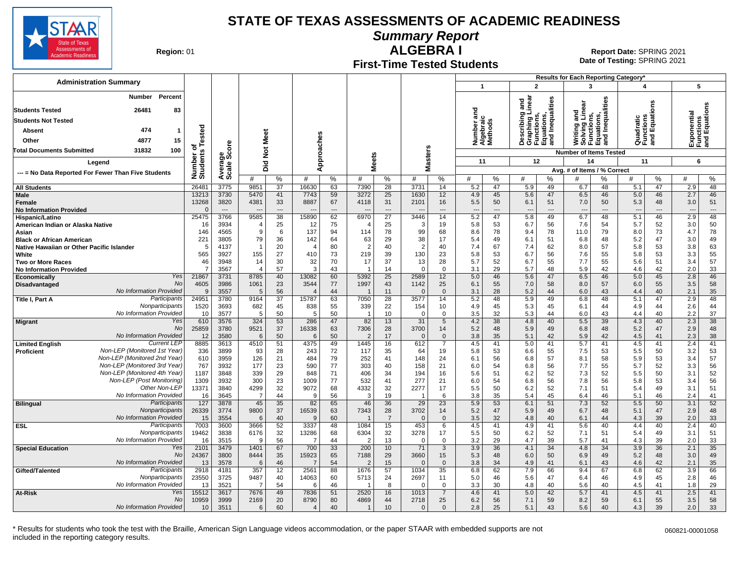

**Summary Report**

**Region: 01** 

#### **First-Time Tested Students ALGEBRA I** 01 **Report Date:** SPRING 2021

**Date of Testing:**  SPRING 2021

|                                                              |                              |                          |                         |                          |                |                |                               |                          |                  |                   |                               |                          |                                                                                   |          | Results for Each Reporting Category*                                          |          |            |                                      |            |                  |
|--------------------------------------------------------------|------------------------------|--------------------------|-------------------------|--------------------------|----------------|----------------|-------------------------------|--------------------------|------------------|-------------------|-------------------------------|--------------------------|-----------------------------------------------------------------------------------|----------|-------------------------------------------------------------------------------|----------|------------|--------------------------------------|------------|------------------|
| <b>Administration Summary</b>                                |                              |                          |                         |                          |                |                |                               |                          |                  |                   | $\mathbf{1}$                  |                          | $\overline{2}$                                                                    |          | 3                                                                             |          |            | 4                                    | 5          |                  |
| <b>Number</b><br>Percent                                     |                              |                          |                         |                          |                |                |                               |                          |                  |                   |                               |                          |                                                                                   |          |                                                                               |          |            |                                      |            |                  |
| 26481<br><b>Students Tested</b><br>83                        |                              |                          |                         |                          |                |                |                               |                          |                  |                   | ਠ                             |                          | Describing and<br>Graphing Linear<br>Functions,<br>Equations,<br>and Inequalities |          | Writing and<br>Solving Linear<br>Functions,<br>Equations,<br>and Inequalities |          |            | gns                                  |            |                  |
| <b>Students Not Tested</b>                                   |                              |                          |                         |                          |                |                |                               |                          |                  |                   | ي ڇ                           |                          |                                                                                   |          |                                                                               |          |            | Quadratic<br>Functions<br>and Equati | ponential  | quation          |
| 474<br>Absent                                                |                              |                          |                         |                          |                |                |                               |                          |                  |                   | Number<br>Algebrai<br>Methods |                          |                                                                                   |          |                                                                               |          |            |                                      |            | ctions<br>Equati |
|                                                              |                              |                          | Meet                    |                          |                |                |                               |                          |                  |                   |                               |                          |                                                                                   |          |                                                                               |          |            |                                      |            | Ξτ               |
| 4877<br>15<br>Other                                          |                              |                          |                         |                          |                |                |                               |                          |                  |                   |                               |                          |                                                                                   |          |                                                                               |          |            |                                      | 꼬달 뜻       |                  |
| 31832<br>100<br><b>Total Documents Submitted</b>             |                              | ge<br>Score              | $\breve{\mathbf{z}}$    |                          |                |                |                               |                          |                  |                   |                               |                          |                                                                                   |          | <b>Number of Items Tested</b>                                                 |          |            |                                      |            |                  |
| Leaend                                                       | Number of<br>Students Tested |                          | Did                     |                          |                | Approaches     | <b>Meets</b>                  |                          |                  | <b>Masters</b>    | 11                            |                          | 12                                                                                |          | 14                                                                            |          | 11         |                                      | 6          |                  |
| --- = No Data Reported For Fewer Than Five Students          |                              | Averag<br>Scale          |                         |                          |                |                |                               |                          |                  |                   |                               |                          |                                                                                   |          | Avg. # of Items / % Correct                                                   |          |            |                                      |            |                  |
|                                                              |                              |                          | #                       | %                        | #              | %              | #                             | %                        | #                | %                 | #                             | %                        | #                                                                                 | ℅        |                                                                               | %        |            | $\%$                                 | #          | $\%$             |
| <b>All Students</b>                                          | 26481                        | 3775                     | 9851                    | 37                       | 16630          | 63             | 7390                          | 28                       | 3731             | 14                | 5.2                           | 47                       | 5.9                                                                               | 49       | 6.7                                                                           | 48       | 5.1        | 47                                   | 2.9        | 48               |
| <b>Male</b><br>Female                                        | 13213<br>13268               | 3730<br>3820             | 5470<br>4381            | 41<br>33                 | 7743<br>8887   | 59<br>67       | 3272<br>4118                  | 25<br>31                 | 1630<br>2101     | 12<br>16          | 4.9<br>5.5                    | 45<br>50                 | 5.6<br>6.1                                                                        | 47<br>51 | 6.5<br>7.0                                                                    | 46<br>50 | 5.0<br>5.3 | 46<br>48                             | 2.7<br>3.0 | 46<br>51         |
| <b>No Information Provided</b>                               | $\Omega$                     | $\overline{\phantom{a}}$ |                         | $\overline{\phantom{a}}$ |                | $\overline{a}$ |                               | $\overline{\phantom{a}}$ |                  | $\overline{a}$    |                               | $\overline{\phantom{a}}$ | $\overline{\phantom{a}}$                                                          |          | $\overline{a}$                                                                | ---      |            | ---                                  |            | $---$            |
| Hispanic/Latino                                              | 25475                        | 3766                     | 9585                    | $\overline{38}$          | 15890          | 62             | 6970                          | $\overline{27}$          | 3446             | 14                | 5.2                           | 47                       | 5.8                                                                               | 49       | 6.7                                                                           | 48       | 5.1        | 46                                   | 2.9        | 48               |
| American Indian or Alaska Native                             | 16                           | 3934                     |                         | 25                       | 12             | 75             | $\overline{4}$                | 25                       | 3                | 19                | 5.8                           | 53                       | 6.7                                                                               | 56       | 7.6                                                                           | 54       | 5.7        | 52                                   | 3.0        | 50               |
| Asian                                                        | 146                          | 4565                     | <sub>9</sub>            | 6                        | 137            | 94             | 114                           | 78                       | 99               | 68                | 8.6                           | 78                       | 9.4                                                                               | 78       | 11.0                                                                          | 79       | 8.0        | 73                                   | 4.7        | 78               |
| <b>Black or African American</b>                             | 221                          | 3805                     | 79                      | 36                       | 142            | 64             | 63                            | 29                       | 38               | 17                | 5.4                           | 49                       | 6.1                                                                               | 51       | 6.8                                                                           | 48       | 5.2        | 47                                   | 3.0        | 49               |
| Native Hawaiian or Other Pacific Islander                    | 5                            | 4137                     | $\overline{\mathbf{1}}$ | 20                       | 4              | 80             | $\overline{2}$                | 40                       | 2                | 40                | 7.4                           | 67                       | 7.4                                                                               | 62       | 8.0                                                                           | 57       | 5.8        | 53                                   | 3.8        | 63               |
| White                                                        | 565                          | 3927<br>3948             | 155<br>14               | 27<br>30                 | 410            | 73<br>70       | 219<br>17                     | 39<br>37                 | 130<br>13        | 23<br>28          | 5.8<br>5.7                    | 53<br>52                 | 6.7<br>6.7                                                                        | 56<br>55 | 7.6                                                                           | 55<br>55 | 5.8<br>5.6 | 53<br>51                             | 3.3<br>3.4 | 55<br>57         |
| <b>Two or More Races</b><br><b>No Information Provided</b>   | 46<br>$\overline{7}$         | 3567                     | $\overline{4}$          | 57                       | 32<br>3        | 43             |                               | 14                       | $\Omega$         | $\Omega$          | 3.1                           | 29                       | 5.7                                                                               | 48       | 7.7<br>5.9                                                                    | 42       | 4.6        | 42                                   | 2.0        | 33               |
| Yes<br>Economically                                          | 21867                        | 3731                     | 8785                    | 40                       | 13082          | 60             | 5392                          | 25                       | 2589             | 12                | 5.0                           | 46                       | 5.6                                                                               | 47       | 6.5                                                                           | 46       | 5.0        | 45                                   | 2.8        | 46               |
| No<br>Disadvantaged                                          | 4605                         | 3986                     | 1061                    | 23                       | 3544           | 77             | 1997                          | 43                       | 1142             | 25                | 6.1                           | 55                       | 7.0                                                                               | 58       | 8.0                                                                           | 57       | 6.0        | 55                                   | 3.5        | 58               |
| No Information Provided                                      | 9                            | 3557                     | $\overline{5}$          | 56                       | $\overline{4}$ | 44             | $\overline{1}$                | 11                       | $\Omega$         | $\mathbf{0}$      | 3.1                           | 28                       | 5.2                                                                               | 44       | 6.0                                                                           | 43       | 4.4        | 40                                   | 2.1        | 35               |
| Participants<br>Title I, Part A                              | 24951                        | 3780                     | 9164                    | $\overline{37}$          | 15787          | 63             | 7050                          | 28                       | 3577             | 14                | 5.2                           | 48                       | 5.9                                                                               | 49       | 6.8                                                                           | 48       | 5.1        | 47                                   | 2.9        | 48               |
| Nonparticipants                                              | 1520                         | 3693                     | 682                     | 45                       | 838            | 55             | 339                           | 22                       | 154              | 10                | 4.9                           | 45                       | 5.3                                                                               | 45       | 6.1                                                                           | 44       | 4.9        | 44                                   | 2.6        | 44               |
| No Information Provided<br>Yes                               | 10<br>610                    | 3577<br>3576             | -5<br>324               | 50<br>53                 | 5<br>286       | 50<br>47       | $\overline{\mathbf{1}}$<br>82 | 10<br>13                 | $\Omega$<br>31   | $\Omega$<br>5     | 3.5<br>4.2                    | 32<br>38                 | 5.3<br>4.8                                                                        | 44<br>40 | 6.0<br>5.5                                                                    | 43<br>39 | 4.4<br>4.3 | 40<br>40                             | 2.2<br>2.3 | 37<br>38         |
| <b>Migrant</b><br><b>No</b>                                  | 25859                        | 3780                     | 9521                    | 37                       | 16338          | 63             | 7306                          | 28                       | 3700             | 14                | 5.2                           | 48                       | 5.9                                                                               | 49       | 6.8                                                                           | 48       | 5.2        | 47                                   | 2.9        | 48               |
| No Information Provided                                      | 12                           | 3580                     | 6                       | 50                       | 6              | 50             | -2                            | 17                       | $\Omega$         | $\mathbf 0$       | 3.8                           | 35                       | 5.1                                                                               | 42       | 5.9                                                                           | 42       | 4.5        | 41                                   | 2.3        | 38               |
| <b>Current LEP</b><br><b>Limited English</b>                 | 8885                         | 3613                     | 4510                    | 51                       | 4375           | 49             | 1445                          | 16                       | 612              | $\overline{7}$    | 4.5                           | 41                       | 5.0                                                                               | 41       | 5.7                                                                           | 41       | 4.5        | 41                                   | 2.4        | 41               |
| Non-LEP (Monitored 1st Year)<br>Proficient                   | 336                          | 3899                     | 93                      | 28                       | 243            | 72             | 117                           | 35                       | 64               | 19                | 5.8                           | 53                       | 6.6                                                                               | 55       | 7.5                                                                           | 53       | 5.5        | 50                                   | 3.2        | 53               |
| Non-LEP (Monitored 2nd Year)                                 | 610                          | 3959                     | 126                     | 21                       | 484            | 79             | 252                           | 41                       | 148              | 24                | 6.1                           | 56                       | 6.8                                                                               | 57       | 8.1                                                                           | 58       | 5.9        | 53                                   | 3.4        | 57               |
| Non-LEP (Monitored 3rd Year)<br>Non-LEP (Monitored 4th Year) | 767                          | 3932                     | 177                     | 23                       | 590            | 77             | 303                           | 40                       | 158              | 21                | 6.0                           | 54                       | 6.8                                                                               | 56       | 7.7                                                                           | 55       | 5.7        | 52                                   | 3.3        | 56               |
| Non-LEP (Post Monitoring)                                    | 1187<br>1309                 | 3848<br>3932             | 339<br>300              | 29<br>23                 | 848<br>1009    | 71<br>77       | 406<br>532                    | 34<br>41                 | 194<br>277       | 16<br>21          | 5.6                           | 51<br>54                 | 6.2                                                                               | 52       | 7.3<br>7.8                                                                    | 52<br>56 | 5.5        | 50<br>53                             | 3.1        | 52<br>56         |
| Other Non-LEP                                                | 13371                        | 3840                     | 4299                    | 32                       | 9072           | 68             | 4332                          | 32                       | 2277             | 17                | 6.0<br>5.5                    | 50                       | 6.8<br>6.2                                                                        | 56<br>52 | 7.1                                                                           | 51       | 5.8<br>5.4 | 49                                   | 3.4<br>3.1 | 51               |
| No Information Provided                                      | 16                           | 3645                     | $\overline{7}$          | 44                       | 9              | 56             | 3                             | 19                       |                  | 6                 | 3.8                           | 35                       | 5.4                                                                               | 45       | 6.4                                                                           | 46       | 5.1        | 46                                   | 2.4        | 41               |
| Participants<br><b>Bilingual</b>                             | 127                          | 3878                     | 45                      | 35                       | 82             | 65             | 46                            | 36                       | 29               | $\overline{23}$   | 5.9                           | 53                       | 6.1                                                                               | 51       | 7.3                                                                           | 52       | 5.5        | 50                                   | 3.1        | 52               |
| Nonparticipants                                              | 26339                        | 3774                     | 9800                    | 37                       | 16539          | 63             | 7343                          | 28                       | 3702             | 14                | 5.2                           | 47                       | 5.9                                                                               | 49       | 6.7                                                                           | 48       | 5.1        | 47                                   | 2.9        | 48               |
| No Information Provideo                                      | 15                           | 3554                     | 6                       | 40                       | 9              | 60             | - 1                           | $\overline{7}$           | $\Omega$         | $\mathbf{0}$      | 3.5                           | 32                       | 4.8                                                                               | 40       | 6.1                                                                           | 44       | 4.3        | 39                                   | 2.0        | 33               |
| Participants<br><b>ESL</b><br>Nonparticipants                | 7003                         | 3600                     | 3666                    | 52                       | 3337           | 48             | 1084                          | 15                       | 453              | 6                 | 4.5                           | 41                       | 4.9                                                                               | 41       | 5.6                                                                           | 40       | 4.4        | 40                                   | 2.4        | 40               |
| No Information Provideo                                      | 19462<br>16                  | 3838<br>3515             | 6176<br><sub>9</sub>    | 32<br>56                 | 13286<br>7     | 68<br>44       | 6304<br>-2                    | 32<br>13                 | 3278<br>$\Omega$ | 17<br>$\mathbf 0$ | 5.5<br>3.2                    | 50<br>29                 | 6.2<br>4.7                                                                        | 52<br>39 | 7.1<br>5.7                                                                    | 51<br>41 | 5.4<br>4.3 | 49<br>39                             | 3.1<br>2.0 | 51<br>33         |
| Yes<br><b>Special Education</b>                              | 2101                         | 3479                     | 1401                    | 67                       | 700            | 33             | 200                           | 10                       | 71               | 3                 | 3.9                           | 36                       | 4.1                                                                               | 34       | 4.8                                                                           | 34       | 3.9        | 36                                   | 2.1        | 35               |
| <b>No</b>                                                    | 24367                        | 3800                     | 8444                    | 35                       | 15923          | 65             | 7188                          | 29                       | 3660             | 15                | 5.3                           | 48                       | 6.0                                                                               | 50       | 6.9                                                                           | 49       | 5.2        | 48                                   | 3.0        | 49               |
| No Information Provided                                      | 13                           | 3578                     | 6                       | 46                       | $\overline{7}$ | 54             | $\overline{2}$                | 15                       | $\Omega$         | $\mathbf{0}$      | 3.8                           | 34                       | 4.9                                                                               | 41       | 6.1                                                                           | 43       | 4.6        | 42                                   | 2.1        | 35               |
| Participants<br>Gifted/Talented                              | 2918                         | 4181                     | 357                     | 12                       | 2561           | 88             | 1676                          | 57                       | 1034             | 35                | 6.8                           | 62                       | 7.9                                                                               | 66       | 9.4                                                                           | 67       | 6.8        | 62                                   | 3.9        | 66               |
| Nonparticipants                                              | 23550                        | 3725                     | 9487                    | 40                       | 14063          | 60             | 5713                          | 24                       | 2697             | 11                | 5.0                           | 46                       | 5.6                                                                               | 47       | 6.4                                                                           | 46       | 4.9        | 45                                   | 2.8        | 46               |
| No Information Provided                                      | 13                           | 3521                     | 7                       | 54                       | 6              | 46             | $\overline{\mathbf{1}}$       | 8                        | $\Omega$         | $\mathbf 0$       | 3.3                           | 30                       | 4.8                                                                               | 40       | 5.6                                                                           | 40       | 4.5        | 41                                   | 1.8        | 29               |
| At-Risk<br>Yes<br>No                                         | 15512<br>10959               | 3617<br>3999             | 7676<br>2169            | 49<br>20                 | 7836<br>8790   | 51<br>80       | 2520<br>4869                  | 16<br>44                 | 1013<br>2718     | 25                | 4.6<br>6.2                    | 41<br>56                 | 5.0<br>7.1                                                                        | 42<br>59 | 5.7<br>8.2                                                                    | 41<br>59 | 4.5<br>6.1 | 41<br>55                             | 2.5<br>3.5 | 41<br>58         |
| No Information Provided                                      | 10                           | 3511                     | 6                       | 60                       | $\overline{4}$ | 40             |                               | 10                       | $\Omega$         | $\Omega$          | 2.8                           | 25                       | 5.1                                                                               | 43       | 5.6                                                                           | 40       | 4.3        | 39                                   | 2.0        | 33               |
|                                                              |                              |                          |                         |                          |                |                |                               |                          |                  |                   |                               |                          |                                                                                   |          |                                                                               |          |            |                                      |            |                  |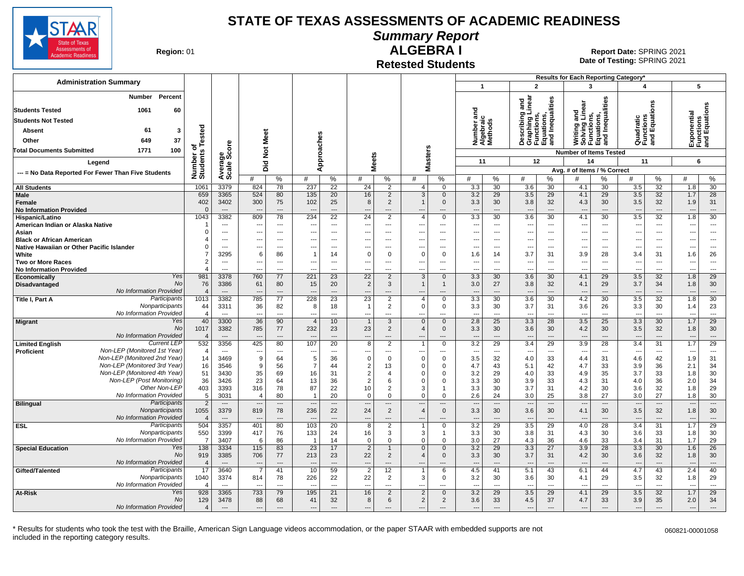

# **Summary Report**

**Region: 01** 

#### **Retested Students ALGEBRA I**

**Date of Testing:**  SPRING 2021 01 **Report Date:** SPRING 2021

|                                                                               |                                     |                                          |                                 |                          |                                        |                                            |                               |                                               |                                                      |                                            |                                        |                      |                                                                                                   |                       | Results for Each Reporting Category*                   |                                      |                                        |                                                  |                                           |                                |
|-------------------------------------------------------------------------------|-------------------------------------|------------------------------------------|---------------------------------|--------------------------|----------------------------------------|--------------------------------------------|-------------------------------|-----------------------------------------------|------------------------------------------------------|--------------------------------------------|----------------------------------------|----------------------|---------------------------------------------------------------------------------------------------|-----------------------|--------------------------------------------------------|--------------------------------------|----------------------------------------|--------------------------------------------------|-------------------------------------------|--------------------------------|
| <b>Administration Summary</b>                                                 |                                     |                                          |                                 |                          |                                        |                                            |                               |                                               |                                                      |                                            | $\mathbf{1}$                           |                      | $\overline{2}$                                                                                    |                       | $\mathbf{3}$                                           |                                      | $\boldsymbol{\Lambda}$                 |                                                  |                                           | 5                              |
| <b>Number</b><br>Percent                                                      |                                     |                                          |                                 |                          |                                        |                                            |                               |                                               |                                                      |                                            |                                        |                      | inear<br>and                                                                                      | Inequalities          |                                                        | Inequalities                         |                                        | ons                                              |                                           |                                |
| <b>Students Tested</b><br>1061<br>60                                          |                                     |                                          |                                 |                          |                                        |                                            |                               |                                               |                                                      |                                            | ᇃ                                      |                      |                                                                                                   |                       | and<br>Linear                                          |                                      |                                        |                                                  | Exponential<br>Functions<br>and Equations |                                |
| <b>Students Not Tested</b>                                                    |                                     |                                          |                                 |                          |                                        |                                            |                               |                                               |                                                      |                                            | 등                                      |                      |                                                                                                   |                       |                                                        |                                      |                                        |                                                  |                                           |                                |
| 61<br>$\overline{\mathbf{3}}$<br>Absent                                       |                                     |                                          |                                 |                          |                                        |                                            |                               |                                               |                                                      |                                            | Number an<br>Algebraic<br>Methods      |                      | )escribing a<br>anching Li<br>Describing<br>Graphing L<br>Functions,<br>Equations,<br>and Inequal |                       | Writing anc<br>Solving Lin<br>Functions,<br>Equations, |                                      |                                        | Quadratic<br>Functions<br>and Equatic            |                                           |                                |
| 37<br>Other<br>649                                                            |                                     |                                          |                                 | Meet                     |                                        |                                            |                               |                                               |                                                      |                                            |                                        |                      |                                                                                                   |                       |                                                        | 룹                                    |                                        |                                                  |                                           |                                |
| 100<br>1771                                                                   |                                     |                                          |                                 |                          |                                        |                                            |                               |                                               |                                                      |                                            |                                        |                      |                                                                                                   |                       |                                                        |                                      |                                        |                                                  |                                           |                                |
| <b>Total Documents Submitted</b>                                              | Number of<br>Students Tested        | Average<br>Scale Score                   | $\frac{5}{2}$                   |                          |                                        | Approaches                                 |                               |                                               | asters                                               |                                            |                                        |                      |                                                                                                   |                       | <b>Number of Items Tested</b>                          |                                      |                                        |                                                  |                                           |                                |
| Legend                                                                        |                                     |                                          | Did                             |                          |                                        |                                            |                               | <b>Meets</b>                                  |                                                      |                                            | 11                                     |                      | 12                                                                                                |                       | 14                                                     |                                      | 11                                     |                                                  |                                           | 6                              |
| --- = No Data Reported For Fewer Than Five Students                           |                                     |                                          |                                 |                          |                                        |                                            |                               |                                               | Σ                                                    |                                            |                                        |                      |                                                                                                   |                       | Avg. # of Items / % Correct                            |                                      |                                        |                                                  |                                           |                                |
|                                                                               |                                     |                                          |                                 | %                        | #                                      | %                                          | #                             | %                                             | #                                                    | %                                          | #                                      | %                    | #                                                                                                 | $\frac{0}{0}$         | #                                                      | %                                    | #                                      | %                                                | #                                         | %                              |
| <b>All Students</b>                                                           | 1061                                | 3379                                     | 824                             | 78                       | 237                                    | 22                                         | 24                            | $\overline{2}$                                | $\overline{4}$                                       | $\Omega$                                   | 3.3                                    | $\overline{30}$      | 3.6                                                                                               | 30                    | 4.1                                                    | 30                                   | 3.5                                    | $\overline{32}$                                  | 1.8                                       | 30                             |
| Male<br>Female<br><b>No Information Provided</b>                              | 659<br>402<br>$\Omega$              | 3365<br>3402<br>$\hspace{0.05cm} \ldots$ | 524<br>300                      | 80<br>75<br>---          | 135<br>102<br>$\overline{\phantom{a}}$ | 20<br>25<br>$\qquad \qquad \cdots$         | 16<br>8<br>---                | $\overline{2}$<br>2<br>$\qquad \qquad \cdots$ | 3                                                    | $\mathbf 0$<br>$\Omega$<br>---             | 3.2<br>3.3<br>$\overline{\phantom{a}}$ | 29<br>30<br>$---$    | 3.5<br>3.8<br>$\overline{\phantom{a}}$                                                            | 29<br>32<br>---       | 4.1<br>4.3<br>$\overline{\phantom{a}}$                 | 29<br>30<br>$\overline{\phantom{a}}$ | 3.5<br>3.5<br>$\overline{\phantom{a}}$ | 32<br>32<br>$\cdots$                             | 1.7<br>1.9<br>$\overline{\phantom{a}}$    | 28<br>31<br>$\cdots$           |
| Hispanic/Latino                                                               | 1043                                | 3382                                     | 809                             | 78                       | 234                                    | $\overline{22}$                            | $\overline{24}$               | 2                                             | $\Delta$                                             | $\Omega$                                   | 3.3                                    | $\overline{30}$      | 3.6                                                                                               | $\overline{30}$       | 4.1                                                    | $\overline{30}$                      | 3.5                                    | $\overline{32}$                                  | 1.8                                       | 30                             |
| American Indian or Alaska Native                                              | -1                                  | $\overline{a}$                           | $\overline{\phantom{a}}$        | $\overline{a}$           | ---                                    | $\hspace{0.05cm} \ldots$                   | $\overline{\phantom{a}}$      | $\overline{\phantom{a}}$                      | $\overline{a}$                                       | $\overline{a}$                             | $\overline{\phantom{a}}$               | ---                  | ---                                                                                               | ---                   | $\overline{a}$                                         | $\overline{\phantom{a}}$             | $\overline{\phantom{a}}$               | $\scriptstyle\cdots$                             | $\overline{\phantom{a}}$                  | $\overline{\phantom{a}}$       |
| Asian                                                                         | $\Omega$<br>$\overline{\mathbf{4}}$ | $\overline{a}$<br>$\overline{a}$         | ---<br>---                      | $\overline{a}$<br>---    | ---<br>---                             | $\overline{a}$<br>$\overline{\phantom{a}}$ | ---<br>---                    | $\overline{\phantom{a}}$<br>$- - -$           | $\overline{\phantom{a}}$<br>$\overline{\phantom{a}}$ | ---<br>---                                 | ---<br>---                             | ---<br>---           | ---<br>---                                                                                        | $\overline{a}$<br>--- | ---<br>---                                             | $\overline{\phantom{a}}$<br>$\sim$   | $\overline{\phantom{a}}$<br>---        | $\scriptstyle\cdots$<br>$\overline{\phantom{a}}$ | $\overline{\phantom{a}}$<br>$\sim$        | $\sim$<br>---                  |
| <b>Black or African American</b><br>Native Hawaiian or Other Pacific Islander | $\Omega$                            | $\sim$                                   | $\overline{\phantom{a}}$        | $\overline{a}$           | ---                                    | $---$                                      | ---                           | $\overline{\phantom{a}}$                      | $\sim$                                               | $\overline{a}$                             | $---$                                  | $---$                | $\overline{a}$                                                                                    | ---                   | ---                                                    | $\sim$                               | $\sim$                                 | $---$                                            | ---                                       | $---$                          |
| White                                                                         | $\overline{7}$                      | 3295                                     | 6                               | 86                       | $\mathbf 1$                            | 14                                         | $\overline{0}$                | $\Omega$                                      | $\Omega$                                             | $\mathbf 0$                                | 1.6                                    | 14                   | 3.7                                                                                               | 31                    | 3.9                                                    | 28                                   | 3.4                                    | 31                                               | 1.6                                       | 26                             |
| <b>Two or More Races</b>                                                      | $\overline{2}$                      | $-$                                      | $\overline{\phantom{a}}$        | $\sim$                   | ---                                    | $---$                                      | ---                           | $-$                                           | $\sim$                                               | $\overline{a}$                             | $---$                                  | $\overline{a}$       | ---                                                                                               | ---                   | ---                                                    | $\sim$                               | ---                                    | $---$                                            | ---                                       | $\sim$                         |
| <b>No Information Provided</b>                                                | $\overline{4}$                      | $\overline{a}$                           | $\overline{a}$                  | $---$                    |                                        | $---$                                      | $\overline{a}$                | $\overline{a}$                                | $\overline{\phantom{a}}$                             | $---$                                      | $\overline{a}$                         | $\overline{a}$       | ---                                                                                               | ---                   | $\overline{a}$                                         | $\sim$                               | ---                                    | $---$                                            | $\overline{a}$                            | $\sim$                         |
| Yes<br>Economically                                                           | 981                                 | 3378                                     | 760                             | 77                       | 221                                    | 23                                         | $\overline{22}$               | 2                                             | 3                                                    | $\mathbf{0}$                               | 3.3                                    | 30                   | 3.6                                                                                               | 30                    | 4.1                                                    | 29                                   | 3.5                                    | 32                                               | 1.8                                       | 29                             |
| <b>No</b><br><b>Disadvantaged</b><br>No Information Provided                  | 76                                  | 3386                                     | 61                              | 80                       | 15                                     | 20                                         | $\overline{2}$                | 3<br>$\overline{a}$                           |                                                      | $\mathbf{1}$                               | 3.0                                    | 27                   | 3.8                                                                                               | 32                    | 4.1                                                    | 29<br>$\overline{a}$                 | 3.7                                    | 34                                               | 1.8                                       | 30                             |
| Participants<br>Title I, Part A                                               | $\overline{4}$<br>1013              | $---$<br>3382                            | $\overline{\phantom{a}}$<br>785 | ---<br>77                | 228                                    | $---$<br>23                                | $\overline{a}$<br>23          | 2                                             | $\Delta$                                             | $---$<br>$\Omega$                          | $\overline{a}$<br>3.3                  | $---$<br>30          | $\overline{a}$<br>3.6                                                                             | ---<br>30             | $\overline{\phantom{a}}$<br>4.2                        | 30                                   | $\overline{a}$<br>3.5                  | $---$<br>$\overline{32}$                         | --<br>1.8                                 | $---$<br>30                    |
| Nonparticipants                                                               | 44                                  | 3311                                     | 36                              | 82                       | 8                                      | 18                                         | $\overline{1}$                | $\overline{2}$                                | $\mathbf 0$                                          | 0                                          | 3.3                                    | 30                   | 3.7                                                                                               | 31                    | 3.6                                                    | 26                                   | 3.3                                    | 30                                               | 1.4                                       | 23                             |
| No Information Provided                                                       | $\overline{4}$                      | $\overline{\phantom{a}}$                 | $\overline{\phantom{a}}$        | ---                      | ---                                    | ---                                        | ---                           | ---                                           |                                                      | ---                                        | ---                                    | $\overline{a}$       | $\overline{a}$                                                                                    | ---                   | $\overline{a}$                                         | $\overline{\phantom{a}}$             | ÷.,                                    | $\overline{a}$                                   | $\overline{\phantom{a}}$                  | $\overline{\phantom{a}}$       |
| Yes<br><b>Migrant</b>                                                         | 40                                  | 3300                                     | 36                              | 90                       | $\overline{4}$                         | 10                                         | $\overline{1}$                | 3                                             | $\mathbf{0}$                                         | $\Omega$                                   | 2.8                                    | 25                   | 3.3                                                                                               | 28                    | 3.5                                                    | 25                                   | 3.3                                    | 30                                               | 1.7                                       | 29                             |
| <b>No</b>                                                                     | 1017                                | 3382                                     | 785                             | 77                       | 232                                    | 23                                         | 23                            | $\overline{2}$                                | $\overline{4}$                                       | $\Omega$                                   | 3.3                                    | 30                   | 3.6                                                                                               | 30                    | 4.2                                                    | 30                                   | 3.5                                    | 32                                               | 1.8                                       | 30                             |
| No Information Provided<br><b>Current LEP</b><br><b>Limited English</b>       | $\overline{4}$<br>532               | $---$<br>3356                            | 425                             | ---<br>80                | 107                                    | $\overline{a}$<br>$\overline{20}$          | $\overline{a}$<br>8           | $---$<br>2                                    |                                                      | ---<br>$\Omega$                            | 3.2                                    | $\overline{a}$<br>29 | $\overline{a}$<br>3.4                                                                             | $\overline{a}$<br>29  | $\overline{a}$<br>3.9                                  | $\overline{\phantom{a}}$<br>28       | 3.4                                    | $\overline{a}$<br>$\overline{31}$                | --<br>1.7                                 | $\overline{\phantom{a}}$<br>29 |
| Non-LEP (Monitored 1st Year)<br>Proficient                                    | $\overline{4}$                      | $---$                                    | $\overline{\phantom{a}}$        | $\overline{\phantom{a}}$ | ---                                    | $\overline{\phantom{a}}$                   | ---                           | $\overline{\phantom{a}}$                      | ---                                                  | $\overline{\phantom{a}}$                   | $\overline{\phantom{a}}$               | ---                  | $\overline{\phantom{a}}$                                                                          | ---                   | $\overline{\phantom{a}}$                               | $\overline{\phantom{a}}$             | ---                                    | $---$                                            | $\sim$                                    | $\overline{\phantom{a}}$       |
| Non-LEP (Monitored 2nd Year)                                                  | 14                                  | 3469                                     | 9                               | 64                       | 5                                      | 36                                         | $\mathbf 0$                   | $\Omega$                                      | $\Omega$                                             | $\Omega$                                   | 3.5                                    | 32                   | 4.0                                                                                               | 33                    | 4.4                                                    | 31                                   | 4.6                                    | 42                                               | 1.9                                       | 31                             |
| Non-LEP (Monitored 3rd Year)                                                  | 16                                  | 3546                                     | 9                               | 56                       | $\overline{7}$                         | 44                                         | $\overline{2}$                | 13                                            | $\Omega$                                             | $\mathbf 0$                                | 4.7                                    | 43                   | 5.1                                                                                               | 42                    | 4.7                                                    | 33                                   | 3.9                                    | 36                                               | 2.1                                       | 34                             |
| Non-LEP (Monitored 4th Year)                                                  | 51                                  | 3430                                     | 35                              | 69                       | 16                                     | 31                                         | $\overline{2}$                | $\Delta$                                      | $\Omega$                                             | $\Omega$                                   | 3.2                                    | 29                   | 4.0                                                                                               | 33                    | 4.9                                                    | 35                                   | 3.7                                    | 33                                               | 1.8                                       | 30                             |
| Non-LEP (Post Monitoring)                                                     | 36                                  | 3426                                     | 23                              | 64                       | 13                                     | 36                                         | $\overline{2}$                | 6                                             | $\Omega$                                             | $\Omega$                                   | 3.3                                    | 30                   | 3.9                                                                                               | 33                    | 4.3                                                    | 31                                   | 4.0                                    | 36                                               | 2.0                                       | 34                             |
| Other Non-LEP<br>No Information Provided                                      | 403<br>5                            | 3393<br>3031                             | 316<br>$\overline{4}$           | 78<br>80                 | 87<br>$\overline{1}$                   | 22<br>20                                   | 10<br>$\mathbf 0$             | 2<br>$\mathbf 0$                              | 3<br>$\Omega$                                        | $\mathbf 1$<br>$\Omega$                    | 3.3<br>2.6                             | 30<br>24             | 3.7<br>3.0                                                                                        | 31<br>25              | 4.2<br>3.8                                             | 30<br>27                             | 3.6<br>3.0                             | 32<br>27                                         | 1.8<br>1.8                                | 29<br>30                       |
| Participants<br><b>Bilingual</b>                                              | $\overline{2}$                      | $\overline{\phantom{a}}$                 | $\overline{\phantom{a}}$        | $\cdots$                 | $\overline{a}$                         | $\cdots$                                   | $\overline{\phantom{a}}$      | $\cdots$                                      | $\overline{a}$                                       | $\overline{\phantom{a}}$                   | $\overline{\phantom{a}}$               | ---                  | $\overline{\phantom{a}}$                                                                          | ---                   | $\overline{\phantom{a}}$                               | $\overline{\phantom{a}}$             | $\overline{\phantom{a}}$               | $\cdots$                                         | $\overline{\phantom{a}}$                  | $\overline{\phantom{a}}$       |
| Nonparticipants                                                               | 1055                                | 3379                                     | 819                             | 78                       | 236                                    | 22                                         | 24                            | $\overline{2}$                                | $\overline{4}$                                       | $\mathbf{0}$                               | 3.3                                    | 30                   | 3.6                                                                                               | 30                    | 4.1                                                    | 30                                   | 3.5                                    | 32                                               | 1.8                                       | 30                             |
| No Information Provided                                                       | $\overline{4}$                      | $\hspace{0.05cm} \ldots$                 |                                 | $\overline{\phantom{a}}$ |                                        | $---$                                      | $\overline{\phantom{a}}$      | $---$                                         |                                                      | ---                                        | $\overline{\phantom{a}}$               | ---                  | $\overline{\phantom{a}}$                                                                          | $\overline{a}$        | $\overline{\phantom{a}}$                               | $---$                                | $\overline{\phantom{a}}$               | $\cdots$                                         | щ.                                        | $\cdots$                       |
| Participants<br><b>ESL</b>                                                    | 504                                 | 3357                                     | 401                             | 80                       | 103                                    | $\overline{20}$                            | 8                             | $\overline{2}$                                |                                                      | $\Omega$                                   | 3.2                                    | 29                   | 3.5                                                                                               | 29                    | 4.0                                                    | 28                                   | 3.4                                    | 31                                               | 1.7                                       | 29                             |
| Nonparticipants                                                               | 550                                 | 3399                                     | 417                             | 76                       | 133                                    | 24                                         | 16                            | 3                                             | 3                                                    | $\mathbf{1}$                               | 3.3                                    | 30                   | 3.8                                                                                               | 31                    | 4.3                                                    | 30                                   | 3.6                                    | 33                                               | 1.8                                       | 30                             |
| No Information Provided<br>Yes                                                | $\overline{7}$<br>138               | 3407<br>3334                             | 6                               | 86                       | $\overline{1}$                         | 14                                         | $\overline{0}$                | $\Omega$<br>$\mathbf{1}$                      | $\Omega$<br>$\Omega$                                 | $\Omega$<br>$\mathbf{0}$                   | 3.0                                    | 27                   | 4.3                                                                                               | 36                    | 4.6                                                    | 33                                   | 3.4                                    | 31<br>30                                         | 1.7                                       | 29<br>26                       |
| <b>Special Education</b><br>No                                                | 919                                 | 3385                                     | 115<br>706                      | 83<br>77                 | 23<br>213                              | 17<br>23                                   | $\overline{2}$<br>22          | 2                                             | $\Delta$                                             | $\Omega$                                   | 3.2<br>3.3                             | 29<br>30             | 3.3<br>3.7                                                                                        | 27<br>31              | 3.9<br>4.2                                             | 28<br>30                             | 3.3<br>3.6                             | 32                                               | 1.6<br>1.8                                | 30                             |
| No Information Provided                                                       | $\overline{4}$                      | $---$                                    | $\overline{a}$                  | $---$                    | $\overline{a}$                         | $\overline{a}$                             | $\overline{a}$                | $\overline{a}$                                | $\overline{\phantom{a}}$                             | $\overline{a}$                             | $\overline{\phantom{a}}$               | $\sim$               | $\overline{\phantom{a}}$                                                                          | $\overline{a}$        | $\overline{\phantom{a}}$                               | $\overline{\phantom{a}}$             | $\overline{\phantom{a}}$               | $---$                                            | ---                                       | $---$                          |
| Participants<br>Gifted/Talented                                               | 17                                  | 3640                                     | $\overline{7}$                  | 41                       | 10                                     | 59                                         | $\overline{2}$                | 12                                            |                                                      | 6                                          | 4.5                                    | 41                   | 5.1                                                                                               | 43                    | 6.1                                                    | 44                                   | 4.7                                    | 43                                               | 2.4                                       | 40                             |
| Nonparticipants                                                               | 1040                                | 3374                                     | 814                             | 78                       | 226                                    | 22                                         | 22                            | 2                                             | 3                                                    | 0                                          | 3.2                                    | 30                   | 3.6                                                                                               | 30                    | 4.1                                                    | 29                                   | 3.5                                    | 32                                               | 1.8                                       | 29                             |
| No Information Provided                                                       | $\overline{4}$                      | $\sim$                                   | $\overline{a}$                  | ---                      | $\sim$                                 | $\sim$                                     | $\overline{a}$                | $\overline{\phantom{a}}$                      | $\overline{\phantom{a}}$                             | ---                                        | $\overline{a}$                         | $\overline{a}$       | ---                                                                                               | $\overline{a}$        | $\overline{a}$                                         | $\overline{\phantom{a}}$             | $\sim$                                 | $\overline{a}$                                   | ---                                       | $\overline{\phantom{a}}$       |
| At-Risk<br>Yes<br>No                                                          | 928                                 | 3365                                     | 733                             | 79                       | 195                                    | 21                                         | 16                            | 2                                             | $\overline{2}$                                       | $\Omega$                                   | 3.2                                    | 29                   | 3.5                                                                                               | 29                    | 4.1                                                    | 29                                   | 3.5                                    | 32                                               | 1.7                                       | 29                             |
| No Information Provided                                                       | 129<br>$\overline{4}$               | 3478<br>$---$                            | 88<br>$\cdots$                  | 68<br>$---$              | 41<br>---                              | 32<br>$\sim$                               | 8<br>$\overline{\phantom{a}}$ | 6<br>$\overline{\phantom{a}}$                 | 2<br>$\overline{\phantom{a}}$                        | $\overline{2}$<br>$\overline{\phantom{a}}$ | 3.6<br>$\qquad \qquad \cdots$          | 33<br>$---$          | 4.5<br>---                                                                                        | 37<br>$\sim$          | 4.7<br>$\overline{\phantom{a}}$                        | 33<br>$\overline{\phantom{a}}$       | 3.9<br>---                             | 35<br>$---$                                      | 2.0<br>$\overline{\phantom{a}}$           | 34<br>$\overline{a}$           |
|                                                                               |                                     |                                          |                                 |                          |                                        |                                            |                               |                                               |                                                      |                                            |                                        |                      |                                                                                                   |                       |                                                        |                                      |                                        |                                                  |                                           |                                |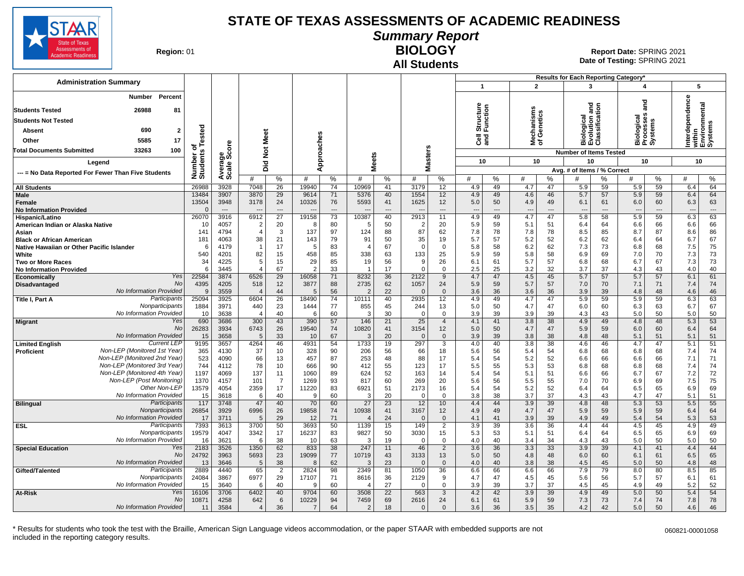

**Summary Report**

**Region: 01** 

# **All Students**

**BIOLOGY** 01 **Report Date:** SPRING 2021 **Date of Testing:**  SPRING 2021

|                                                              |                              |                                |                                   |                      |               |                   |                                |                                      |                  |                      |                                        |                            |                                        |                                      | Results for Each Reporting Category*          |                   |                                                            |                   |                                                       |                   |
|--------------------------------------------------------------|------------------------------|--------------------------------|-----------------------------------|----------------------|---------------|-------------------|--------------------------------|--------------------------------------|------------------|----------------------|----------------------------------------|----------------------------|----------------------------------------|--------------------------------------|-----------------------------------------------|-------------------|------------------------------------------------------------|-------------------|-------------------------------------------------------|-------------------|
| <b>Administration Summary</b>                                |                              |                                |                                   |                      |               |                   |                                |                                      |                  |                      | $\mathbf{1}$                           |                            | $\overline{2}$                         |                                      | 3                                             |                   | 4                                                          |                   |                                                       | 5                 |
| Percent<br>Number<br><b>Students Tested</b><br>26988<br>81   |                              |                                |                                   |                      |               |                   |                                |                                      |                  |                      | Structure<br>Function                  |                            |                                        |                                      | iiological<br>:volution and<br>:lassification |                   | and                                                        |                   | Interdependence<br>within<br>Environmental<br>Systems |                   |
| <b>Students Not Tested</b>                                   |                              |                                |                                   |                      |               |                   |                                |                                      |                  |                      |                                        |                            |                                        |                                      |                                               |                   |                                                            |                   |                                                       |                   |
| 690                                                          |                              |                                |                                   |                      |               |                   |                                |                                      |                  |                      |                                        |                            | lechanisms<br>f Genetics               |                                      |                                               |                   | iological<br>rocesses<br>Biologica<br>Processe:<br>Systems |                   |                                                       |                   |
| $\mathbf{2}$<br><b>Absent</b>                                |                              |                                | <b>Meet</b>                       |                      |               |                   |                                |                                      |                  |                      |                                        |                            |                                        |                                      |                                               |                   |                                                            |                   |                                                       |                   |
| 5585<br>17<br>Other                                          |                              |                                |                                   |                      |               |                   |                                |                                      |                  |                      | <b>ខិ</b> ខ្លី                         |                            | ই ১                                    |                                      | ¤úō                                           |                   |                                                            |                   |                                                       |                   |
| 33263<br>100<br>Total Documents Submitted                    |                              |                                | $\boldsymbol{\breve{\mathrm{p}}}$ |                      |               |                   |                                |                                      |                  |                      |                                        |                            |                                        |                                      | <b>Number of Items Tested</b>                 |                   |                                                            |                   |                                                       |                   |
| Legend                                                       | Number of<br>Students Tested | Average<br>Scale Score         | Did                               |                      |               | pproaches         |                                | <b>Meets</b>                         | Masters          |                      | 10                                     |                            |                                        | 10                                   | 10                                            |                   | 10                                                         |                   |                                                       | 10                |
| --- = No Data Reported For Fewer Than Five Students          |                              |                                |                                   |                      |               | ⋖                 |                                |                                      |                  |                      |                                        |                            |                                        |                                      | Avg. # of Items / % Correct                   |                   |                                                            |                   |                                                       |                   |
|                                                              |                              |                                | #                                 | %                    | #             | %                 | #                              | $\%$                                 | #                | %                    | #                                      | %                          | #                                      | %                                    | #                                             | $\%$              | #                                                          | $\%$              | #                                                     | %                 |
| <b>All Students</b>                                          | 26988                        | 3928                           | 7048                              | 26                   | 19940         | 74                | 10969                          | 41                                   | 3179             | 12                   | 4.9                                    | 49                         | 4.7                                    | 47                                   | 5.9                                           | 59                | 5.9                                                        | 59                | 6.4                                                   | 64                |
| <b>Male</b><br>Female<br><b>No Information Provided</b>      | 13484<br>13504<br>$\Omega$   | 3907<br>3948<br>$\overline{a}$ | 3870<br>3178<br>$\overline{a}$    | 29<br>24<br>$---$    | 9614<br>10326 | 71<br>76<br>$---$ | 5376<br>5593<br>$\overline{a}$ | 40<br>41<br>$\overline{\phantom{a}}$ | 1554<br>1625     | 12<br>12<br>$---$    | 4.9<br>5.0<br>$\overline{\phantom{a}}$ | 49<br>50<br>$\overline{a}$ | 4.6<br>4.9<br>$\overline{\phantom{a}}$ | 46<br>49<br>$\overline{\phantom{a}}$ | 5.7<br>6.1<br>$\overline{a}$                  | 57<br>61<br>$---$ | 5.9<br>6.0<br>$\overline{\phantom{a}}$                     | 59<br>60<br>$---$ | 6.4<br>6.3<br>---                                     | 64<br>63<br>$---$ |
| Hispanic/Latino                                              | 26070                        | 3916                           | 6912                              | $\overline{27}$      | 19158         | 73                | 10387                          | 40                                   | 2913             | 11                   | 4.9                                    | 49                         | 4.7                                    | 47                                   | 5.8                                           | 58                | 5.9                                                        | 59                | 6.3                                                   | 63                |
| American Indian or Alaska Native                             | 10                           | 4057                           | $\overline{2}$                    | 20                   | -8            | 80                | -5                             | 50                                   | -2<br>87         | 20                   | 5.9                                    | 59                         | 5.1                                    | 51                                   | 6.4                                           | 64                | 6.6                                                        | 66                | 6.6                                                   | 66                |
| Asian<br><b>Black or African American</b>                    | 141<br>181                   | 4794<br>4063                   | $\overline{4}$<br>38              | 3<br>21              | 137<br>143    | 97<br>79          | 124<br>91                      | 88<br>50                             | 35               | 62<br>19             | 7.8<br>5.7                             | 78<br>57                   | 7.8<br>5.2                             | 78<br>52                             | 8.5<br>6.2                                    | 85<br>62          | 8.7<br>6.4                                                 | 87<br>64          | 8.6<br>6.7                                            | 86<br>67          |
| Native Hawaiian or Other Pacific Islander                    | 6                            | 4179                           |                                   | 17                   | .5            | 83                | $\overline{4}$                 | 67                                   | $\Omega$         | $\mathbf 0$          | 5.8                                    | 58                         | 6.2                                    | 62                                   | 7.3                                           | 73                | 6.8                                                        | 68                | 7.5                                                   | 75                |
| White                                                        | 540                          | 4201                           | 82                                | 15                   | 458           | 85                | 338                            | 63                                   | 133              | 25                   | 5.9                                    | 59                         | 5.8                                    | 58                                   | 6.9                                           | 69                | 7.0                                                        | 70                | 7.3                                                   | 73                |
| <b>Two or More Races</b>                                     | 34                           | 4225                           | 5                                 | 15                   | 29            | 85                | 19                             | 56                                   | <b>g</b>         | 26                   | 6.1                                    | 61                         | 5.7                                    | 57                                   | 6.8                                           | 68                | 6.7                                                        | 67                | 7.3                                                   | 73                |
| <b>No Information Provided</b>                               | 6                            | 3445                           | $\overline{4}$                    | 67                   | -2            | 33                | $\overline{1}$                 | 17                                   | $\Omega$         | 0                    | 2.5                                    | 25                         | 3.2                                    | 32                                   | 3.7                                           | 37                | 4.3                                                        | 43                | 4.0                                                   | 40                |
| Yes<br>Economically<br><b>No</b>                             | 22584                        | 3874<br>4205                   | 6526                              | 29<br>12             | 16058         | 71<br>88          | 8232<br>2735                   | 36<br>62                             | 2122             | 9<br>24              | 4.7                                    | 47<br>59                   | 4.5<br>5.7                             | 45<br>57                             | 5.7                                           | 57<br>70          | 5.7                                                        | 57<br>71          | 6.1<br>7.4                                            | 61<br>74          |
| Disadvantaged<br>No Information Provided                     | 4395<br>$\mathbf{Q}$         | 3559                           | 518<br>$\overline{4}$             | 44                   | 3877<br>.5    | 56                | $\overline{2}$                 | 22                                   | 1057<br>$\Omega$ | $\Omega$             | 5.9<br>3.6                             | 36                         | 3.6                                    | 36                                   | 7.0<br>3.9                                    | 39                | 7.1<br>4.8                                                 | 48                | 4.6                                                   | 46                |
| Participants<br>Title I, Part A                              | 25094                        | 3925                           | 6604                              | 26                   | 18490         | 74                | 10111                          | 40                                   | 2935             | 12 <sup>2</sup>      | 4.9                                    | 49                         | 4.7                                    | 47                                   | 5.9                                           | 59                | 5.9                                                        | 59                | 6.3                                                   | 63                |
| Nonparticipants                                              | 1884                         | 3971                           | 440                               | 23                   | 1444          | 77                | 855                            | 45                                   | 244              | 13                   | 5.0                                    | 50                         | 4.7                                    | 47                                   | 6.0                                           | 60                | 6.3                                                        | 63                | 6.7                                                   | 67                |
| No Information Provided                                      | 10                           | 3638                           | $\overline{4}$                    | 40                   | 6             | 60                | 3                              | 30                                   | $\Omega$         | $\Omega$             | 3.9                                    | 39                         | 3.9                                    | 39                                   | 4.3                                           | 43                | 5.0                                                        | 50                | 5.0                                                   | 50                |
| Yes<br><b>Migrant</b><br><b>No</b>                           | 690<br>26283                 | 3686<br>3934                   | 300<br>6743                       | 43<br>26             | 390<br>19540  | 57<br>74          | 146<br>10820                   | 21<br>41                             | 25<br>3154       | $\overline{4}$<br>12 | 4.1<br>5.0                             | 41<br>50                   | 3.8<br>4.7                             | 38<br>47                             | 4.9<br>5.9                                    | 49<br>59          | 4.8<br>6.0                                                 | 48<br>60          | 5.3<br>6.4                                            | 53<br>64          |
| No Information Provided                                      | 15                           | 3658                           | 5                                 | 33                   | 10            | 67                | 3                              | 20                                   | $\overline{0}$   | $\mathbf 0$          | 3.9                                    | 39                         | 3.8                                    | 38                                   | 4.8                                           | 48                | 5.1                                                        | 51                | 5.1                                                   | 51                |
| <b>Current LEF</b><br><b>Limited English</b>                 | 9195                         | 3657                           | 4264                              | 46                   | 4931          | 54                | 1733                           | 19                                   | 297              | 3                    | 4.0                                    | 40                         | 3.8                                    | 38                                   | 4.6                                           | 46                | 4.7                                                        | 47                | 5.1                                                   | 51                |
| Non-LEP (Monitored 1st Year)<br><b>Proficient</b>            | 365                          | 4130                           | 37                                | 10                   | 328           | 90                | 206                            | 56                                   | 66               | 18                   | 5.6                                    | 56                         | 5.4                                    | 54                                   | 6.8                                           | 68                | 6.8                                                        | 68                | 7.4                                                   | 74                |
| Non-LEP (Monitored 2nd Year)                                 | 523                          | 4090                           | 66                                | 13                   | 457           | 87                | 253                            | 48                                   | 88               | 17                   | 5.4                                    | 54                         | 5.2                                    | 52                                   | 6.6                                           | 66                | 6.6                                                        | 66                | 7.1                                                   | 71                |
| Non-LEP (Monitored 3rd Year)<br>Non-LEP (Monitored 4th Year) | 744<br>1197                  | 4112<br>4069                   | 78<br>137                         | 10                   | 666<br>1060   | 90                | 412<br>624                     | 55<br>52                             | 123<br>163       | 17                   | 5.5                                    | 55                         | 5.3<br>5.1                             | 53<br>51                             | 6.8                                           | 68<br>66          | 6.8<br>6.7                                                 | 68<br>67          | 7.4                                                   | 74<br>72          |
| Non-LEP (Post Monitoring)                                    | 1370                         | 4157                           | 101                               | 11<br>$\overline{7}$ | 1269          | 89<br>93          | 817                            | 60                                   | 269              | 14<br>20             | 5.4<br>5.6                             | 54<br>56                   | 5.5                                    | 55                                   | 6.6<br>7.0                                    | 70                | 6.9                                                        | 69                | 7.2<br>7.5                                            | 75                |
| Other Non-LEP                                                | 13579                        | 4054                           | 2359                              | 17                   | 11220         | 83                | 6921                           | 51                                   | 2173             | 16                   | 5.4                                    | 54                         | 5.2                                    | 52                                   | 6.4                                           | 64                | 6.5                                                        | 65                | 6.9                                                   | 69                |
| No Information Provided                                      | 15                           | 3618                           | 6                                 | 40                   | 9             | 60                | 3                              | 20                                   | $\Omega$         | $\mathbf 0$          | 3.8                                    | 38                         | 3.7                                    | 37                                   | 4.3                                           | 43                | 4.7                                                        | 47                | 5.1                                                   | 51                |
| Participants<br><b>Bilingual</b>                             | 117                          | 3748                           | 47                                | 40                   | 70            | 60                | 27                             | 23                                   | 12               | 10                   | 4.4                                    | 44                         | 3.9                                    | 39                                   | 4.8                                           | 48                | 5.3                                                        | 53                | 5.5                                                   | 55                |
| Nonparticipants<br>No Information Provided                   | 26854                        | 3929                           | 6996<br>.5                        | 26                   | 19858         | 74                | 10938<br>$\overline{4}$        | 41                                   | 3167<br>$\cap$   | 12                   | 4.9                                    | 49<br>41                   | 4.7                                    | 47                                   | 5.9                                           | 59                | 5.9                                                        | 59                | 6.4                                                   | 64                |
| Participants<br>ESL                                          | 17<br>7393                   | 3711<br>3613                   | 3700                              | 29<br>50             | 12<br>3693    | 71<br>50          | 1139                           | 24<br>15                             | 149              | $\mathbf 0$<br>2     | 4.1<br>3.9                             | 39                         | 3.9<br>3.6                             | 39<br>36                             | 4.9<br>4.4                                    | 49<br>44          | 5.4<br>4.5                                                 | 54<br>45          | 5.3<br>4.9                                            | 53<br>49          |
| Nonparticipants                                              | 19579                        | 4047                           | 3342                              | 17                   | 16237         | 83                | 9827                           | 50                                   | 3030             | 15                   | 5.3                                    | 53                         | 5.1                                    | 51                                   | 6.4                                           | 64                | 6.5                                                        | 65                | 6.9                                                   | 69                |
| No Information Provided                                      | 16                           | 3621                           | 6                                 | 38                   | 10            | 63                | 3                              | 19                                   | $\Omega$         | 0                    | 4.0                                    | 40                         | 3.4                                    | 34                                   | 4.3                                           | 43                | 5.0                                                        | 50                | 5.0                                                   | 50                |
| Yes<br><b>Special Education</b>                              | 2183                         | 3526                           | 1350                              | 62                   | 833           | 38                | 247                            | 11                                   | 46               | $\overline{2}$       | 3.6                                    | 36                         | 3.3                                    | 33                                   | 3.9                                           | 39                | 4.1                                                        | 41                | 4.4                                                   | 44                |
| <b>No</b><br>No Information Provided                         | 24792                        | 3963                           | 5693                              | 23                   | 19099         | 77                | 10719                          | 43                                   | 3133             | 13                   | 5.0                                    | 50                         | 4.8                                    | 48                                   | 6.0                                           | 60                | 6.1                                                        | 61                | 6.5                                                   | 65                |
| Participants<br>Gifted/Talented                              | 13<br>2889                   | 3646<br>4440                   | 5<br>65                           | 38<br>2              | 8<br>2824     | 62<br>98          | 3<br>2349                      | 23<br>81                             | $\Omega$<br>1050 | $\mathbf{0}$<br>36   | 4.0<br>6.6                             | 40<br>66                   | 3.8<br>6.6                             | 38<br>66                             | 4.5<br>7.9                                    | 45<br>79          | 5.0<br>8.0                                                 | 50<br>80          | 4.8<br>8.5                                            | 48<br>85          |
| Nonparticipants                                              | 24084                        | 3867                           | 6977                              | 29                   | 17107         | 71                | 8616                           | 36                                   | 2129             | 9                    | 4.7                                    | 47                         | 4.5                                    | 45                                   | 5.6                                           | 56                | 5.7                                                        | 57                | 6.1                                                   | 61                |
| No Information Provided                                      | 15                           | 3640                           | 6                                 | 40                   | <b>q</b>      | 60                | $\overline{4}$                 | 27                                   | $\Omega$         | $\Omega$             | 3.9                                    | 39                         | 3.7                                    | 37                                   | 4.5                                           | 45                | 4.9                                                        | 49                | 5.2                                                   | 52                |
| Yes<br>At-Risk                                               | 16106                        | 3706                           | 6402                              | 40                   | 9704          | 60                | 3508                           | 22                                   | 563              | 3                    | 4.2                                    | 42                         | 3.9                                    | 39                                   | 4.9                                           | 49                | 5.0                                                        | 50                | 5.4                                                   | 54                |
| No                                                           | 10871                        | 4258                           | 642                               | 6                    | 10229         | 94                | 7459                           | 69                                   | 2616             | 24                   | 6.1                                    | 61                         | 5.9                                    | 59                                   | 7.3                                           | 73                | 7.4                                                        | 74                | 7.8                                                   | 78                |
| No Information Provided                                      | 11                           | 3584                           | $\overline{4}$                    | 36                   | 7             | 64                | $\mathcal{P}$                  | 18                                   | $\Omega$         | $\Omega$             | 3.6                                    | 36                         | 3.5                                    | 35                                   | 4.2                                           | 42                | 5.0                                                        | 50                | 4.6                                                   | 46                |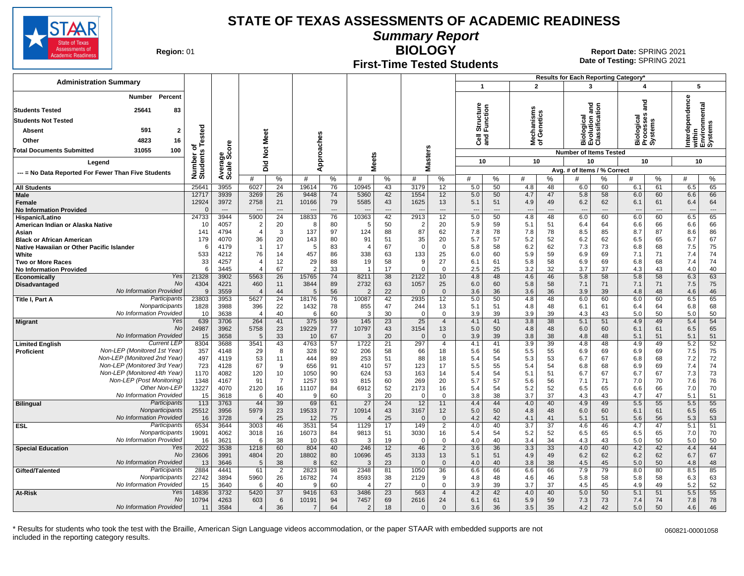

**Summary Report**

**Region: 01** 

#### **First-Time Tested Students**

**BIOLOGY** 01 **Report Date:** SPRING 2021 **Date of Testing:**  SPRING 2021

|                                                                            |                            |                       |                                  |                                      |                      |                                      |                        |                                      |                                          |                                      |                                        |                   |                                        |                       | Results for Each Reporting Category*   |                   |                                        |                            |                                        |                                    |
|----------------------------------------------------------------------------|----------------------------|-----------------------|----------------------------------|--------------------------------------|----------------------|--------------------------------------|------------------------|--------------------------------------|------------------------------------------|--------------------------------------|----------------------------------------|-------------------|----------------------------------------|-----------------------|----------------------------------------|-------------------|----------------------------------------|----------------------------|----------------------------------------|------------------------------------|
| <b>Administration Summary</b>                                              |                            |                       |                                  |                                      |                      |                                      |                        |                                      |                                          |                                      | $\mathbf{1}$                           |                   | $\overline{2}$                         |                       | 3                                      |                   | 4                                      |                            | 5                                      |                                    |
| Percent<br>Number<br><b>Students Tested</b><br>25641<br>83                 |                            |                       |                                  |                                      |                      |                                      |                        |                                      |                                          |                                      | η<br>Structure<br>Function             |                   | Mechanisms<br>of Genetics              |                       | gue                                    |                   | ត<br>ត                                 |                            | Interdependence                        | within<br>Environmental<br>Systems |
| <b>Students Not Tested</b>                                                 |                            |                       |                                  |                                      |                      |                                      |                        |                                      |                                          |                                      |                                        |                   |                                        |                       | iological<br>volution a<br>lassificati |                   | Biological<br>Processes<br>Systems     |                            |                                        |                                    |
| 591<br>$\overline{2}$<br>Absent                                            | Tested                     |                       |                                  |                                      |                      |                                      |                        |                                      |                                          |                                      |                                        |                   |                                        |                       |                                        |                   |                                        |                            |                                        |                                    |
| Other<br>4823<br>16                                                        |                            |                       | Meet                             |                                      |                      |                                      |                        |                                      |                                          |                                      | and<br>ا∎c                             |                   |                                        |                       | mάō                                    |                   |                                        |                            |                                        |                                    |
| 100<br><b>Total Documents Submitted</b><br>31055                           | ৳                          | ore                   | $\frac{5}{2}$                    |                                      |                      |                                      |                        |                                      |                                          |                                      |                                        |                   |                                        |                       | <b>Number of Items Tested</b>          |                   |                                        |                            |                                        |                                    |
| Legend                                                                     | Number of<br>Students      | န္တပ္ကိ               |                                  |                                      |                      | Approaches                           | <b>Meets</b>           |                                      | asters                                   |                                      | 10                                     |                   | 10                                     |                       | 10                                     |                   | 10                                     |                            | 10                                     |                                    |
| --- = No Data Reported For Fewer Than Five Students                        |                            | Averag<br>Scale       | Did                              |                                      |                      |                                      |                        |                                      | ż                                        |                                      |                                        |                   |                                        |                       | Avg. # of Items / % Correct            |                   |                                        |                            |                                        |                                    |
|                                                                            |                            |                       | #                                | %                                    | #                    | %                                    | #                      | %                                    | #                                        | %                                    | #                                      | %                 | #                                      | %                     | #                                      | %                 | #                                      | %                          | #                                      | %                                  |
| <b>All Students</b>                                                        | 25641                      | 3955                  | 6027                             | 24                                   | 19614                | 76                                   | 10945                  | 43                                   | 3179                                     | 12                                   | 5.0                                    | 50                | 4.8                                    | 48                    | 6.0                                    | 60                | 6.1                                    | 61                         | 6.5                                    | 65                                 |
| Male<br>Female<br><b>No Information Provided</b>                           | 12717<br>12924<br>$\Omega$ | 3939<br>3972<br>$---$ | 3269<br>2758<br>---              | 26<br>21<br>$\overline{\phantom{a}}$ | 9448<br>10166        | 74<br>79<br>$\overline{\phantom{a}}$ | 5360<br>5585<br>$---$  | 42<br>43<br>$\overline{\phantom{a}}$ | 1554<br>1625<br>$\overline{\phantom{a}}$ | 12<br>13<br>$\overline{\phantom{a}}$ | 5.0<br>5.1<br>$\overline{\phantom{a}}$ | 50<br>51<br>$---$ | 4.7<br>4.9<br>$\overline{\phantom{a}}$ | 47<br>49<br>---       | 5.8<br>6.2<br>$\overline{\phantom{a}}$ | 58<br>62<br>$---$ | 6.0<br>6.1<br>$\overline{\phantom{a}}$ | 60<br>61<br>$\overline{a}$ | 6.6<br>6.4<br>$\overline{\phantom{a}}$ | 66<br>64<br>$\cdots$               |
| Hispanic/Latino                                                            | 24733                      | 3944                  | 5900                             | $\overline{24}$                      | 18833                | 76                                   | 10363                  | 42                                   | 2913                                     | 12                                   | 5.0                                    | 50                | 4.8                                    | 48                    | 6.0                                    | 60                | 6.0                                    | 60                         | 6.5                                    | 65                                 |
| American Indian or Alaska Native<br>Asian                                  | 10<br>141                  | 4057<br>4794          | $\overline{2}$<br>$\overline{4}$ | 20<br>3                              | -8<br>137            | 80<br>97                             | 5<br>124               | 50<br>88                             | $\overline{2}$<br>87                     | 20<br>62                             | 5.9<br>7.8                             | 59<br>78          | 5.1<br>7.8                             | 51<br>78              | 6.4<br>8.5                             | 64<br>85          | 6.6<br>8.7                             | 66<br>87                   | 6.6<br>8.6                             | 66<br>86                           |
| <b>Black or African American</b>                                           | 179                        | 4070                  | 36                               | 20                                   | 143                  | 80                                   | 91                     | 51                                   | 35                                       | 20                                   | 5.7                                    | 57                | 5.2                                    | 52                    | 6.2                                    | 62                | 6.5                                    | 65                         | 6.7                                    | 67                                 |
| Native Hawaiian or Other Pacific Islander                                  | 6                          | 4179                  | $\overline{1}$                   | 17                                   | .5                   | 83                                   | $\overline{4}$         | 67                                   | $\Omega$                                 | $\mathbf 0$                          | 5.8                                    | 58                | 6.2                                    | 62                    | 7.3                                    | 73                | 6.8                                    | 68                         | 7.5                                    | 75                                 |
| White                                                                      | 533                        | 4212                  | 76                               | 14                                   | 457                  | 86                                   | 338                    | 63                                   | 133                                      | 25                                   | 6.0                                    | 60                | 5.9                                    | 59                    | 6.9                                    | 69                | 7.1                                    | 71                         | 7.4                                    | 74                                 |
| <b>Two or More Races</b><br><b>No Information Provided</b>                 | 33<br>6                    | 4257<br>3445          | $\overline{4}$                   | 12<br>67                             | 29<br>$\overline{2}$ | 88<br>33                             | 19<br>-1               | 58<br>17                             | 9<br>$\Omega$                            | 27<br>$\Omega$                       | 6.1<br>2.5                             | 61<br>25          | 5.8<br>3.2                             | 58<br>32              | 6.9<br>3.7                             | 69<br>37          | 6.8<br>4.3                             | 68<br>43                   | 7.4<br>4.0                             | 74<br>40                           |
| Yes<br>Economically                                                        | 21328                      | 3902                  | 5563                             | $\overline{26}$                      | 15765                | 74                                   | 8211                   | 38                                   | 2122                                     | 10                                   | 4.8                                    | 48                | 4.6                                    | 46                    | 5.8                                    | 58                | 5.8                                    | 58                         | 6.3                                    | 63                                 |
| No<br>Disadvantaged                                                        | 4304                       | 4221                  | 460                              | 11                                   | 3844                 | 89                                   | 2732                   | 63                                   | 1057                                     | 25                                   | 6.0                                    | 60                | 5.8                                    | 58                    | 7.1                                    | 71                | 7.1                                    | 71                         | 7.5                                    | 75                                 |
| No Information Provided<br>Participants<br>Title I, Part A                 | 9<br>23803                 | 3559<br>3953          | $\overline{4}$<br>5627           | 44<br>24                             | 5<br>18176           | 56<br>76                             | -2<br>10087            | 22<br>42                             | $\Omega$<br>2935                         | $\Omega$<br>12                       | 3.6<br>5.0                             | 36<br>50          | 3.6<br>4.8                             | 36<br>48              | 3.9<br>6.0                             | 39<br>60          | 4.8<br>6.0                             | 48<br>60                   | 4.6<br>6.5                             | 46<br>65                           |
| Nonparticipants                                                            | 1828                       | 3988                  | 396                              | 22                                   | 1432                 | 78                                   | 855                    | 47                                   | 244                                      | 13                                   | 5.1                                    | 51                | 4.8                                    | 48                    | 6.1                                    | 61                | 6.4                                    | 64                         | 6.8                                    | 68                                 |
| No Information Provided                                                    | 10                         | 3638                  | $\overline{4}$                   | 40                                   | 6                    | 60                                   | $\mathcal{R}$          | 30                                   | $\Omega$                                 | $\mathbf 0$                          | 3.9                                    | 39                | 3.9                                    | 39                    | 4.3                                    | 43                | 5.0                                    | 50                         | 5.0                                    | 50                                 |
| Yes<br><b>Migrant</b><br><b>No</b>                                         | 639<br>24987               | 3706<br>3962          | 264<br>5758                      | 41<br>23                             | 375<br>19229         | 59<br>77                             | 145<br>10797           | 23<br>43                             | 25<br>3154                               | $\overline{4}$<br>13                 | 4.1<br>5.0                             | 41<br>50          | 3.8<br>4.8                             | 38<br>48              | 5.1<br>6.0                             | 51<br>60          | 4.9<br>6.1                             | 49<br>61                   | 5.4<br>6.5                             | 54<br>65                           |
| <b>No Information Provided</b>                                             | 15                         | 3658                  | -5                               | 33                                   | 10                   | 67                                   | 3                      | 20                                   | $\Omega$                                 | $\Omega$                             | 3.9                                    | 39                | 3.8                                    | 38                    | 4.8                                    | 48                | 5.1                                    | 51                         | 5.1                                    | 51                                 |
| <b>Current LEP</b><br><b>Limited English</b>                               | 8304                       | 3688                  | 3541                             | 43                                   | 4763                 | 57                                   | 1722                   | $\overline{21}$                      | 297                                      | $\overline{4}$                       | 4.1                                    | 41                | 3.9                                    | 39                    | 4.8                                    | 48                | 4.9                                    | 49                         | 5.2                                    | 52                                 |
| Non-LEP (Monitored 1st Year)<br>Proficient<br>Non-LEP (Monitored 2nd Year) | 357                        | 4148                  | 29                               | 8                                    | 328<br>444           | 92                                   | 206<br>253             | 58                                   | 66                                       | 18                                   | 5.6                                    | 56                | 5.5                                    | 55                    | 6.9                                    | 69                | 6.9                                    | 69                         | 7.5                                    | 75                                 |
| Non-LEP (Monitored 3rd Year)                                               | 497<br>723                 | 4119<br>4128          | 53<br>67                         | 11<br>9                              | 656                  | 89<br>91                             | 410                    | 51<br>57                             | 88<br>123                                | 18<br>17                             | 5.4<br>5.5                             | 54<br>55          | 5.3<br>5.4                             | 53<br>54              | 6.7<br>6.8                             | 67<br>68          | 6.8<br>6.9                             | 68<br>69                   | 7.2<br>7.4                             | 72<br>74                           |
| Non-LEP (Monitored 4th Year)                                               | 1170                       | 4082                  | 120                              | 10                                   | 1050                 | 90                                   | 624                    | 53                                   | 163                                      | 14                                   | 5.4                                    | 54                | 5.1                                    | 51                    | 6.7                                    | 67                | 6.7                                    | 67                         | 7.3                                    | 73                                 |
| Non-LEP (Post Monitoring)                                                  | 1348                       | 4167                  | 91                               | $\overline{7}$                       | 1257                 | 93                                   | 815                    | 60                                   | 269                                      | 20                                   | 5.7                                    | 57                | 5.6                                    | 56                    | 7.1                                    | 71                | 7.0                                    | 70                         | 7.6                                    | 76                                 |
| Other Non-LEP<br>No Information Provided                                   | 13227<br>15                | 4070<br>3618          | 2120<br>-6                       | 16<br>40                             | 11107<br>9           | 84<br>60                             | 6912<br>3              | 52<br>20                             | 2173<br>$\Omega$                         | 16<br>0                              | 5.4<br>3.8                             | 54<br>38          | 5.2<br>3.7                             | 52<br>37              | 6.5<br>4.3                             | 65<br>43          | 6.6<br>4.7                             | 66<br>47                   | 7.0<br>5.1                             | 70<br>51                           |
| Participants<br><b>Bilingual</b>                                           | 113                        | 3763                  | 44                               | 39                                   | 69                   | 61                                   | $\overline{27}$        | 24                                   | 12                                       | 11                                   | 4.4                                    | 44                | 4.0                                    | 40                    | 4.9                                    | 49                | 5.5                                    | 55                         | 5.5                                    | 55                                 |
| Nonparticipants                                                            | 25512                      | 3956                  | 5979                             | 23                                   | 19533                | 77                                   | 10914                  | 43                                   | 3167                                     | 12                                   | 5.0                                    | 50                | 4.8                                    | 48                    | 6.0                                    | 60                | 6.1                                    | 61                         | 6.5                                    | 65                                 |
| No Information Provideo<br>Participants                                    | 16<br>6534                 | 3728                  | $\overline{4}$<br>3003           | 25<br>46                             | 12<br>3531           | 75<br>54                             | 1129                   | 25<br>17                             | $\Omega$<br>149                          | $\Omega$<br>$\overline{2}$           | 4.2<br>4.0                             | 42<br>40          | 4.1<br>$\overline{3.7}$                | 41<br>$\overline{37}$ | 5.1<br>4.6                             | 51<br>46          | 5.6                                    | 56<br>47                   | 5.3                                    | 53<br>51                           |
| ESL<br>Nonparticipants                                                     | 19091                      | 3644<br>4062          | 3018                             | 16                                   | 16073                | 84                                   | 9813                   | 51                                   | 3030                                     | 16                                   | 5.4                                    | 54                | 5.2                                    | 52                    | 6.5                                    | 65                | 4.7<br>6.5                             | 65                         | 5.1<br>7.0                             | 70                                 |
| No Information Provided                                                    | 16                         | 3621                  | 6                                | 38                                   | 10                   | 63                                   | 3                      | 19                                   | $\Omega$                                 | $\mathbf 0$                          | 4.0                                    | 40                | 3.4                                    | 34                    | 4.3                                    | 43                | 5.0                                    | 50                         | 5.0                                    | 50                                 |
| Yes<br><b>Special Education</b>                                            | 2022                       | 3538                  | 1218                             | 60                                   | 804                  | 40                                   | 246                    | 12                                   | 46                                       | 2                                    | 3.6                                    | 36                | 3.3                                    | 33                    | 4.0                                    | 40                | 4.2                                    | 42                         | 4.4                                    | 44                                 |
| No<br>No Information Provided                                              | 23606<br>13                | 3991<br>3646          | 4804<br>5                        | 20<br>38                             | 18802<br>8           | 80<br>62                             | 10696<br>3             | 45<br>23                             | 3133<br>$\mathbf{0}$                     | 13<br>$\Omega$                       | 5.1<br>4.0                             | 51<br>40          | 4.9<br>3.8                             | 49<br>38              | 6.2<br>4.5                             | 62<br>45          | 6.2<br>5.0                             | 62<br>50                   | 6.7<br>4.8                             | 67<br>48                           |
| Participants<br>Gifted/Talented                                            | 2884                       | 4441                  | 61                               | $\overline{2}$                       | 2823                 | 98                                   | 2348                   | 81                                   | 1050                                     | 36                                   | 6.6                                    | 66                | 6.6                                    | 66                    | 7.9                                    | 79                | 8.0                                    | 80                         | 8.5                                    | 85                                 |
| Nonparticipants                                                            | 22742                      | 3894                  | 5960                             | 26                                   | 16782                | 74                                   | 8593                   | 38                                   | 2129                                     | 9                                    | 4.8                                    | 48                | 4.6                                    | 46                    | 5.8                                    | 58                | 5.8                                    | 58                         | 6.3                                    | 63                                 |
| No Information Provided<br>Yes<br><b>At-Risk</b>                           | 15<br>14836                | 3640<br>3732          | 6<br>5420                        | 40<br>37                             | <sub>9</sub><br>9416 | 60<br>63                             | $\overline{4}$<br>3486 | 27<br>23                             | $\Omega$<br>563                          | $\Omega$<br>$\overline{4}$           | 3.9<br>4.2                             | 39<br>42          | 3.7<br>4.0                             | 37<br>40              | 4.5<br>5.0                             | 45<br>50          | 4.9<br>5.1                             | 49<br>51                   | 5.2<br>5.5                             | 52<br>55                           |
| No                                                                         | 10794                      | 4263                  | 603                              | 6                                    | 10191                | 94                                   | 7457                   | 69                                   | 2616                                     | 24                                   | 6.1                                    | 61                | 5.9                                    | 59                    | 7.3                                    | 73                | 7.4                                    | 74                         | 7.8                                    | 78                                 |
| <b>No Information Provided</b>                                             | 11                         | 3584                  | $\overline{4}$                   | 36                                   | $\overline{7}$       | 64                                   | $\overline{2}$         | 18                                   | $\mathbf{0}$                             | $\Omega$                             | 3.6                                    | 36                | 3.5                                    | 35                    | 4.2                                    | 42                | 5.0                                    | 50                         | 4.6                                    | 46                                 |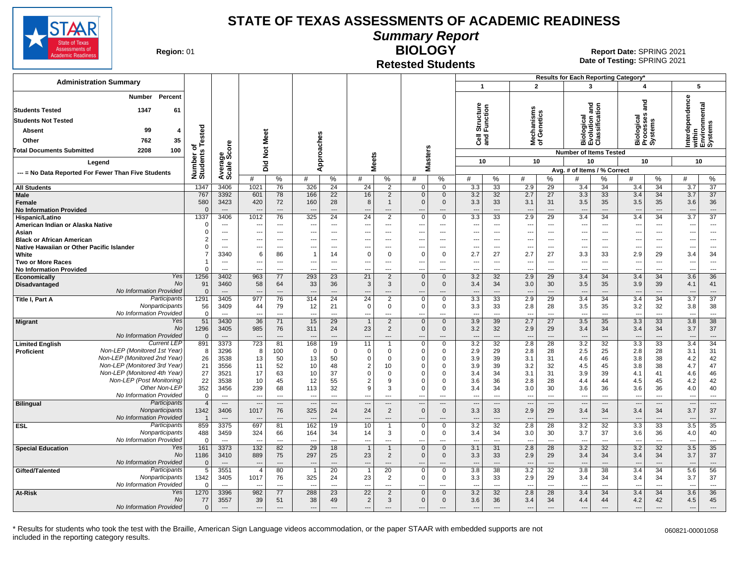

# **Summary Report**

**Region: 01** 

#### **Retested Students BIOLOGY**

**Date of Testing:**  SPRING 2021 01 **Report Date:** SPRING 2021

|                                                                               |                              |                          |                                  |                                |                          |                                   |                                  |                          |                                          |                             |                                 |                      |                                 |                                |                                 |                                 | Results for Each Reporting Category* |                          |                                                       |                                |
|-------------------------------------------------------------------------------|------------------------------|--------------------------|----------------------------------|--------------------------------|--------------------------|-----------------------------------|----------------------------------|--------------------------|------------------------------------------|-----------------------------|---------------------------------|----------------------|---------------------------------|--------------------------------|---------------------------------|---------------------------------|--------------------------------------|--------------------------|-------------------------------------------------------|--------------------------------|
| <b>Administration Summary</b>                                                 |                              |                          |                                  |                                |                          |                                   |                                  |                          |                                          |                             | $\mathbf{1}$                    |                      |                                 | $\overline{2}$                 |                                 | $\mathbf{3}$                    | 4                                    |                          |                                                       | 5                              |
| Percent<br><b>Number</b>                                                      |                              |                          |                                  |                                |                          |                                   |                                  |                          |                                          |                             |                                 |                      | w                               |                                |                                 | and<br>둥                        | ลิก<br>ลิ                            |                          | Interdependence<br>within<br>Environmental<br>Systems |                                |
| <b>Students Tested</b><br>1347<br>61                                          |                              |                          |                                  |                                |                          |                                   |                                  |                          |                                          |                             | Structure<br>Function           |                      | lechanisms<br>f Genetics        |                                | శె                              | e<br>Teati                      |                                      |                          |                                                       |                                |
| <b>Students Not Tested</b>                                                    |                              |                          |                                  |                                |                          |                                   |                                  |                          |                                          |                             |                                 |                      |                                 |                                |                                 | 慢盲                              | Biological<br>Processes<br>Systems   |                          |                                                       |                                |
| 99<br><b>Absent</b><br>4                                                      |                              |                          |                                  | Meet                           |                          |                                   |                                  |                          |                                          |                             |                                 |                      |                                 |                                | igo<br>O                        | $\frac{1}{2}$                   |                                      |                          |                                                       |                                |
| Other<br>762<br>35                                                            |                              |                          |                                  |                                |                          |                                   |                                  |                          |                                          |                             | <b>G</b> ang                    |                      | ৺হ                              |                                | <b>AND</b>                      |                                 |                                      |                          |                                                       |                                |
| 100<br><b>Total Documents Submitted</b><br>2208                               |                              |                          |                                  | $\frac{5}{2}$                  |                          |                                   |                                  |                          |                                          |                             |                                 |                      |                                 |                                | <b>Number of Items Tested</b>   |                                 |                                      |                          |                                                       |                                |
| Legend                                                                        | Number of<br>Students Tested | Average<br>Scale Score   |                                  | Did                            |                          | Approaches                        |                                  | <b>Meets</b>             | asters                                   |                             | 10                              |                      |                                 | 10                             | 10                              |                                 | 10                                   |                          | 10                                                    |                                |
| --- = No Data Reported For Fewer Than Five Students                           |                              |                          |                                  |                                |                          |                                   |                                  |                          | Σ                                        |                             |                                 |                      |                                 |                                | Avg. # of Items / % Correct     |                                 |                                      |                          |                                                       |                                |
|                                                                               |                              |                          | #                                | %                              | #                        | %                                 | #                                | %                        | #                                        | $\%$                        | #                               | %                    | #                               | %                              | #                               | ℅                               | #                                    | %                        | #                                                     | %                              |
| <b>All Students</b><br>Male                                                   | 1347<br>767                  | 3406<br>3392             | 1021<br>601                      | 76<br>78                       | 326<br>166               | 24<br>22                          | 24<br>16                         | $\overline{2}$<br>2      | $\Omega$<br>$\overline{0}$               | $\Omega$<br>$\mathbf 0$     | $\overline{3.3}$<br>3.2         | 33<br>32             | 2.9<br>2.7                      | $\overline{29}$<br>27          | 3.4<br>3.3                      | 34<br>33                        | 3.4<br>3.4                           | $\overline{34}$<br>34    | 3.7<br>3.7                                            | $\overline{37}$<br>37          |
| Female<br><b>No Information Provided</b>                                      | 580<br>$\Omega$              | 3423<br>$---$            | 420<br>$\overline{\phantom{a}}$  | 72<br>---                      | 160<br>$\overline{a}$    | 28<br>$\cdots$                    | 8<br>$\overline{\phantom{a}}$    | $\overline{\phantom{a}}$ | $\mathbf{0}$<br>$\overline{a}$           | $\mathbf 0$<br>---          | 3.3<br>$\overline{\phantom{a}}$ | 33<br>---            | 3.1<br>$\overline{\phantom{a}}$ | 31<br>$---$                    | 3.5<br>$\sim$                   | 35<br>$\overline{\phantom{a}}$  | 3.5<br>$\overline{\phantom{a}}$      | 35<br>---                | 3.6<br>$\overline{\phantom{a}}$                       | 36<br>$\hspace{0.05cm} \ldots$ |
| Hispanic/Latino                                                               | 1337                         | 3406                     | 1012                             | 76                             | 325                      | $\overline{24}$                   | $\overline{24}$                  | $\overline{2}$           | $\Omega$                                 | $\Omega$                    | 3.3                             | 33                   | 2.9                             | 29                             | 3.4                             | $\overline{34}$                 | 3.4                                  | 34                       | 3.7                                                   | $\overline{37}$                |
| American Indian or Alaska Native                                              | $\Omega$                     | $\overline{\phantom{a}}$ |                                  | ---                            |                          | $\overline{a}$                    | ---                              | $\overline{\phantom{a}}$ |                                          | ---                         | ---                             | ---                  | $\overline{\phantom{a}}$        | $\overline{\phantom{a}}$       | $\overline{a}$                  | ---                             | $\overline{\phantom{a}}$             | ---                      | $\overline{\phantom{a}}$                              | ---                            |
| Asian                                                                         | $\Omega$<br>$\overline{2}$   | ---                      | $\overline{\phantom{a}}$         | ---                            | ---                      | $\overline{\phantom{a}}$          | ---                              | $\overline{\phantom{a}}$ | $\overline{\phantom{a}}$                 | ---                         | ---                             | $---$                | $\overline{\phantom{a}}$        | $\overline{\phantom{a}}$       | ---                             | $\overline{\phantom{a}}$        | $\overline{\phantom{a}}$             | ---                      | ---                                                   | ---                            |
| <b>Black or African American</b><br>Native Hawaiian or Other Pacific Islander | $\Omega$                     | ---<br>$--$              | ---<br>$\overline{\phantom{a}}$  | ---<br>---                     | ---                      | $\overline{\phantom{a}}$<br>$---$ | ÷.,<br>---                       | $- - -$                  | $\overline{\phantom{a}}$<br>---          | $---$                       | ---<br>$\overline{\phantom{a}}$ | ---<br>---           | ---<br>$\overline{\phantom{a}}$ | $- - -$                        | $\overline{a}$<br>---           | ---<br>$\overline{\phantom{a}}$ | $\overline{\phantom{a}}$<br>---      | ---<br>---               | --                                                    | ---<br>$---$                   |
| White                                                                         | $\overline{7}$               | 3340                     | 6                                | 86                             | $\overline{1}$           | 14                                | $\mathbf 0$                      | $\Omega$                 | $\Omega$                                 | $\mathbf 0$                 | 2.7                             | 27                   | 2.7                             | 27                             | 3.3                             | 33                              | 2.9                                  | 29                       | 3.4                                                   | 34                             |
| <b>Two or More Races</b>                                                      |                              | $\overline{\phantom{a}}$ | $\overline{\phantom{a}}$         | $\overline{a}$                 | ---                      | $\overline{a}$                    | ---                              | $\overline{\phantom{a}}$ | $\overline{\phantom{a}}$                 | ---                         | $\overline{\phantom{a}}$        | ---                  | $\overline{\phantom{a}}$        | $\overline{\phantom{a}}$       | $\overline{a}$                  | $\overline{\phantom{a}}$        | $\overline{\phantom{a}}$             | $\overline{\phantom{a}}$ | $\overline{\phantom{a}}$                              | $---$                          |
| <b>No Information Provided</b>                                                | $\Omega$                     | $\overline{a}$           | $\overline{\phantom{a}}$         | ---                            | ---                      | $\overline{\phantom{a}}$          | ---                              | $-$                      | $\overline{\phantom{a}}$                 | $---$                       | $\overline{\phantom{a}}$        | ---                  | ---                             | $-$                            | ---                             | $\overline{\phantom{a}}$        | $\overline{\phantom{a}}$             | ---                      | ---                                                   | $\overline{\phantom{a}}$       |
| Yes<br>Economically                                                           | 1256                         | 3402                     | 963                              | 77                             | 293                      | 23                                | 21                               | 2                        | $\mathbf{0}$                             | $\mathbf 0$                 | 3.2                             | 32                   | 2.9                             | 29                             | 3.4                             | 34                              | 3.4                                  | 34                       | 3.6                                                   | 36                             |
| <b>No</b><br>Disadvantaged<br>No Information Provided                         | 91<br>$\Omega$               | 3460<br>$---$            | 58<br>$\overline{\phantom{a}}$   | 64<br>$---$                    | 33<br>$---$              | 36<br>$---$                       | $\mathbf{3}$<br>$\overline{a}$   | 3<br>$---$               | $\Omega$<br>$\overline{a}$               | $\overline{0}$<br>$---$     | 3.4<br>$\overline{a}$           | 34<br>$\overline{a}$ | 3.0<br>$\overline{a}$           | 30<br>$---$                    | 3.5<br>$---$                    | 35<br>$---$                     | 3.9<br>$---$                         | 39<br>$---$              | 4.1<br>---                                            | 41<br>$---$                    |
| Participants<br>Title I, Part A                                               | 1291                         | 3405                     | 977                              | 76                             | 314                      | 24                                | 24                               | 2                        | $\Omega$                                 | $\Omega$                    | 3.3                             | 33                   | 2.9                             | 29                             | $\overline{3.4}$                | 34                              | 3.4                                  | $\overline{34}$          | 3.7                                                   | $\overline{37}$                |
| Nonparticipants                                                               | 56                           | 3409                     | 44                               | 79                             | 12                       | 21                                | $\mathbf 0$                      | $\mathbf 0$              | $\mathbf 0$                              | $\mathbf 0$                 | 3.3                             | 33                   | 2.8                             | 28                             | 3.5                             | 35                              | 3.2                                  | 32                       | 3.8                                                   | 38                             |
| No Information Provided                                                       | $\overline{0}$               | $---$                    | ---                              | $\overline{a}$                 | ---                      | $\overline{\phantom{a}}$          | ---                              | $---$                    | ---                                      | ---                         | $\overline{\phantom{a}}$        | ---                  | $\overline{\phantom{a}}$        | $\sim$                         | $\overline{\phantom{a}}$        | $\overline{a}$                  | $\overline{\phantom{a}}$             | $\overline{a}$           | $\overline{\phantom{a}}$                              | $\cdots$                       |
| Yes<br>Migrant<br>No                                                          | 51<br>1296                   | 3430<br>3405             | 36<br>985                        | 71<br>76                       | 15<br>311                | 29<br>24                          | $\overline{1}$<br>23             | 2<br>2                   | $\mathbf{0}$<br>$\mathbf{0}$             | $\mathbf{0}$<br>$\mathbf 0$ | 3.9<br>3.2                      | 39<br>32             | 2.7<br>2.9                      | 27<br>29                       | 3.5<br>3.4                      | 35<br>34                        | 3.3<br>3.4                           | 33<br>34                 | 3.8<br>3.7                                            | 38<br>37                       |
| No Information Provided                                                       | $\overline{0}$               | $\overline{\phantom{a}}$ | $\overline{\phantom{a}}$         | $\overline{a}$                 |                          | $\overline{\phantom{a}}$          | $\overline{a}$                   | $\overline{\phantom{a}}$ | $\overline{a}$                           | $\overline{\phantom{a}}$    | $\overline{a}$                  | ---                  | $\overline{\phantom{a}}$        | $---$                          | $\sim$                          | $\overline{\phantom{a}}$        | $\overline{\phantom{a}}$             | $---$                    | $\overline{\phantom{a}}$                              | $---$                          |
| <b>Current LEP</b><br><b>Limited English</b>                                  | 891                          | 3373                     | 723                              | 81                             | 168                      | 19                                | 11                               |                          | $\Omega$                                 | $\mathbf 0$                 | 3.2                             | 32                   | 2.8                             | 28                             | 3.2                             | $\overline{32}$                 | 3.3                                  | $\overline{33}$          | 3.4                                                   | 34                             |
| Non-LEP (Monitored 1st Year)<br>Proficient                                    | 8                            | 3296                     | 8                                | 100                            | $\mathbf 0$              | $\mathbf 0$                       | $\mathbf 0$                      | $\Omega$                 | $\Omega$                                 | 0                           | 2.9                             | 29                   | 2.8                             | 28                             | 2.5                             | 25                              | 2.8                                  | 28                       | 3.1                                                   | 31                             |
| Non-LEP (Monitored 2nd Year)                                                  | 26                           | 3538                     | 13                               | 50                             | 13                       | 50                                | $\overline{0}$                   | $\Omega$                 | $\Omega$                                 | $\Omega$                    | 3.9                             | 39                   | 3.1                             | 31                             | 4.6                             | 46                              | 3.8                                  | 38                       | 4.2                                                   | 42                             |
| Non-LEP (Monitored 3rd Year)<br>Non-LEP (Monitored 4th Year)                  | 21<br>27                     | 3556                     | 11<br>17                         | 52                             | 10<br>10                 | 48<br>37                          | $\overline{2}$                   | 10<br>$\Omega$           | $\Omega$<br>$\Omega$                     | $\Omega$<br>$\Omega$        | 3.9                             | 39<br>34             | 3.2                             | 32                             | 4.5                             | 45                              | 3.8                                  | 38<br>41                 | 4.7                                                   | 47<br>46                       |
| Non-LEP (Post Monitoring)                                                     | 22                           | 3521<br>3538             | 10                               | 63<br>45                       | 12                       | 55                                | $\overline{0}$<br>$\overline{2}$ | 9                        | $\Omega$                                 | $\Omega$                    | 3.4<br>3.6                      | 36                   | 3.1<br>2.8                      | 31<br>28                       | 3.9<br>4.4                      | 39<br>44                        | 4.1<br>4.5                           | 45                       | 4.6<br>4.2                                            | 42                             |
| Other Non-LEP                                                                 | 352                          | 3456                     | 239                              | 68                             | 113                      | 32                                | 9                                | 3                        | $\Omega$                                 | $\Omega$                    | 3.4                             | 34                   | 3.0                             | 30                             | 3.6                             | 36                              | 3.6                                  | 36                       | 4.0                                                   | 40                             |
| No Information Provided                                                       | $\overline{0}$               | $\sim$                   | $\overline{a}$                   | $\overline{a}$                 | $\overline{a}$           | $\sim$                            | ---                              | $---$                    | $\overline{a}$                           | $\overline{a}$              | $\overline{a}$                  | $\overline{a}$       | $\overline{a}$                  | $\overline{a}$                 | $\overline{a}$                  | $\overline{\phantom{a}}$        | $\overline{\phantom{a}}$             | $\overline{a}$           | $\overline{a}$                                        | ---                            |
| Participants<br><b>Bilingual</b>                                              | $\overline{4}$               | $\overline{\phantom{a}}$ | $\overline{\phantom{a}}$         | $\cdots$                       | $\overline{\phantom{a}}$ | $\cdots$                          | $\overline{\phantom{a}}$         | $\overline{\phantom{a}}$ | $\overline{\phantom{a}}$                 | $\overline{\phantom{a}}$    | $\overline{\phantom{a}}$        | $\cdots$             | $\overline{\phantom{a}}$        | $\overline{\phantom{a}}$       | $\overline{\phantom{a}}$        | $\overline{\phantom{a}}$        | $\overline{\phantom{a}}$             | $---$                    | $\overline{\phantom{a}}$                              | $\cdots$                       |
| Nonparticipants<br>No Information Provided                                    | 1342                         | 3406<br>$---$            | 1017<br>$\overline{\phantom{a}}$ | 76<br>$---$                    | 325                      | 24<br>$\sim$                      | 24<br>$\overline{a}$             | 2<br>$---$               | $\mathbf{0}$<br>$\overline{\phantom{a}}$ | $\mathbf 0$<br>$---$        | 3.3<br>$\overline{a}$           | 33<br>$\overline{a}$ | 2.9<br>$\overline{a}$           | 29<br>$\overline{\phantom{a}}$ | 3.4<br>$\overline{\phantom{a}}$ | 34<br>$---$                     | 3.4<br>$\overline{\phantom{a}}$      | 34<br>$\overline{a}$     | 3.7<br>$\overline{\phantom{a}}$                       | 37<br>$---$                    |
| Participants<br><b>ESL</b>                                                    | 859                          | 3375                     | 697                              | 81                             | 162                      | 19                                | 10                               |                          | $\Omega$                                 | $\Omega$                    | 3.2                             | 32                   | 2.8                             | 28                             | 3.2                             | 32                              | 3.3                                  | 33                       | 3.5                                                   | 35                             |
| Nonparticipants                                                               | 488                          | 3459                     | 324                              | 66                             | 164                      | 34                                | 14                               | 3                        | $\Omega$                                 | $\mathbf 0$                 | 3.4                             | 34                   | 3.0                             | 30                             | 3.7                             | 37                              | 3.6                                  | 36                       | 4.0                                                   | 40                             |
| No Information Provided                                                       | $\Omega$                     | $\overline{a}$           | $\overline{a}$                   | ---                            | ---                      | $\overline{a}$                    | $\overline{\phantom{a}}$         | $---$                    | $- - -$                                  | $\overline{a}$              | $\overline{a}$                  | ---                  | $\overline{\phantom{a}}$        | $\overline{\phantom{a}}$       | $\overline{\phantom{a}}$        | $\overline{a}$                  | $\overline{\phantom{a}}$             | $---$                    | $\overline{a}$                                        | $\sim$ $\sim$ $\sim$           |
| Yes<br><b>Special Education</b><br><b>No</b>                                  | 161                          | 3373                     | 132                              | 82                             | 29                       | 18                                | $\overline{1}$                   |                          | $\mathbf{0}$                             | $\Omega$                    | 3.1                             | 31                   | 2.8                             | 28                             | 3.2                             | 32                              | 3.2                                  | 32                       | 3.5                                                   | 35                             |
| No Information Provided                                                       | 1186<br>$\overline{0}$       | 3410<br>$---$            | 889<br>$\overline{\phantom{a}}$  | 75<br>$\overline{\phantom{a}}$ | 297                      | 25<br>$---$                       | 23<br>$\overline{\phantom{a}}$   | 2<br>$\sim$              | $\mathbf{0}$<br>$\overline{a}$           | $\mathbf 0$<br>---          | 3.3<br>$\overline{a}$           | 33<br>$---$          | 2.9<br>$\overline{\phantom{a}}$ | 29<br>$\overline{\phantom{a}}$ | 3.4<br>$\sim$                   | 34<br>$\overline{a}$            | 3.4<br>$\overline{\phantom{a}}$      | 34<br>$---$              | 3.7<br>$\overline{\phantom{a}}$                       | 37<br>$\overline{\phantom{a}}$ |
| Participants<br>Gifted/Talented                                               | 5                            | 3551                     | $\overline{4}$                   | 80                             |                          | $\overline{20}$                   |                                  | $\overline{20}$          | $\Omega$                                 | $\mathbf 0$                 | 3.8                             | 38                   | 3.2                             | 32                             | 3.8                             | $\overline{38}$                 | 3.4                                  | $\overline{34}$          | 5.6                                                   | 56                             |
| Nonparticipants                                                               | 1342                         | 3405                     | 1017                             | 76                             | 325                      | 24                                | 23                               | 2                        | $\mathbf 0$                              | $\mathbf 0$                 | 3.3                             | 33                   | 2.9                             | 29                             | 3.4                             | 34                              | 3.4                                  | 34                       | 3.7                                                   | 37                             |
| No Information Provided                                                       | $\Omega$                     | $\overline{a}$           |                                  | ---                            | ---                      | ---                               | ---                              | $---$                    |                                          | ---                         | $\overline{\phantom{a}}$        | ---                  | $\overline{\phantom{a}}$        | $\sim$                         | $\sim$                          | $\overline{a}$                  | $\overline{\phantom{a}}$             | ---                      | ---                                                   | $\cdots$                       |
| At-Risk<br>Yes                                                                | 1270                         | 3396                     | 982                              | 77                             | 288                      | 23                                | 22                               | 2                        | $\Omega$                                 | $\Omega$                    | 3.2                             | 32                   | 2.8                             | 28                             | 3.4                             | 34                              | 3.4                                  | 34                       | 3.6                                                   | 36                             |
| <b>No</b><br>No Information Provided                                          | 77<br>$\Omega$               | 3557                     | 39<br>$\overline{a}$             | 51<br>---                      | 38<br>$\overline{a}$     | 49                                | $\overline{2}$<br>---            | 3                        | $\Omega$                                 | $\Omega$                    | 3.6<br>$\overline{a}$           | 36                   | 3.4<br>$\overline{a}$           | 34                             | 4.4                             | 44<br>$\overline{a}$            | 4.2<br>$\sim$                        | 42                       | 4.5                                                   | 45<br>$\overline{a}$           |
|                                                                               |                              |                          |                                  |                                |                          |                                   |                                  |                          |                                          |                             |                                 |                      |                                 |                                |                                 |                                 |                                      |                          |                                                       |                                |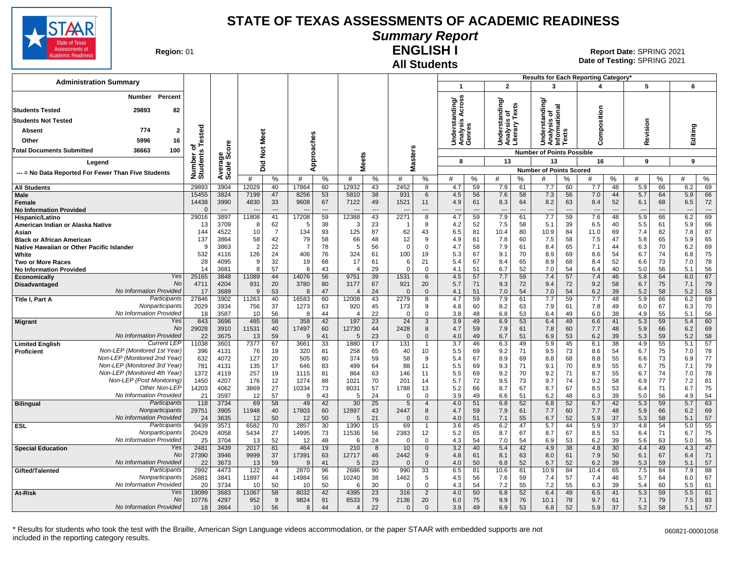

# **Summary Report**

**Region: 01** 

#### **All Students ENGLISH I**

**Date of Testing:**  SPRING 2021 01 **Report Date:** SPRING 2021

| <b>Administration Summary</b>                       |                      |                |                |                      |                |                      |                        |                       |                  |                       |                                |                      |                                                 |                      |                                              |                      | <b>Results for Each Reporting Category</b> |                      |                                 |                      |            |                                |
|-----------------------------------------------------|----------------------|----------------|----------------|----------------------|----------------|----------------------|------------------------|-----------------------|------------------|-----------------------|--------------------------------|----------------------|-------------------------------------------------|----------------------|----------------------------------------------|----------------------|--------------------------------------------|----------------------|---------------------------------|----------------------|------------|--------------------------------|
|                                                     |                      |                |                |                      |                |                      |                        |                       |                  |                       | $\mathbf{1}$                   |                      | $\overline{2}$                                  |                      | 3                                            |                      |                                            |                      | 5                               |                      | 6          |                                |
| Percent<br>Number                                   |                      |                |                |                      |                |                      |                        |                       |                  |                       | nding/<br>Across               |                      | Understanding/<br>Analysis of<br>Literary Texts |                      | ding/                                        |                      |                                            |                      |                                 |                      |            |                                |
| 29893<br><b>Students Tested</b><br>82               |                      |                |                |                      |                |                      |                        |                       |                  |                       |                                |                      |                                                 |                      |                                              |                      |                                            |                      |                                 |                      |            |                                |
| <b>Students Not Tested</b>                          |                      |                |                |                      |                |                      |                        |                       |                  |                       | ā                              |                      |                                                 |                      |                                              |                      |                                            |                      |                                 |                      |            |                                |
| 774<br>Absent<br>2                                  |                      |                |                |                      |                |                      |                        |                       |                  |                       | Understa<br>Analysis<br>Genres |                      |                                                 |                      | Understandin<br>Analysis of<br>Informational |                      | omposition                                 |                      | Revision                        |                      | Editing    |                                |
| 5996<br>Other<br>16                                 | Tested               |                | Meet           |                      |                |                      |                        |                       |                  |                       |                                |                      |                                                 |                      |                                              |                      |                                            |                      |                                 |                      |            |                                |
| 100<br>36663<br>Total Documents Submitted           | ۰                    | $\circ$        |                |                      |                | pproaches            |                        |                       |                  |                       |                                |                      |                                                 |                      |                                              |                      | Ö                                          |                      |                                 |                      |            |                                |
|                                                     |                      | క్టిట్         | $\frac{5}{2}$  |                      |                |                      | eets                   |                       |                  | <b>Masters</b>        |                                |                      |                                                 |                      | <b>Number of Points Possible</b>             |                      |                                            |                      |                                 |                      |            |                                |
| Leaend                                              |                      |                | Did            |                      | ⋖              |                      | ż                      |                       |                  |                       | 8                              |                      | 13                                              |                      | 13                                           |                      | 16                                         |                      | 9                               |                      | 9          |                                |
| --- = No Data Reported For Fewer Than Five Students | Number o<br>Students | Avera          | #              | %                    | #              | %                    | #                      | $\%$                  | #                | %                     | #                              | %                    | #                                               | ℅                    | <b>Number of Points Scored</b><br>#          | %                    | #                                          | %                    | #                               | %                    | #          | %                              |
| <b>All Students</b>                                 | 29893                | 3904           | 12029          | 40                   | 17864          | 60                   | 12932                  | 43                    | 2452             | 8                     | 4.7                            | 59                   | 7.9                                             | 61                   | 7.7                                          | 60                   | 7.7                                        | 48                   | 5.9                             | 66                   | 6.2        | 69                             |
| Male                                                | 15455                | 3824           | 7199           | 47                   | 8256           | 53                   | 5810                   | 38                    | 931              | 6                     | 4.5                            | 56                   | 7.6                                             | 58                   | 7.3                                          | 56                   | 7.0                                        | 44                   | 5.7                             | 64                   | 5.9        | 66                             |
| Female                                              | 14438                | 3990           | 4830           | 33                   | 9608           | 67                   | 7122                   | 49                    | 1521             | 11                    | 4.9                            | 61                   | 8.3                                             | 64                   | 8.2                                          | 63                   | 8.4                                        | 52                   | 6.1                             | 68                   | 6.5        | 72                             |
| <b>No Information Provided</b>                      | 29016                | $\sim$<br>3897 | 11808          | $\overline{a}$<br>41 | 17208          | $\overline{a}$<br>59 | 2388                   | $\overline{a}$<br>43  | 2271             | ---<br>$\overline{8}$ | $\overline{a}$<br>4.7          | $\overline{a}$<br>59 | ---<br>7.9                                      | $\overline{a}$<br>61 | 7.7                                          | $\overline{a}$<br>59 | 7.6                                        | $\overline{a}$<br>48 | $\overline{\phantom{a}}$<br>5.9 | $\overline{a}$<br>66 | ---<br>6.2 | $\overline{\phantom{a}}$<br>69 |
| Hispanic/Latino<br>American Indian or Alaska Native | 13                   | 3709           | 8              | 62                   | 5              | 38                   | 3                      | 23                    |                  | 8                     | 4.2                            | 52                   | 7.5                                             | 58                   | 5.1                                          | 39                   | 6.5                                        | 40                   | 5.5                             | 61                   | 5.9        | 66                             |
| Asian                                               | 144                  | 4522           | 10             | $\overline{7}$       | 134            | 93                   | 125                    | 87                    | 62               | 43                    | 6.5                            | 81                   | 10.4                                            | 80                   | 10.9                                         | 84                   | 11.0                                       | 69                   | 7.4                             | 82                   | 7.8        | 87                             |
| <b>Black or African American</b>                    | 137                  | 3864           | 58             | 42                   | 79             | 58                   | 66                     | 48                    | 12               | 9                     | 4.9                            | 61                   | 7.8                                             | 60                   | 7.5                                          | 58                   | 7.5                                        | 47                   | 5.8                             | 65                   | 5.9        | 65                             |
| Native Hawaiian or Other Pacific Islander           | <b>c</b>             | 3863           | $\overline{2}$ | 22                   | $\overline{7}$ | 78                   | 5                      | 56                    | $\Omega$         | $\overline{0}$        | 4.7                            | 58                   | 7.9                                             | 61                   | 8.4                                          | 65                   | 7.1                                        | 44                   | 6.3                             | 70                   | 6.2        | 69                             |
| White                                               | 532                  | 4116           | 126            | 24                   | 406            | 76                   | 324                    | 61                    | 100              | 19                    | 5.3                            | 67                   | 9.1                                             | 70                   | 8.9                                          | 69                   | 8.6                                        | 54                   | 6.7                             | 74                   | 6.8        | 75                             |
| Two or More Races                                   | 28                   | 4095           | 9              | 32                   | 19             | 68                   | 17                     | 61                    | 6                | 21                    | 5.4                            | 67                   | 8.4                                             | 65                   | 8.9                                          | 68                   | 8.4                                        | 52                   | 6.6                             | 73                   | 7.0        | 78                             |
| <b>No Information Provided</b><br>Yes               | 14<br>25165          | 3681<br>3848   | 8<br>11089     | 57<br>44             | 6<br>14076     | 43<br>56             | $\overline{4}$<br>9751 | 29<br>39              | $\Omega$<br>1531 | $\mathbf 0$<br>6      | 4.1<br>4.5                     | 51<br>57             | 6.7<br>7.7                                      | 52<br>59             | 7.0<br>7.4                                   | 54<br>57             | 6.4<br>7.4                                 | 40<br>46             | 5.0<br>5.8                      | 56<br>64             | 5.1<br>6.0 | 56<br>67                       |
| Economically<br>No<br>Disadvantaged                 | 4711                 | 4204           | 931            | 20                   | 3780           | 80                   | 3177                   | 67                    | 921              | 20                    | 5.7                            | 71                   | 9.3                                             | 72                   | 9.4                                          | 72                   | 9.2                                        | 58                   | 6.7                             | 75                   | 7.1        | 79                             |
| No Information Provided                             | 17                   | 3689           | $\mathbf{q}$   | 53                   | $\mathsf{R}$   | 47                   |                        | 24                    | $\overline{0}$   | $\mathbf 0$           | 4.1                            | 51                   | 7.0                                             | 54                   | 7.0                                          | 54                   | 6.2                                        | 39                   | 5.2                             | 58                   | 5.2        | 58                             |
| Participants<br>Title I, Part A                     | 27846                | 3902           | 11263          | 40                   | 16583          | 60                   | 12008                  | 43                    | 2279             | 8                     | 4.7                            | 59                   | 7.9                                             | 61                   | 7.7                                          | 59                   | 7.7                                        | 48                   | 5.9                             | 66                   | 6.2        | 69                             |
| Nonparticipants                                     | 2029                 | 3934           | 756            | 37                   | 1273           | 63                   | 920                    | 45                    | 173              | 9                     | 4.8                            | 60                   | 8.2                                             | 63                   | 7.9                                          | 61                   | 7.8                                        | 49                   | 6.0                             | 67                   | 6.3        | 70                             |
| No Information Provided                             | 18                   | 3587           | 10             | 56                   | 8              | 44                   | $\boldsymbol{\Delta}$  | 22                    | $\Omega$         | $\Omega$              | 3.8                            | 48                   | 6.8                                             | 53                   | 6.4                                          | 49                   | 6.0                                        | 38                   | 4.9                             | 55                   | 5.1        | 56                             |
| Yes<br><b>Migrant</b>                               | 843                  | 3696           | 485            | 58                   | 358            | 42                   | 197                    | 23                    | 24               | 3                     | 3.9                            | 49                   | 6.9                                             | 53                   | 6.4                                          | 49                   | 6.6                                        | 41                   | 5.3                             | 59                   | 5.4        | 60                             |
| No<br>No Information Provided                       | 29028<br>22          | 3910<br>3675   | 11531<br>13    | 40<br>59             | 17497<br>9     | 60<br>41             | 12730<br>5             | 44<br>23              | 2428<br>$\Omega$ | 8<br>$\mathbf 0$      | 4.7<br>4.0                     | 59<br>49             | 7.9<br>6.7                                      | 61<br>51             | 7.8<br>6.9                                   | 60<br>53             | 7.7<br>6.2                                 | 48<br>39             | 5.9<br>5.3                      | 66<br>59             | 6.2<br>5.2 | 69<br>58                       |
| <b>Current LEP</b><br><b>Limited English</b>        | 11038                | 3601           | 7377           | 67                   | 3661           | 33                   | 1880                   | 17                    | 131              | $\mathbf{1}$          | 3.7                            | 46                   | 6.3                                             | 49                   | 5.9                                          | 45                   | 6.1                                        | 38                   | 4.9                             | 55                   | 5.1        | 57                             |
| Non-LEP (Monitored 1st Year)<br>Proficient          | 396                  | 4131           | 76             | 19                   | 320            | 81                   | 258                    | 65                    | 40               | 10                    | 5.5                            | 69                   | 9.2                                             | 71                   | 9.5                                          | 73                   | 8.6                                        | 54                   | 6.7                             | 75                   | 7.0        | 78                             |
| Non-LEP (Monitored 2nd Year)                        | 632                  | 4072           | 127            | 20                   | 505            | 80                   | 374                    | 59                    | 58               | 9                     | 5.4                            | 67                   | 8.9                                             | 69                   | 8.8                                          | 68                   | 8.8                                        | 55                   | 6.6                             | 73                   | 6.9        | 77                             |
| Non-LEP (Monitored 3rd Year)                        | 781                  | 4131           | 135            | 17                   | 646            | 83                   | 499                    | 64                    | 88               | 11                    | 5.5                            | 69                   | 9.3                                             | 71                   | 9.1                                          | 70                   | 8.9                                        | 55                   | 6.7                             | 75                   | 7.1        | 79                             |
| Non-LEP (Monitored 4th Year)                        | 1372                 | 4119           | 257            | 19                   | 1115           | 81                   | 864                    | 63                    | 146              | 11                    | 5.5                            | 69                   | 9.2                                             | 70                   | 9.2                                          | 71                   | 8.7                                        | 55                   | 6.7                             | 74                   | 7.0        | 78                             |
| Non-LEP (Post Monitoring)                           | 1450                 | 4207           | 176            | 12                   | 1274           | 88                   | 1021                   | 70                    | 201              | 14                    | 5.7                            | 72                   | 9.5                                             | 73                   | 9.7                                          | 74                   | 9.2                                        | 58                   | 6.9                             | 77                   | 7.2        | 81                             |
| Other Non-LEP<br>No Information Provided            | 14203                | 4062           | 3869           | 27                   | 10334<br>9     | 73                   | 8031                   | 57                    | 1788             | 13<br>$\mathbf 0$     | 5.2                            | 66                   | 8.7                                             | 67                   | 8.7                                          | 67                   | 8.5                                        | 53                   | 6.4                             | 71                   | 6.7        | 75                             |
| Participants<br><b>Bilingual</b>                    | 21<br>118            | 3597<br>3734   | 12<br>69       | 57<br>58             | 49             | 43<br>42             | 5<br>30                | 24<br>$\overline{25}$ | $\Omega$<br>5    | $\overline{4}$        | 3.9<br>4.0                     | 49<br>51             | 6.6<br>6.8                                      | 51<br>52             | 6.2<br>6.8                                   | 48<br>52             | 6.3<br>6.7                                 | 39<br>42             | 5.0<br>5.3                      | 56<br>59             | 4.9<br>5.7 | 54<br>63                       |
| Nonparticipants                                     | 29751                | 3905           | 11948          | 40                   | 17803          | 60                   | 12897                  | 43                    | 2447             | 8                     | 4.7                            | 59                   | 7.9                                             | 61                   | 7.7                                          | 60                   | 7.7                                        | 48                   | 5.9                             | 66                   | 6.2        | 69                             |
| No Information Provided                             | 24                   | 3635           | 12             | 50                   | 12             | 50                   | 5                      | 21                    | $\Omega$         | $\mathbf{0}$          | 4.0                            | 51                   | 7.1                                             | 55                   | 6.7                                          | 52                   | 5.9                                        | 37                   | 5.3                             | 58                   | 5.1        | 57                             |
| Participants<br><b>ESL</b>                          | 9439                 | 3571           | 6582           | 70                   | 2857           | 30                   | 1390                   | 15                    | 69               | $\overline{1}$        | 3.6                            | 45                   | 6.2                                             | 47                   | 5.7                                          | 44                   | 5.9                                        | $\overline{37}$      | 4.8                             | 54                   | 5.0        | 55                             |
| Nonparticipants                                     | 20429                | 4058           | 5434           | 27                   | 14995          | 73                   | 11536                  | 56                    | 2383             | 12                    | 5.2                            | 65                   | 8.7                                             | 67                   | 8.7                                          | 67                   | 8.5                                        | 53                   | 6.4                             | 71                   | 6.7        | 75                             |
| No Information Provided                             | 25                   | 3704           | 13             | 52                   | 12             | 48                   | 6                      | 24                    | $\Omega$         | $\mathbf 0$           | 4.3                            | 54                   | 7.0                                             | 54                   | 6.9                                          | 53                   | 6.2                                        | 39                   | 5.6                             | 63                   | 5.0        | 56                             |
| Yes<br><b>Special Education</b><br>No               | 2481                 | 3439           | 2017           | 81                   | 464            | 19                   | 210                    | 8                     | 10               | $\mathbf 0$           | 3.2                            | 40                   | 5.4                                             | 42                   | 4.9                                          | 38                   | 4.8                                        | 30                   | 4.4                             | 49                   | 4.3        | 47                             |
| No Information Provided                             | 27390<br>22          | 3946<br>3673   | 9999<br>13     | 37<br>59             | 17391<br>9     | 63<br>41             | 12717<br>5             | 46<br>23              | 2442<br>$\Omega$ | 9<br>$\mathbf{0}$     | 4.8<br>4.0                     | 61<br>50             | 8.1<br>6.8                                      | 63<br>52             | 8.0<br>6.7                                   | 61<br>52             | 7.9<br>6.2                                 | 50<br>39             | 6.1<br>5.3                      | 67<br>59             | 6.4<br>5.1 | 71<br>57                       |
| Participants<br>Gifted/Talented                     | 2992                 | 4473           | 122            | 4                    | 2870           | 96                   | 2686                   | 90                    | 990              | 33                    | 6.5                            | 81                   | 10.6                                            | 81                   | 10.9                                         | 84                   | 10.4                                       | 65                   | 7.5                             | 84                   | 7.9        | 88                             |
| Nonparticipants                                     | 26881                | 3841           | 11897          | 44                   | 14984          | 56                   | 10240                  | 38                    | 1462             | 5                     | 4.5                            | 56                   | 7.6                                             | 59                   | 7.4                                          | 57                   | 7.4                                        | 46                   | 5.7                             | 64                   | 6.0        | 67                             |
| No Information Provided                             | 20                   | 3734           | 10             | 50                   | 10             | 50                   | 6                      | 30                    | ſ                | $\Omega$              | 4.3                            | 54                   | 7.2                                             | 55                   | 7.2                                          | 55                   | 6.3                                        | 39                   | 5.4                             | 60                   | 5.5        | 61                             |
| Yes<br>At-Risk                                      | 19099                | 3683           | 11067          | 58                   | 8032           | 42                   | 4395                   | 23                    | 316              | $\overline{2}$        | 4.0                            | 50                   | 6.8                                             | 52                   | 6.4                                          | 49                   | 6.5                                        | 41                   | 5.3                             | 59                   | 5.5        | 61                             |
| No                                                  | 10776                | 4297           | 952            | 9                    | 9824           | 91                   | 8533                   | 79                    | 2136             | 20                    | 6.0                            | 75                   | 9.9                                             | 76                   | 10.1                                         | 78                   | 9.7                                        | 61                   | 7.1                             | 79                   | 7.5        | 83                             |
| No Information Provided                             | 18                   | 3664           | 10             | 56                   | 8              | 44                   | $\overline{4}$         | 22                    | $\Omega$         | $\mathbf{0}$          | 3.9                            | 49                   | 6.9                                             | 53                   | 6.8                                          | 52                   | 5.9                                        | 37                   | 5.2                             | 58                   | 5.1        | 57                             |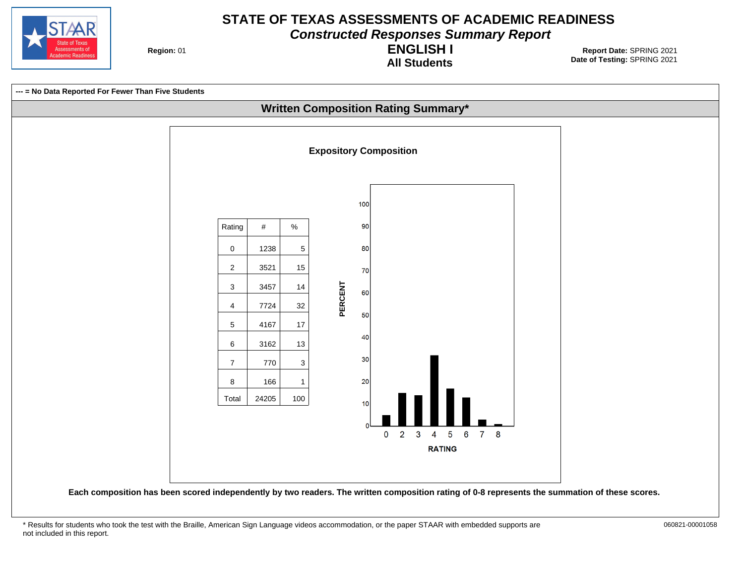

**Constructed Responses Summary Report**

**Region: 01** 

**All Students ENGLISH I**

**Date of Testing:**  SPRING 2021 01 **Report Date:** SPRING 2021

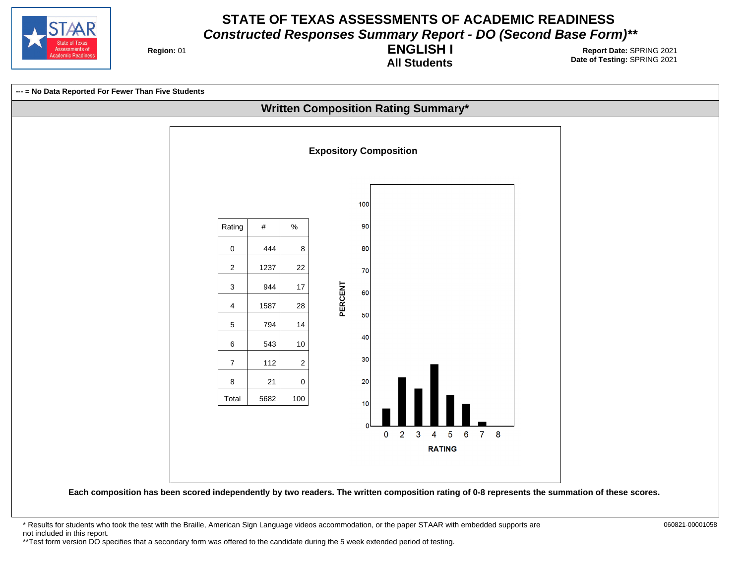

**Region: 01** 

**All Students ENGLISH I**

**Date of Testing:**  SPRING 2021 01 **Report Date:** SPRING 2021



\* Results for students who took the test with the Braille, American Sign Language videos accommodation, or the paper STAAR with embedded supports are 060821-00001058 not included in this report. \*\*Test form version DO specifies that a secondary form was offered to the candidate during the 5 week extended period of testing.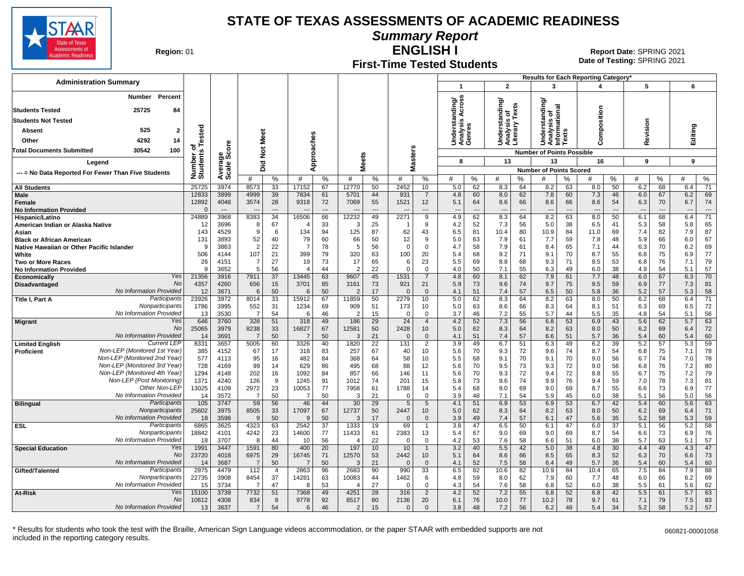

**Summary Report**

**Region: 01** 

# **First-Time Tested Students**

**ENGLISH I** 01 **Report Date:** SPRING 2021 **Date of Testing:**  SPRING 2021

|                                                                               |                      |                |                       |                       |                      |                       |                       |                       |                  |                                |                                    |           |                                                 |                                | Results for Each Reporting Category'        |           |                                 |                       |                                 |                              |            |                                |
|-------------------------------------------------------------------------------|----------------------|----------------|-----------------------|-----------------------|----------------------|-----------------------|-----------------------|-----------------------|------------------|--------------------------------|------------------------------------|-----------|-------------------------------------------------|--------------------------------|---------------------------------------------|-----------|---------------------------------|-----------------------|---------------------------------|------------------------------|------------|--------------------------------|
| <b>Administration Summary</b>                                                 |                      |                |                       |                       |                      |                       |                       |                       |                  |                                | $\mathbf{1}$                       |           | $\overline{2}$                                  |                                | 3                                           |           | 4                               |                       | 5                               |                              | 6          |                                |
| Percent<br><b>Number</b>                                                      |                      |                |                       |                       |                      |                       |                       |                       |                  |                                | ৯                                  |           |                                                 |                                | টা                                          |           |                                 |                       |                                 |                              |            |                                |
| <b>Students Tested</b><br>25725<br>84                                         |                      |                |                       |                       |                      |                       |                       |                       |                  |                                | Across<br>÷                        |           | Understanding/<br>Analysis of<br>Literary Texts | is o.<br>v Texts               | ਰ                                           | onal      |                                 |                       |                                 |                              |            |                                |
| <b>Students Not Tested</b>                                                    |                      |                |                       |                       |                      |                       |                       |                       |                  |                                | Understand<br>Analysis A<br>Genres |           |                                                 |                                | ۰<br>ã                                      |           | omposition                      |                       |                                 |                              |            |                                |
| 525<br>$\overline{2}$<br>Absent                                               |                      |                |                       |                       |                      |                       |                       |                       |                  |                                |                                    |           |                                                 |                                | Understa<br>Analysis<br>Informatic<br>Texts |           |                                 |                       | Revision                        |                              | Editing    |                                |
| 4292<br>14<br>Other                                                           | ested                |                | Meet                  |                       |                      |                       |                       |                       |                  |                                |                                    |           |                                                 |                                |                                             |           |                                 |                       |                                 |                              |            |                                |
| <b>Total Documents Submitted</b><br>30542<br>100                              | ъ                    | ige<br>Score   |                       |                       |                      |                       |                       |                       |                  | s                              |                                    |           |                                                 |                                |                                             |           | ن                               |                       |                                 |                              |            |                                |
|                                                                               | Number o<br>Students |                | $\frac{5}{2}$         |                       | pproaches            |                       | Meets                 |                       |                  | aster:                         | 8                                  |           | 13                                              |                                | <b>Number of Points Possible</b><br>13      |           | 16                              |                       | 9                               |                              | 9          |                                |
| Legend                                                                        |                      | Avera<br>Scale | 흐<br>۵                |                       | ∢                    |                       |                       |                       |                  | Σ                              |                                    |           |                                                 |                                | <b>Number of Points Scored</b>              |           |                                 |                       |                                 |                              |            |                                |
| --- = No Data Reported For Fewer Than Five Students                           |                      |                | #                     | %                     | #                    | %                     | #                     | %                     | #                | %                              | #                                  | %         | #                                               | %                              | #                                           | %         | #                               | %                     | #                               | %                            | #          | %                              |
| <b>All Students</b>                                                           | 25725                | 3974           | 8573                  | 33                    | 17152                | 67                    | 12770                 | 50                    | 2452             | 10                             | 5.0                                | 62        | 8.3                                             | 64                             | 8.2                                         | 63        | 8.0                             | 50                    | 6.2                             | 68                           | 6.4        | 71                             |
| <b>Male</b>                                                                   | 12833                | 3899           | 4999                  | 39                    | 7834                 | 61                    | 5701                  | 44                    | 931              | $\overline{7}$                 | 4.8                                | 60        | 8.0                                             | 62                             | 7.8                                         | 60        | 7.3                             | 46                    | 6.0                             | 67                           | 6.2        | 69                             |
| Female<br><b>No Information Provided</b>                                      | 12892<br>$\sqrt{ }$  | 4048<br>$---$  | 3574                  | 28<br>$---$           | 9318                 | 72                    | 7069                  | 55<br>$\overline{a}$  | 1521             | 12<br>$\overline{\phantom{a}}$ | 5.1<br>$\overline{\phantom{a}}$    | 64<br>--- | 8.6<br>---                                      | 66<br>$\overline{\phantom{a}}$ | 8.6<br>$\overline{\phantom{a}}$             | 66<br>--- | 8.6<br>$\overline{\phantom{a}}$ | 54<br>$\overline{a}$  | 6.3<br>$\overline{\phantom{a}}$ | 70<br>$\qquad \qquad \cdots$ | 6.7<br>--- | 74<br>$\overline{\phantom{a}}$ |
| Hispanic/Latino                                                               | 24889                | 3968           | 8383                  | $\overline{34}$       | 16506                | 66                    | 12232                 | 49                    | 2271             | 9                              | 4.9                                | 62        | 8.3                                             | 64                             | 8.2                                         | 63        | 8.0                             | 50                    | 6.1                             | 68                           | 6.4        | $\overline{71}$                |
| American Indian or Alaska Native                                              | 12                   | 3696           | -8                    | 67                    |                      | 33                    | 3                     | 25                    |                  | 8                              | 4.2                                | 52        | 7.3                                             | 56                             | 5.0                                         | 38        | 6.5                             | 41                    | 5.3                             | 58                           | 5.8        | 65                             |
| Asian                                                                         | 143                  | 4529           | 9                     | 6                     | 134                  | 94                    | 125                   | 87<br>50              | 62               | 43                             | 6.5                                | 81        | 10.4                                            | 80                             | 10.9                                        | 84        | 11.0                            | 69                    | 7.4                             | 82                           | 7.9        | 87<br>67                       |
| <b>Black or African American</b><br>Native Hawaiian or Other Pacific Islander | 131<br>. ç           | 3893<br>3863   | 52<br>$\overline{2}$  | 40<br>22              | 79<br>$\overline{7}$ | 60<br>78              | 66<br>5               | 56                    | 12<br>$\Omega$   | 9<br>$\mathbf 0$               | 5.0<br>4.7                         | 63<br>58  | 7.9<br>7.9                                      | 61<br>61                       | 7.7<br>8.4                                  | 59<br>65  | 7.8<br>7.1                      | 48<br>44              | 5.9<br>6.3                      | 66<br>70                     | 6.0<br>6.2 | 69                             |
| White                                                                         | 506                  | 4144           | 107                   | 21                    | 399                  | 79                    | 320                   | 63                    | 100              | 20                             | 5.4                                | 68        | 9.2                                             | 71                             | 9.1                                         | 70        | 8.7                             | 55                    | 6.8                             | 75                           | 6.9        | 77                             |
| <b>Two or More Races</b>                                                      | 26                   | 4151           | $\overline{7}$        | 27                    | 19                   | 73                    | 17                    | 65                    | 6                | 23                             | 5.5                                | 69        | 8.8                                             | 68                             | 9.3                                         | 71        | 8.5                             | 53                    | 6.8                             | 76                           | 7.1        | 79                             |
| <b>No Information Provided</b><br>Yes                                         | <b>Q</b>             | 3652           | 5                     | 56<br>$\overline{37}$ | $\overline{4}$       | 44<br>63              | $\overline{2}$        | 22<br>45              | 1531             | $\mathbf 0$                    | 4.0                                | 50<br>60  | 7.1                                             | 55<br>62                       | 6.3<br>7.9                                  | 49        | 6.0<br>7.7                      | 38<br>48              | 4.9<br>6.0                      | 54<br>67                     | 5.1<br>6.3 | 57<br>70                       |
| <b>Economically</b><br>No<br>Disadvantaged                                    | 21356<br>4357        | 3916<br>4260   | 7911<br>656           | 15                    | 13445<br>3701        | 85                    | 9607<br>3161          | 73                    | 921              | $\overline{7}$<br>21           | 4.8<br>5.9                         | 73        | 8.1<br>9.6                                      | 74                             | 9.7                                         | 61<br>75  | 9.5                             | 59                    | 6.9                             | 77                           | 7.3        | 81                             |
| No Information Provided                                                       | 12                   | 3671           | 6                     | 50                    | 6                    | 50                    | $\overline{2}$        | 17                    | $\Omega$         | $\mathbf 0$                    | 4.1                                | 51        | 7.4                                             | 57                             | 6.5                                         | 50        | 5.8                             | 36                    | 5.2                             | 57                           | 5.3        | 58                             |
| Participants<br>Title I, Part A                                               | 23926                | 3972           | 8014                  | 33                    | 15912                | 67                    | 11859                 | 50                    | 2279             | 10                             | 5.0                                | 62        | 8.3                                             | 64                             | 8.2                                         | 63        | 8.0                             | 50                    | 6.2                             | 68                           | 6.4        | 71                             |
| Nonparticipants<br>No Information Provided                                    | 1786                 | 3995           | 552                   | 31                    | 1234                 | 69                    | 909                   | 51                    | 173              | 10                             | 5.0                                | 63        | 8.6                                             | 66                             | 8.3                                         | 64        | 8.1                             | 51                    | 6.3                             | 69                           | 6.5        | 72                             |
| Yes<br><b>Migrant</b>                                                         | 13<br>646            | 3530<br>3760   | $\overline{7}$<br>328 | 54<br>51              | -6<br>318            | 46<br>49              | $\overline{2}$<br>186 | 15<br>29              | $\Omega$<br>24   | $\Omega$<br>$\overline{4}$     | 3.7<br>4.2                         | 46<br>52  | 7.2<br>7.3                                      | 55<br>56                       | 5.7<br>6.8                                  | 44<br>53  | 5.5<br>6.9                      | 35<br>43              | 4.8<br>5.6                      | 54<br>62                     | 5.1<br>5.7 | 56<br>63                       |
| No                                                                            | 25065                | 3979           | 8238                  | 33                    | 16827                | 67                    | 12581                 | 50                    | 2428             | 10                             | 5.0                                | 62        | 8.3                                             | 64                             | 8.2                                         | 63        | 8.0                             | 50                    | 6.2                             | 69                           | 6.4        | 72                             |
| No Information Provided                                                       | 14                   | 3691           | $\overline{7}$        | 50                    |                      | 50                    | 3                     | 21                    | $\Omega$         | $\mathbf{0}$                   | 4.1                                | 51        | 7.4                                             | 57                             | 6.6                                         | 51        | 5.7                             | 36                    | 5.4                             | 60                           | 5.4        | 60                             |
| <b>Current LEF</b><br><b>Limited English</b><br>Non-LEP (Monitored 1st Year)  | 8331<br>385          | 3657<br>4152   | 5005<br>67            | 60<br>17              | 3326<br>318          | 40<br>83              | 1820<br>257           | $\overline{22}$<br>67 | $131$<br>40      | $\overline{2}$<br>10           | $\overline{3.9}$<br>5.6            | 49<br>70  | 6.7<br>9.3                                      | 51<br>72                       | 6.3<br>9.6                                  | 49<br>74  | 6.2<br>8.7                      | 39<br>54              | 5.2<br>6.8                      | 57<br>75                     | 5.3<br>7.1 | 59<br>78                       |
| Proficient<br>Non-LEP (Monitored 2nd Year)                                    | 577                  | 4113           | 95                    | 16                    | 482                  | 84                    | 368                   | 64                    | 58               | 10                             | 5.5                                | 68        | 9.1                                             | 70                             | 9.1                                         | 70        | 9.0                             | 56                    | 6.7                             | 74                           | 7.0        | 78                             |
| Non-LEP (Monitored 3rd Year)                                                  | 728                  | 4169           | 99                    | 14                    | 629                  | 86                    | 495                   | 68                    | 88               | 12                             | 5.6                                | 70        | 9.5                                             | 73                             | 9.3                                         | 72        | 9.0                             | 56                    | 6.8                             | 76                           | 7.2        | 80                             |
| Non-LEP (Monitored 4th Year)                                                  | 1294                 | 4148           | 202                   | 16                    | 1092                 | 84                    | 857                   | 66                    | 146              | 11                             | 5.6                                | 70        | 9.3                                             | 72                             | 9.4                                         | 72        | 8.8                             | 55                    | 6.7                             | 75                           | 7.2        | 79                             |
| Non-LEP (Post Monitoring)<br>Other Non-LEP                                    | 1371                 | 4240           | 126                   | 9                     | 1245                 | 91                    | 1012                  | 74                    | 201              | 15                             | 5.8                                | 73        | 9.6                                             | 74                             | 9.9                                         | 76        | 9.4                             | 59                    | 7.0                             | 78                           | 7.3        | 81                             |
| No Information Provided                                                       | 13025<br>14          | 4109<br>3572   | 2972<br>7             | 23<br>50              | 10053<br>-7          | 77<br>50              | 7958<br>3             | 61<br>21              | 1788<br>$\Omega$ | 14<br>$\Omega$                 | 5.4<br>3.9                         | 68<br>48  | 9.0<br>7.1                                      | 69<br>54                       | 9.0<br>5.9                                  | 69<br>45  | 8.7<br>6.0                      | 55<br>38              | 6.6<br>5.1                      | 73<br>56                     | 6.9<br>5.0 | 77<br>56                       |
| Participants<br><b>Bilingual</b>                                              | 105                  | 3747           | 59                    | 56                    | 46                   | 44                    | 30                    | 29                    | 5                | 5                              | 4.1                                | 51        | 6.9                                             | 53                             | 6.9                                         | 53        | 6.7                             | 42                    | 5.4                             | 60                           | 5.6        | 63                             |
| <b>Nonparticipants</b>                                                        | 25602                | 3975           | 8505                  | 33                    | 17097                | 67                    | 12737                 | 50                    | 2447             | 10 <sup>1</sup>                | 5.0                                | 62        | 8.3                                             | 64                             | 8.2                                         | 63        | 8.0                             | 50                    | 6.2                             | 69                           | 6.4        | 71                             |
| No Information Provided<br>Participants                                       | 18<br>6865           | 3598<br>3625   | 9<br>4323             | 50<br>63              | 9<br>2542            | 50<br>$\overline{37}$ | 3                     | 17<br>19              | $\Omega$<br>69   | $\mathbf{0}$                   | 3.9<br>$\overline{3.8}$            | 49<br>47  | 7.4<br>6.5                                      | 57                             | 6.1<br>6.1                                  | 47        | 5.6<br>6.0                      | 35<br>$\overline{37}$ | 5.2                             | 58<br>56                     | 5.3<br>5.2 | 59<br>58                       |
| <b>ESL</b><br>Nonparticipants                                                 | 18842                | 4101           | 4242                  | 23                    | 14600                | 77                    | 1333<br>11433         | 61                    | 2383             | $\mathbf 1$<br>13              | 5.4                                | 67        | 9.0                                             | 50<br>69                       | 9.0                                         | 47<br>69  | 8.7                             | 54                    | 5.1<br>6.6                      | 73                           | 6.9        | 76                             |
| No Information Provided                                                       | 18                   | 3707           | 8                     | 44                    | 10                   | 56                    | 4                     | 22                    | $\Omega$         | $\mathbf 0$                    | 4.2                                | 53        | 7.6                                             | 58                             | 6.6                                         | 51        | 6.0                             | 38                    | 5.7                             | 63                           | 5.1        | 57                             |
| Yes<br><b>Special Education</b>                                               | 1991                 | 3447           | 1591                  | 80                    | 400                  | 20                    | 197                   | 10                    | 10               | $\mathbf{1}$                   | 3.2                                | 40        | 5.5                                             | 42                             | 5.0                                         | 38        | 4.8                             | 30                    | 4.4                             | 49                           | 4.3        | 47                             |
| <b>No</b>                                                                     | 23720                | 4018           | 6975                  | 29                    | 16745                | 71                    | 12570                 | 53                    | 2442             | 10 <sup>1</sup>                | 5.1                                | 64        | 8.6                                             | 66                             | 8.5                                         | 65        | 8.3                             | 52                    | 6.3                             | 70                           | 6.6        | 73                             |
| No Information Provided<br>Participants<br>Gifted/Talented                    | 14<br>2975           | 3687<br>4479   | 7<br>112              | 50<br>$\overline{4}$  | 2863                 | 50<br>96              | 3<br>2683             | 21<br>90              | $\Omega$<br>990  | $\Omega$<br>$\overline{33}$    | 4.1<br>6.5                         | 52<br>82  | 7.5<br>10.6                                     | 58<br>82                       | 6.4<br>10.9                                 | 49<br>84  | 5.7<br>10.4                     | 36<br>65              | 5.4<br>7.5                      | 60<br>84                     | 5.4<br>7.9 | 60<br>88                       |
| Nonparticipants                                                               | 22735                | 3908           | 8454                  | 37                    | 14281                | 63                    | 10083                 | 44                    | 1462             | 6                              | 4.8                                | 59        | 8.0                                             | 62                             | 7.9                                         | 60        | 7.7                             | 48                    | 6.0                             | 66                           | 6.2        | 69                             |
| No Information Provided                                                       | 15                   | 3734           | $\overline{7}$        | 47                    | -8                   | 53                    | $\angle$              | 27                    | $\Omega$         | $\mathbf 0$                    | 4.3                                | 54        | 7.6                                             | 58                             | 6.8                                         | 52        | 6.0                             | 38                    | 5.5                             | 61                           | 5.6        | 62                             |
| Yes<br>At-Risk                                                                | 15100                | 3739           | 7732                  | 51                    | 7368                 | 49                    | 4251                  | 28                    | 316              | $\overline{2}$                 | 4.2                                | 52        | 7.2                                             | 55                             | 6.8                                         | 52        | 6.8                             | 42                    | 5.5                             | 61                           | 5.7        | 63                             |
| No<br>No Information Provided                                                 | 10612<br>13          | 4308<br>3637   | 834<br>$\overline{7}$ | 8<br>54               | 9778<br>6            | 92<br>46              | 8517<br>2             | 80<br>15              | 2136<br>$\Omega$ | 20<br>$\Omega$                 | 6.1<br>3.8                         | 76<br>48  | 10.0<br>7.2                                     | 77<br>56                       | 10.2<br>6.2                                 | 78<br>48  | 9.7<br>5.4                      | 61<br>34              | 7.1<br>5.2                      | 79<br>58                     | 7.5<br>5.2 | 83<br>57                       |
|                                                                               |                      |                |                       |                       |                      |                       |                       |                       |                  |                                |                                    |           |                                                 |                                |                                             |           |                                 |                       |                                 |                              |            |                                |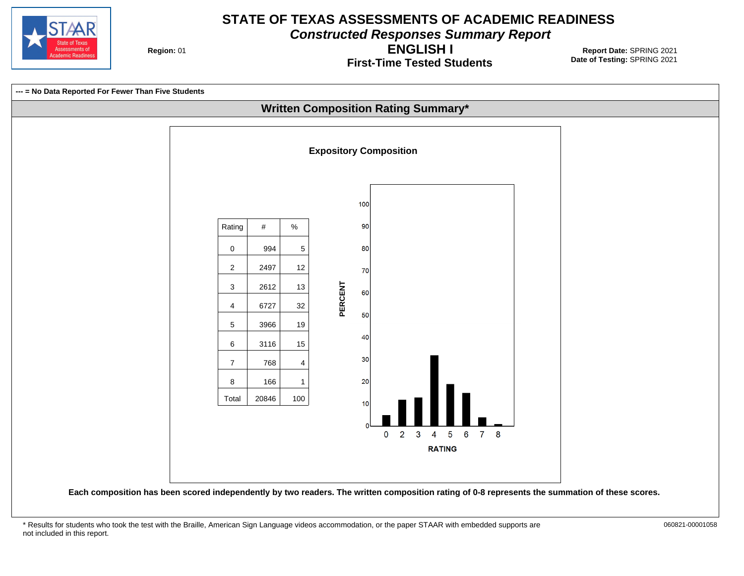

**Constructed Responses Summary Report**

**Region: 01** 

**First-Time Tested Students ENGLISH I**

**Date of Testing:**  SPRING 2021 01 **Report Date:** SPRING 2021

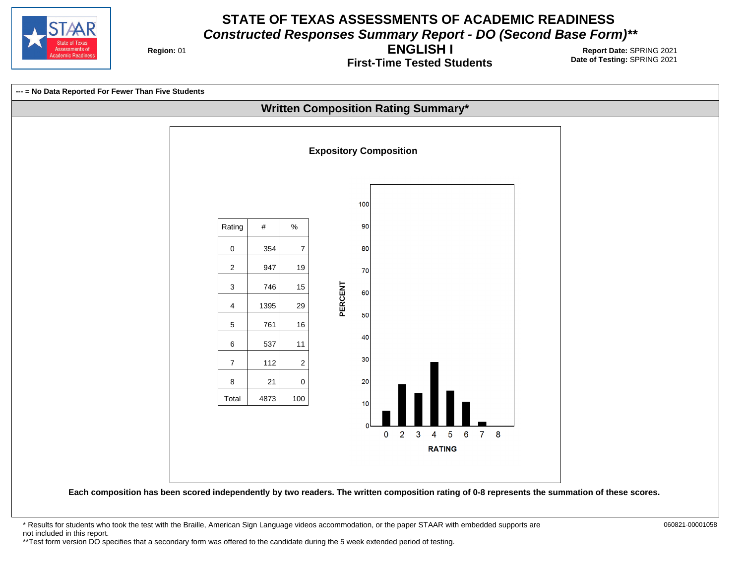

**Region: 01** 

**First-Time Tested Students ENGLISH I**

**Date of Testing:**  SPRING 2021 01 **Report Date:** SPRING 2021



**Each composition has been scored independently by two readers. The written composition rating of 0-8 represents the summation of these scores.**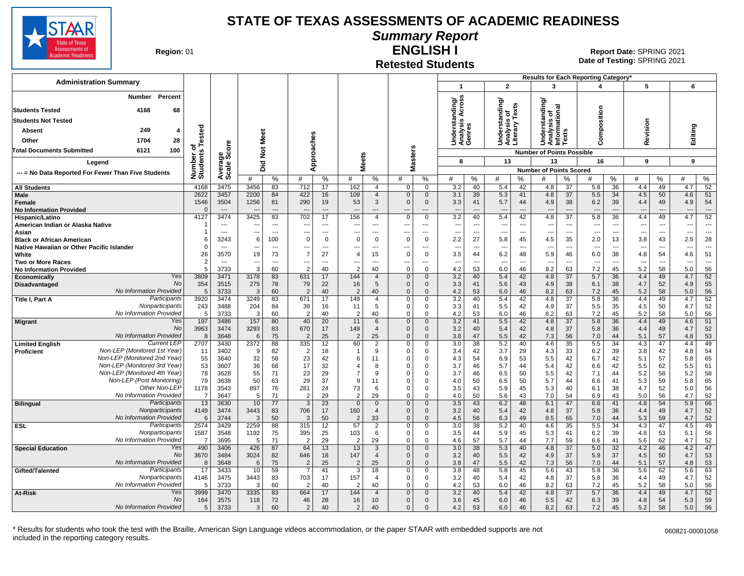

**Summary Report**

**Region: 01** 

#### **Retested Students ENGLISH I**

**Date of Testing:**  SPRING 2021 01 **Report Date:** SPRING 2021

|                                                                               |                          |                          |                               |                          |                          |                               |                       |                                         |                                |                                      |                                 |                                |                                        |                          | Results for Each Reporting Category*          |                                      |                                 |                                |                                        |                            |                                        |                                |
|-------------------------------------------------------------------------------|--------------------------|--------------------------|-------------------------------|--------------------------|--------------------------|-------------------------------|-----------------------|-----------------------------------------|--------------------------------|--------------------------------------|---------------------------------|--------------------------------|----------------------------------------|--------------------------|-----------------------------------------------|--------------------------------------|---------------------------------|--------------------------------|----------------------------------------|----------------------------|----------------------------------------|--------------------------------|
| <b>Administration Summary</b>                                                 |                          |                          |                               |                          |                          |                               |                       |                                         |                                |                                      | $\mathbf{1}$                    |                                | $\overline{2}$                         |                          | 3                                             |                                      | 4                               |                                | 5                                      |                            | 6                                      |                                |
| Percent<br>Number                                                             |                          |                          |                               |                          |                          |                               |                       |                                         |                                |                                      | tanding/<br>is Across           |                                | standing                               |                          | tanding                                       |                                      |                                 |                                |                                        |                            |                                        |                                |
| 4168<br>68<br><b>Students Tested</b>                                          |                          |                          |                               |                          |                          |                               |                       |                                         |                                |                                      |                                 |                                | is of<br>/ Texts                       |                          |                                               |                                      |                                 |                                |                                        |                            |                                        |                                |
| <b>Students Not Tested</b>                                                    |                          |                          |                               |                          |                          |                               |                       |                                         |                                |                                      | ဖာ                              |                                |                                        |                          |                                               |                                      |                                 |                                |                                        |                            |                                        |                                |
| 249<br>Absent<br>4                                                            | ested                    |                          |                               |                          |                          |                               |                       |                                         |                                |                                      | Underst<br>Analysis<br>Genres   |                                | Understa<br>Analysis<br>Literary       |                          | Analysis of<br>Informational<br>Texts<br>ersi |                                      | Composition                     |                                | Revision                               |                            | Editing                                |                                |
| Other<br>1704<br>28                                                           |                          |                          |                               | Meet                     |                          |                               |                       |                                         |                                |                                      |                                 |                                |                                        |                          | Š                                             | š                                    |                                 |                                |                                        |                            |                                        |                                |
| 100<br>Total Documents Submitted<br>6121                                      | ⊢<br>৳                   | <b>e</b>                 |                               | $\rm \breve{\rm z}$      | Approaches               |                               |                       |                                         |                                | 'n                                   |                                 |                                |                                        |                          | <b>Number of Points Possible</b>              |                                      |                                 |                                |                                        |                            |                                        |                                |
| Legend                                                                        | Number of<br>Students    | క్తింద్                  |                               |                          |                          |                               | <b>Meets</b>          |                                         |                                | Master:                              | 8                               |                                | 13                                     |                          | 13                                            |                                      | 16                              |                                | 9                                      |                            | 9                                      |                                |
|                                                                               |                          |                          |                               | Did                      |                          |                               |                       |                                         |                                |                                      |                                 |                                |                                        |                          | <b>Number of Points Scored</b>                |                                      |                                 |                                |                                        |                            |                                        |                                |
| --- = No Data Reported For Fewer Than Five Students                           |                          | Average:                 | #                             | %                        | #                        | %                             | #                     | %                                       | #                              | %                                    | #                               | %                              | #                                      | %                        | #                                             | ℅                                    | #                               | %                              | #                                      | %                          | #                                      | %                              |
| <b>All Students</b>                                                           | 4168                     | 3475                     | 3456                          | 83                       | 712                      | 17                            | 162                   | $\overline{4}$                          | $\mathbf 0$                    | $\mathbf 0$                          | 3.2                             | 40                             | 5.4                                    | 42                       | 4.8                                           | 37                                   | 5.8                             | 36                             | 4.4                                    | 49                         | 4.7                                    | 52                             |
| Male<br>Female<br><b>No Information Provided</b>                              | 2622<br>1546<br>$\Omega$ | 3457<br>3504<br>$---$    | 2200<br>1256<br>$\sim$        | 84<br>81<br>$---$        | 422<br>290<br>$---$      | 16<br>19<br>$\overline{a}$    | 109<br>53<br>---      | $\overline{4}$<br>$\mathbf{3}$<br>$---$ | $\mathbf 0$<br>$\Omega$<br>--- | $\mathbf{0}$<br>$\mathbf 0$<br>$---$ | 3.1<br>3.3<br>$\sim$            | 39<br>41<br>$---$              | 5.3<br>5.7<br>$\overline{\phantom{a}}$ | 41<br>44<br>$---$        | 4.8<br>4.9<br>$\overline{a}$                  | 37<br>38<br>$\overline{\phantom{a}}$ | 5.5<br>6.2<br>$---$             | 34<br>39<br>$\overline{a}$     | 4.5<br>4.4<br>$\overline{\phantom{a}}$ | 50<br>49<br>$\overline{a}$ | 4.6<br>4.9<br>$\overline{\phantom{a}}$ | 51<br>54<br>$\sim$             |
| Hispanic/Latino                                                               | 4127                     | 3474                     | 3425                          | 83                       | 702                      | 17                            | 156                   | $\overline{4}$                          | $\Omega$                       | $\Omega$                             | 3.2                             | 40                             | 5.4                                    | 42                       | 4.8                                           | $\overline{37}$                      | 5.8                             | 36                             | 4.4                                    | 49                         | 4.7                                    | 52                             |
| American Indian or Alaska Native                                              |                          | $---$                    | $\overline{a}$                | $---$                    | $\sim$                   | $---$                         | $\sim$                | $---$                                   | $---$                          | $\overline{a}$                       | $\overline{a}$                  | $\sim$                         | $\sim$                                 | $---$                    | $\overline{a}$                                | $---$                                | $\sim$                          | $-$                            | $\sim$                                 | $\sim$                     | ---                                    | $---$                          |
| Asian                                                                         |                          | $\sim$                   | ---                           | $\hspace{0.05cm} \ldots$ | $\overline{\phantom{a}}$ | $---$                         | ---                   | $---$                                   | ---                            | ---                                  | $\overline{\phantom{a}}$        | $\overline{\phantom{a}}$       | $\overline{\phantom{a}}$               | $---$                    | ---                                           | ---                                  | ---                             | $\sim$                         | $\sim$                                 | $\sim$                     | ---                                    | $---$                          |
| <b>Black or African American</b><br>Native Hawaiian or Other Pacific Islander | 6<br>$\Omega$            | 3243                     | 6<br>$\overline{\phantom{a}}$ | 100<br>$\overline{a}$    | $\mathbf 0$<br>---       | $\mathbf 0$<br>$\overline{a}$ | $\Omega$              | $\Omega$<br>$\overline{a}$              | $\mathbf 0$<br>---             | $\mathbf 0$<br>---                   | 2.2<br>$\overline{\phantom{a}}$ | 27<br>$\overline{\phantom{a}}$ | 5.8<br>$\overline{\phantom{a}}$        | 45<br>$\overline{a}$     | 4.5<br>---                                    | 35<br>---                            | 2.0<br>$\overline{\phantom{a}}$ | 13<br>$\overline{\phantom{a}}$ | 3.8                                    | 43<br>---                  | 2.5<br>--                              | 28<br>$\overline{\phantom{a}}$ |
| White                                                                         | 26                       | 3570                     | 19                            | 73                       | $\overline{7}$           | 27                            | $\overline{4}$        | 15                                      | $\mathbf 0$                    | $\mathbf 0$                          | 3.5                             | 44                             | 6.2                                    | 48                       | 5.9                                           | 46                                   | 6.0                             | 38                             | 4.8                                    | 54                         | 4.6                                    | 51                             |
| <b>Two or More Races</b>                                                      | $\overline{2}$           | $\overline{\phantom{a}}$ | ---                           | ---                      | ---                      | $\overline{\phantom{a}}$      |                       | $\overline{\phantom{a}}$                | ---                            | ---                                  | $\overline{\phantom{a}}$        | ---                            | $\overline{\phantom{a}}$               | $\overline{\phantom{a}}$ | ---                                           | ---                                  | ---                             | $\overline{\phantom{a}}$       |                                        | $\overline{\phantom{a}}$   | --                                     | $\overline{\phantom{a}}$       |
| <b>No Information Provided</b>                                                | 5                        | 3733                     | 3                             | 60                       | $\overline{2}$           | 40                            | $\overline{2}$        | 40                                      | $\mathbf 0$                    | $\mathbf 0$                          | 4.2                             | 53                             | 6.0                                    | 46                       | 8.2                                           | 63                                   | 7.2                             | 45                             | 5.2                                    | 58                         | 5.0                                    | 56                             |
| Yes<br>Economically                                                           | 3809                     | 3471                     | 3178                          | 83                       | 631                      | 17                            | 144                   | $\overline{4}$                          | $\mathbf{0}$                   | $\Omega$                             | 3.2                             | 40                             | 5.4                                    | 42                       | 4.8                                           | $\overline{37}$                      | 5.7                             | 36                             | 4.4                                    | 49                         | 4.7                                    | 52                             |
| <b>No</b><br>Disadvantaged<br>No Information Provided                         | 354<br>5                 | 3515<br>3733             | 275<br>3                      | 78<br>60                 | 79<br>$\overline{2}$     | 22<br>40                      | 16<br>2               | 5<br>40                                 | $\mathbf{0}$<br>$\Omega$       | $\mathbf{0}$<br>$\Omega$             | 3.3<br>4.2                      | 41<br>53                       | 5.6<br>6.0                             | 43<br>46                 | 4.9<br>8.2                                    | 38<br>63                             | 6.1<br>7.2                      | 38<br>45                       | 4.7<br>5.2                             | 52<br>58                   | 4.9<br>5.0                             | 55<br>56                       |
| Participants<br>Title I, Part A                                               | 3920                     | 3474                     | 3249                          | 83                       | 671                      | 17                            | 149                   | $\overline{4}$                          | $\mathbf 0$                    | $\Omega$                             | 3.2                             | 40                             | 5.4                                    | 42                       | 4.8                                           | 37                                   | 5.8                             | 36                             | 4.4                                    | 49                         | 4.7                                    | 52                             |
| Nonparticipants                                                               | 243                      | 3488                     | 204                           | 84                       | 39                       | 16                            | 11                    | 5                                       | $\mathbf 0$                    | $\Omega$                             | 3.3                             | 41                             | 5.5                                    | 42                       | 4.9                                           | 37                                   | 5.5                             | 35                             | 4.5                                    | 50                         | 4.7                                    | 52                             |
| No Information Provided                                                       | 5                        | 3733                     | 3                             | 60                       | $\overline{2}$           | 40                            | $\overline{2}$        | 40                                      | $\Omega$                       | $\Omega$                             | 4.2                             | 53                             | 6.0                                    | 46                       | 8.2                                           | 63                                   | 7.2                             | 45                             | 5.2                                    | 58                         | 5.0                                    | 56                             |
| Yes<br><b>Migrant</b>                                                         | 197                      | 3486                     | 157                           | 80                       | 40                       | 20                            | 11                    | 6                                       | $\mathbf{0}$                   | $\Omega$                             | 3.2                             | 41                             | 5.5                                    | 42                       | 4.8                                           | 37                                   | 5.8                             | 36                             | 4.4                                    | 49                         | 4.6                                    | 51                             |
| No<br>No Information Provided                                                 | 3963<br>8                | 3474<br>3648             | 3293<br>6                     | 83<br>75                 | 670<br>$\overline{2}$    | 17<br>25                      | 149<br>$\overline{2}$ | $\overline{4}$<br>25                    | $\Omega$<br>$\mathbf{0}$       | $\mathbf{0}$<br>$\Omega$             | 3.2<br>3.8                      | 40<br>47                       | 5.4<br>5.5                             | 42<br>42                 | 4.8<br>7.3                                    | 37<br>56                             | 5.8<br>7.0                      | 36<br>44                       | 4.4<br>5.1                             | 49<br>57                   | 4.7<br>4.8                             | 52<br>53                       |
| <b>Current LEP</b><br><b>Limited English</b>                                  | 2707                     | 3430                     | 2372                          | 88                       | 335                      | 12                            | 60                    | $\overline{2}$                          | 0                              | $\Omega$                             | 3.0                             | 38                             | 5.2                                    | 40                       | 4.6                                           | 35                                   | 5.5                             | 34                             | 4.3                                    | 47                         | 4.4                                    | 49                             |
| Non-LEP (Monitored 1st Year)<br>Proficient                                    | 11                       | 3402                     | 9                             | 82                       | $\overline{2}$           | 18                            |                       | 9                                       | $\Omega$                       | $\Omega$                             | 3.4                             | 42                             | 3.7                                    | 29                       | 4.3                                           | 33                                   | 6.2                             | 39                             | 3.8                                    | 42                         | 4.8                                    | 54                             |
| Non-LEP (Monitored 2nd Year)                                                  | 55                       | 3640                     | 32                            | 58                       | 23                       | 42                            | 6                     | 11                                      | $\Omega$                       | $\Omega$                             | 4.3                             | 54                             | 6.9                                    | 53                       | 5.5                                           | 42                                   | 6.7                             | 42                             | 5.1                                    | 57                         | 5.8                                    | 65                             |
| Non-LEP (Monitored 3rd Year)                                                  | 53                       | 3607                     | 36                            | 68                       | 17                       | 32                            | $\overline{4}$        | 8                                       | $\Omega$                       | $\Omega$                             | 3.7                             | 46                             | 5.7                                    | 44                       | 5.4                                           | 42                                   | 6.6                             | 42                             | 5.5                                    | 62                         | 5.5                                    | 61                             |
| Non-LEP (Monitored 4th Year)<br>Non-LEP (Post Monitoring)                     | 78<br>79                 | 3628<br>3638             | 55<br>50                      | 71<br>63                 | 23<br>29                 | 29<br>37                      | $\overline{7}$<br>9   | 9<br>11                                 | $\Omega$<br>$\Omega$           | $\Omega$<br>$\Omega$                 | 3.7<br>4.0                      | 46<br>50                       | 6.5<br>6.5                             | 50<br>50                 | 5.5<br>5.7                                    | 42<br>44                             | 7.1<br>6.6                      | 44<br>41                       | 5.2<br>5.3                             | 58<br>59                   | 5.2<br>5.8                             | 58<br>65                       |
| Other Non-LEP                                                                 | 1178                     | 3543                     | 897                           | 76                       | 281                      | 24                            | 73                    | 6                                       | $\mathbf 0$                    | $\Omega$                             | 3.5                             | 43                             | 5.9                                    | 45                       | 5.3                                           | 40                                   | 6.1                             | 38                             | 4.7                                    | 52                         | 5.0                                    | 56                             |
| No Information Provided                                                       | $\overline{7}$           | 3647                     | 5                             | 71                       | $\overline{2}$           | 29                            | $\overline{2}$        | 29                                      | $\mathbf 0$                    | $\Omega$                             | 4.0                             | 50                             | 5.6                                    | 43                       | 7.0                                           | 54                                   | 6.9                             | 43                             | 5.0                                    | 56                         | 4.7                                    | 52                             |
| Participants<br><b>Bilingual</b>                                              | 13                       | 3630                     | 10                            | 77                       | 3                        | $\overline{23}$               | $\Omega$              | $\mathbf{0}$                            | $\Omega$                       | $\mathbf 0$                          | 3.5                             | 43                             | 6.2                                    | 48                       | 6.1                                           | 47                                   | 6.6                             | 41                             | 4.8                                    | 54                         | 5.9                                    | 66                             |
| Nonparticipants                                                               | 4149                     | 3474                     | 3443                          | 83                       | 706                      | 17                            | 160                   | $\overline{4}$                          | $\mathbf{0}$                   | $\Omega$                             | 3.2                             | 40                             | 5.4                                    | 42                       | 4.8                                           | 37                                   | 5.8                             | 36                             | 4.4                                    | 49                         | 4.7                                    | 52                             |
| No Information Provided<br>Participants                                       | 6<br>2574                | 3744<br>3429             | $\mathcal{R}$<br>2259         | 50<br>88                 | 3<br>315                 | 50<br>12                      | $\overline{2}$<br>57  | 33<br>$\overline{2}$                    | $\mathbf{0}$<br>$\mathbf 0$    | $\Omega$<br>0                        | 4.5<br>3.0                      | 56<br>38                       | 6.3<br>5.2                             | 49<br>40                 | 8.5<br>4.6                                    | 65<br>35                             | 7.0<br>5.5                      | 44<br>$\overline{34}$          | 5.3<br>4.3                             | 59<br>47                   | 4.7<br>4.5                             | 52<br>49                       |
| <b>ESL</b><br>Nonparticipants                                                 | 1587                     | 3548                     | 1192                          | 75                       | 395                      | 25                            | 103                   | 6                                       | $\Omega$                       | $\Omega$                             | 3.5                             | 44                             | 5.9                                    | 45                       | 5.3                                           | 41                                   | 6.2                             | 39                             | 4.8                                    | 53                         | 5.1                                    | 56                             |
| No Information Provided                                                       | 7                        | 3695                     | -5                            | 71                       | $\overline{2}$           | 29                            | 2                     | 29                                      | $\Omega$                       | 0                                    | 4.6                             | 57                             | 5.7                                    | 44                       | 7.7                                           | 59                                   | 6.6                             | 41                             | 5.6                                    | 62                         | 4.7                                    | 52                             |
| Yes<br><b>Special Education</b>                                               | 490                      | 3406                     | 426                           | 87                       | 64                       | 13                            | 13                    | 3                                       | $\mathbf{0}$                   | $\mathbf{0}$                         | 3.0                             | 38                             | 5.3                                    | 40                       | 4.8                                           | 37                                   | 5.0                             | 32                             | 4.2                                    | 46                         | 4.2                                    | 47                             |
| <b>No</b>                                                                     | 3670                     | 3484                     | 3024                          | 82                       | 646                      | 18                            | 147                   | $\overline{4}$                          | $\mathbf{0}$                   | $\mathbf{0}$                         | 3.2                             | 40                             | 5.5                                    | 42                       | 4.9                                           | 37                                   | 5.9                             | 37                             | 4.5                                    | 50                         | 4.7                                    | 53                             |
| No Information Provided<br>Participants                                       | 8                        | 3648                     | 6                             | 75                       | $\overline{2}$           | 25                            | $\overline{2}$        | 25                                      | $\Omega$                       | $\Omega$                             | 3.8                             | 47                             | 5.5                                    | 42                       | 7.3                                           | 56                                   | 7.0                             | 44                             | 5.1                                    | 57                         | 4.8                                    | 53                             |
| Gifted/Talented<br>Nonparticipants                                            | 17<br>4146               | 3433<br>3475             | 10<br>3443                    | 59<br>83                 | -7<br>703                | 41<br>17                      | 3<br>157              | 18<br>$\mathbf{A}$                      | $\mathbf 0$<br>$\mathbf 0$     | $\mathbf 0$<br>0                     | 3.8<br>3.2                      | 48<br>40                       | 5.8<br>5.4                             | 45<br>42                 | 5.6<br>4.8                                    | 43<br>37                             | 5.8<br>5.8                      | 36<br>36                       | 5.6<br>4.4                             | 62<br>49                   | 5.6<br>4.7                             | 63<br>52                       |
| No Information Provided                                                       | 5                        | 3733                     | 3                             | 60                       | $\overline{2}$           | 40                            | $\overline{2}$        | 40                                      | $\Omega$                       | $\Omega$                             | 4.2                             | 53                             | 6.0                                    | 46                       | 8.2                                           | 63                                   | 7.2                             | 45                             | 5.2                                    | 58                         | 5.0                                    | 56                             |
| <b>At-Risk</b><br>Yes                                                         | 3999                     | 3470                     | 3335                          | 83                       | 664                      | 17                            | 144                   | $\overline{4}$                          | $\Omega$                       | $\Omega$                             | 3.2                             | 40                             | 5.4                                    | 42                       | 4.8                                           | 37                                   | 5.7                             | 36                             | 4.4                                    | 49                         | 4.7                                    | 52                             |
| No                                                                            | 164                      | 3575                     | 118                           | 72                       | 46                       | 28                            | 16                    | 10                                      | $\mathbf{0}$                   | $\Omega$                             | 3.6                             | 45                             | 6.0                                    | 46                       | 5.5                                           | 42                                   | 6.3                             | 39                             | 4.8                                    | 54                         | 5.3                                    | 59                             |
| No Information Provided                                                       | 5                        | 3733                     | 3                             | 60                       | $\overline{2}$           | 40                            | $\overline{2}$        | 40                                      | $\Omega$                       | $\Omega$                             | 4.2                             | 53                             | 6.0                                    | 46                       | 8.2                                           | 63                                   | 7.2                             | 45                             | 5.2                                    | 58                         | 5.0                                    | 56                             |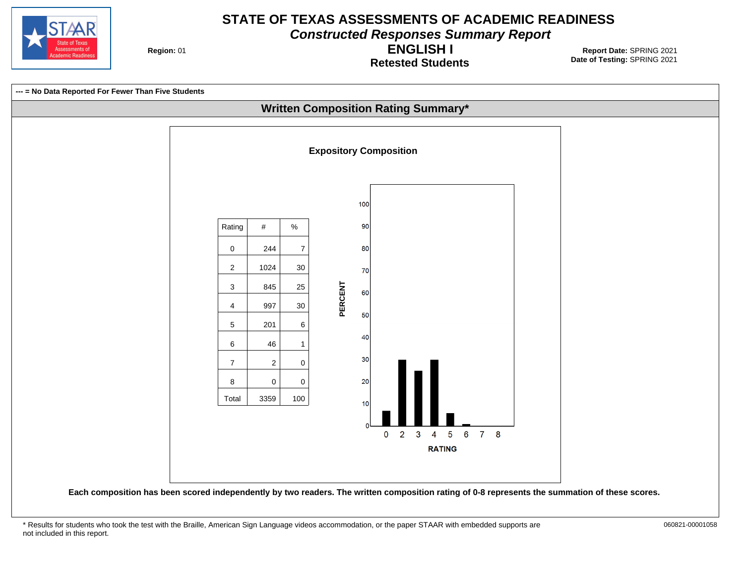

**Constructed Responses Summary Report**

**Region: 01** 

**Retested Students ENGLISH I**

**Date of Testing:**  SPRING 2021 01 **Report Date:** SPRING 2021

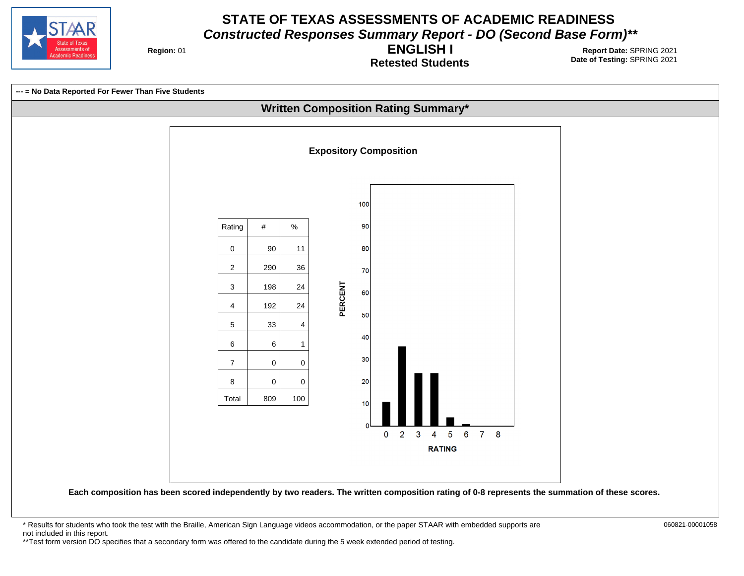

**Region: 01** 

**Retested Students ENGLISH I**

**Date of Testing:**  SPRING 2021 01 **Report Date:** SPRING 2021



**Each composition has been scored independently by two readers. The written composition rating of 0-8 represents the summation of these scores.**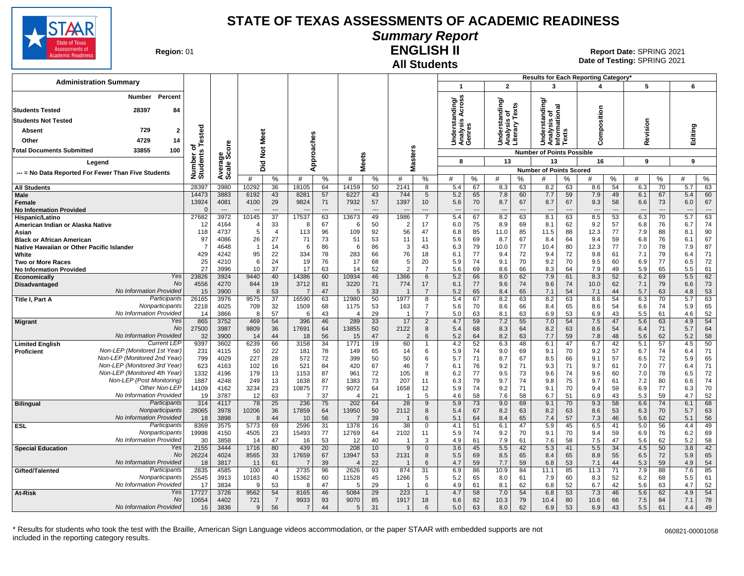

# **Summary Report**

**Region: 01** 

#### **All Students ENGLISH II**

**Date of Testing:**  SPRING 2021 01 **Report Date:** SPRING 2021

| $\overline{2}$<br>3<br>5<br>6<br>$\mathbf 1$<br>Percent<br>Number<br>anding/<br>Across<br>ding/<br>tanding<br>is o.<br>'Texts<br>onal<br>omposition<br>28397<br><b>Students Tested</b><br>84<br>Understanc<br>Analysis of<br>Literary Te:<br>ö<br>Understar<br>Analysis <i>I</i><br>Genres<br>Analysis o<br><b>Students Not Tested</b><br>Revision<br>ergi<br>Editing<br>Tested<br>729<br>Absent<br>2<br><b>SC</b><br>Meet<br>pproaches<br>¤ë,<br>š<br>4729<br>Other<br>14<br>ၜႍ<br>ت<br><b>Masters</b><br>$\frac{5}{2}$<br>$\ddot{\mathbf{c}}$<br>$\circ$<br>33855<br>100<br><b>Total Documents Submitted</b><br>Number o<br>Students<br><b>Number of Points Possible</b><br>క్తిద్ద<br><b>Meets</b><br>13<br>9<br>8<br>13<br>16<br>9<br>Leaend<br>Averag<br>Scale<br>흐<br>ā<br>⋖<br><b>Number of Points Scored</b><br>--- = No Data Reported For Fewer Than Five Students<br>%<br>#<br>%<br>%<br>%<br>#<br>%<br>#<br>%<br>#<br>%<br>$\%$<br>%<br>#<br>%<br>#<br>#<br>#<br>#<br>#<br>28397<br>54<br>$\overline{70}$<br>63<br>3980<br>10292<br>36<br>14159<br>50<br>2141<br>5.4<br>67<br>63<br>63<br>6.3<br>5.7<br><b>All Students</b><br>18105<br>64<br>8<br>8.3<br>8.2<br>8.6<br>Male<br>14473<br>3883<br>6192<br>43<br>8281<br>57<br>6227<br>43<br>744<br>5.2<br>65<br>7.8<br>60<br>7.7<br>59<br>7.9<br>49<br>6.1<br>67<br>5.4<br>60<br>5<br>13924<br>4081<br>4100<br>29<br>9824<br>7932<br>57<br>1397<br>5.6<br>70<br>8.7<br>8.7<br>67<br>9.3<br>58<br>73<br>6.0<br>67<br>71<br>10<br>67<br>6.6<br>Female<br><b>No Information Provided</b><br>$\overline{\phantom{a}}$<br>$\sim$<br>$\sim$<br>$\overline{a}$<br>$\sim$<br>$\sim$<br>$\sim$<br>$\overline{\phantom{a}}$<br>$\overline{\phantom{a}}$<br>$\overline{a}$<br>$\overline{a}$<br>$\overline{a}$<br>$\overline{a}$<br>$\overline{a}$<br>$\overline{a}$<br>17537<br>27682<br>3972<br>$\overline{37}$<br>$\overline{7}$<br>5.4<br>8.2<br>8.5<br>70<br>63<br>10145<br>63<br>13673<br>49<br>1986<br>67<br>63<br>8.1<br>63<br>53<br>6.3<br>5.7<br>Hispanic/Latino<br>33<br>74<br>12<br>4164<br>67<br>50<br>2<br>17<br>6.0<br>75<br>8.9<br>69<br>8.1<br>62<br>9.2<br>57<br>6.8<br>76<br>6.7<br>American Indian or Alaska Native<br>$\overline{4}$<br>-8<br>6<br>113<br>109<br>92<br>56<br>47<br>85<br>85<br>88<br>77<br>90<br>118<br>4737<br>5<br>$\overline{4}$<br>96<br>6.8<br>11.0<br>11.5<br>12.3<br>7.9<br>88<br>8.1<br>Asian<br>27<br>67<br>97<br>4086<br>26<br>71<br>73<br>51<br>53<br>11<br>11<br>5.6<br>69<br>8.7<br>67<br>8.4<br>64<br>9.4<br>59<br>76<br>6.8<br>6.1<br><b>Black or African American</b><br>14<br>86<br>86<br>3<br>43<br>6.3<br>79<br>10.0<br>77<br>80<br>77<br>78<br>87<br>Native Hawaiian or Other Pacific Islander<br>$\overline{7}$<br>4648<br>$\overline{1}$<br>6<br>6<br>10.4<br>12.3<br>7.0<br>7.9<br>429<br>95<br>22<br>76<br>72<br>72<br>79<br>71<br>White<br>4242<br>334<br>78<br>283<br>18<br>6.1<br>77<br>9.4<br>9.8<br>61<br>66<br>9.4<br>7.1<br>6.4<br>25<br>24<br>20<br>5.9<br>70<br>70<br>60<br>77<br>72<br>4210<br>6<br>19<br>76<br>17<br>68<br>5<br>74<br>9.1<br>9.2<br>9.5<br>6.9<br>6.5<br>Two or More Races<br>27<br>17<br>$\overline{7}$<br>3996<br>10<br>37<br>63<br>52<br>2<br>69<br>66<br>64<br>7.9<br>49<br>65<br>61<br>14<br>5.6<br>8.6<br>8.3<br>5.9<br>5.5<br><b>No Information Provided</b><br>Yes<br>23826<br>9440<br>14386<br>46<br>1366<br>5.2<br>8.0<br>7.9<br>8.3<br>52<br>6.2<br>69<br>5.5<br>62<br>3924<br>40<br>60<br>10934<br>6<br>66<br>62<br>61<br>Economically<br><b>No</b><br>4556<br>19<br>3712<br>3220<br>17<br>62<br>73<br>4270<br>844<br>71<br>774<br>6.1<br>9.6<br>74<br>9.6<br>74<br>10.0<br>7.1<br>79<br>6.6<br>Disadvantaged<br>81<br>77<br>No Information Provided<br>53<br>3900<br>53<br>47<br>33<br>$\overline{7}$<br>5.2<br>65<br>8.4<br>65<br>7.1<br>54<br>44<br>5.7<br>63<br>15<br>8<br>5<br>7.1<br>4.8<br>7<br>16590<br>1977<br>5.4<br>Participants<br>26165<br>3976<br>9575<br>$\overline{37}$<br>63<br>12980<br>50<br>$\overline{8}$<br>8.2<br>63<br>8.2<br>63<br>8.6<br>54<br>6.3<br>70<br>5.7<br>63<br>Title I, Part A<br>67<br>Nonparticipants<br>65<br>2218<br>4025<br>709<br>32<br>1509<br>68<br>1175<br>53<br>163<br>$\overline{7}$<br>5.6<br>70<br>8.6<br>66<br>8.4<br>65<br>8.6<br>54<br>74<br>5.9<br>6.6<br>No Information Provided<br>52<br>3866<br>57<br>43<br>29<br>$\overline{7}$<br>5.0<br>63<br>8.1<br>63<br>6.9<br>53<br>6.9<br>43<br>5.5<br>61<br>4.6<br>14<br>8<br>-6<br>$\overline{4}$<br>865<br>469<br>54<br>7.2<br>54<br>Yes<br>3752<br>396<br>46<br>289<br>33<br>17<br>$\overline{2}$<br>4.7<br>59<br>55<br>7.0<br>54<br>7.5<br>47<br>5.6<br>63<br>4.9<br><b>Migrant</b><br>27500<br>9809<br>36<br>17691<br>13855<br>2122<br>5.4<br>8.3<br>8.2<br>63<br>8.6<br>54<br>71<br>5.7<br>64<br>No<br>3987<br>64<br>50<br>8<br>68<br>64<br>6.4<br>No Information Provided<br>58<br>32<br>3900<br>44<br>56<br>47<br>$\overline{2}$<br>5.2<br>8.2<br>63<br>7.7<br>59<br>7.8<br>48<br>62<br>5.2<br>14<br>18<br>15<br>6<br>64<br>5.6<br><b>Current LEP</b><br>3602<br>6239<br>66<br>3158<br>19<br>60<br>52<br>6.3<br>6.1<br>47<br>6.7<br>42<br>5.1<br>57<br>4.5<br>50<br>9397<br>34<br>1771<br>4.2<br>48<br><b>Limited English</b><br>Non-LEP (Monitored 1st Year)<br>22<br>71<br>231<br>4115<br>50<br>181<br>78<br>14<br>6<br>5.9<br>74<br>9.0<br>69<br>9.1<br>70<br>9.2<br>57<br>6.7<br>74<br><b>Proficient</b><br>149<br>65<br>6.4<br>Non-LEP (Monitored 2nd Year)<br>799<br>227<br>572<br>50<br>72<br>65<br>4029<br>28<br>72<br>399<br>50<br>5.7<br>71<br>8.7<br>67<br>8.5<br>66<br>9.1<br>57<br>6.5<br>5.9<br>6<br>Non-LEP (Monitored 3rd Year)<br>623<br>4163<br>102<br>16<br>521<br>84<br>420<br>67<br>46<br>$\overline{7}$<br>6.1<br>76<br>9.2<br>71<br>9.3<br>71<br>9.7<br>61<br>7.0<br>77<br>71<br>6.4<br>Non-LEP (Monitored 4th Year)<br>1332<br>72<br>9.5<br>78<br>72<br>4196<br>179<br>13<br>1153<br>87<br>961<br>105<br>8<br>6.2<br>77<br>73<br>9.6<br>74<br>9.6<br>60<br>6.5<br>7.0<br>Non-LEP (Post Monitoring)<br>1887<br>75<br>74<br>13<br>1638<br>87<br>1383<br>73<br>207<br>6.3<br>79<br>9.7<br>74<br>9.7<br>7.2<br>80<br>4248<br>249<br>11<br>9.8<br>61<br>6.6<br>Other Non-LEP<br>70<br>14109<br>4162<br>3234<br>23<br>10875<br>77<br>9072<br>64<br>1658<br>12<br>5.9<br>9.2<br>71<br>9.1<br>70<br>9.4<br>59<br>6.9<br>77<br>74<br>6.3<br>No Information Provided<br>63<br>37<br>5<br>59<br>52<br>3787<br>12<br>21<br>58<br>7.6<br>58<br>51<br>43<br>19<br>4.6<br>6.7<br>6.9<br>5.3<br>4.7<br>$\overline{4}$<br>9.0<br>68<br>Participants<br>314<br>4117<br>78<br>25<br>236<br>64<br>28<br>5.9<br>9.1<br>70<br>9.3<br>58<br>6.6<br>74<br>6.1<br>75<br>202<br>9<br>73<br>69<br><b>Bilingual</b><br>Nonparticipants<br>36<br>63<br>28065<br>3978<br>10206<br>17859<br>13950<br>50<br>2112<br>8<br>5.4<br>8.2<br>8.2<br>63<br>53<br>6.3<br>70<br>64<br>67<br>63<br>8.6<br>5.7<br>No Information Provided<br>3898<br>44<br>56<br>39<br>8.4<br>7.4<br>57<br>46<br>62<br>56<br>18<br>10<br>6<br>5.1<br>64<br>65<br>7.3<br>5.6<br>5.1<br>8<br>$\overline{7}$<br>$\overline{1}$<br>Participants<br>5773<br>38<br>5.9<br>6.5<br>5.0<br>49<br>8369<br>3575<br>69<br>2596<br>31<br>1378<br>16<br>$\mathbf 0$<br>4.1<br>51<br>6.1<br>47<br>45<br>41<br>56<br>4.4<br><b>ESL</b><br>Nonparticipants<br>19998<br>4505<br>23<br>15493<br>77<br>2102<br>70<br>70<br>76<br>6.2<br>69<br>4150<br>12769<br>64<br>11<br>5.9<br>74<br>9.2<br>9.1<br>9.4<br>59<br>6.9<br>No Information Provided<br>30<br>3858<br>47<br>53<br>40<br>3<br>61<br>7.9<br>7.6<br>58<br>7.5<br>47<br>5.6<br>62<br>5.2<br>58<br>14<br>16<br>12<br>4.9<br>61<br>5.5<br>Yes<br>2155<br>3444<br>1716<br>80<br>439<br>20<br>208<br>10<br>3.6<br>45<br>5.5<br>42<br>5.3<br>41<br>34<br>4.5<br>50<br>3.8<br>42<br><b>Special Education</b><br>9<br>$\mathbf{0}$<br><b>No</b><br>65<br>26224<br>4024<br>8565<br>33<br>17659<br>67<br>13947<br>53<br>2131<br>8<br>5.5<br>69<br>8.5<br>65<br>8.4<br>65<br>8.8<br>55<br>6.5<br>72<br>5.9<br>No Information Provided<br>59<br>54<br>18<br>3817<br>61<br>$\overline{7}$<br>39<br>22<br>6<br>4.7<br>59<br>7.7<br>59<br>6.8<br>53<br>7.1<br>44<br>5.3<br>4.9<br>11<br>$\overline{4}$<br>Participants<br>2835<br>2735<br>93<br>10.9<br>85<br>4585<br>100<br>4<br>96<br>2626<br>874<br>31<br>6.9<br>86<br>84<br>11.1<br>85<br>11.3<br>71<br>7.9<br>88<br>7.6<br>Gifted/Talented<br>Nonparticipants<br>25545<br>3913<br>10183<br>40<br>15362<br>11528<br>45<br>1266<br>5<br>5.2<br>61<br>7.9<br>60<br>52<br>68<br>5.5<br>61<br>60<br>65<br>8.0<br>8.3<br>6.2<br>No Information Provided<br>3834<br>53<br>47<br>29<br>6<br>4.9<br>61<br>8.1<br>62<br>6.8<br>52<br>6.7<br>42<br>63<br>4.7<br>52<br>17<br><sub>9</sub><br>5<br>5.6<br>-8<br>Yes<br>9562<br>54<br>29<br>223<br>4.7<br>58<br>53<br>54<br>At-Risk<br>17727<br>3726<br>8165<br>46<br>5084<br>7.0<br>54<br>6.8<br>7.3<br>46<br>5.6<br>62<br>4.9<br>$\mathbf{1}$<br>$\overline{7}$<br>78<br>No<br>10654<br>721<br>9933<br>6.6<br>82<br>10.3<br>79<br>7.5<br>7.1<br>4402<br>93<br>9070<br>85<br>1917<br>18<br>10.4<br>80<br>10.6<br>66<br>84<br>No Information Provided<br>3836<br>56<br>44<br>5<br>31<br>6<br>63<br>8.0<br>62<br>6.9<br>53<br>43<br>5.5<br>49<br>16<br>9<br>$\overline{7}$<br>5.0<br>6.9<br>61<br>4.4<br>$\mathbf{1}$ | <b>Administration Summary</b> |  |  |  |  |  |  |  | Results for Each Reporting Category' |  |  |  |  |
|-------------------------------------------------------------------------------------------------------------------------------------------------------------------------------------------------------------------------------------------------------------------------------------------------------------------------------------------------------------------------------------------------------------------------------------------------------------------------------------------------------------------------------------------------------------------------------------------------------------------------------------------------------------------------------------------------------------------------------------------------------------------------------------------------------------------------------------------------------------------------------------------------------------------------------------------------------------------------------------------------------------------------------------------------------------------------------------------------------------------------------------------------------------------------------------------------------------------------------------------------------------------------------------------------------------------------------------------------------------------------------------------------------------------------------------------------------------------------------------------------------------------------------------------------------------------------------------------------------------------------------------------------------------------------------------------------------------------------------------------------------------------------------------------------------------------------------------------------------------------------------------------------------------------------------------------------------------------------------------------------------------------------------------------------------------------------------------------------------------------------------------------------------------------------------------------------------------------------------------------------------------------------------------------------------------------------------------------------------------------------------------------------------------------------------------------------------------------------------------------------------------------------------------------------------------------------------------------------------------------------------------------------------------------------------------------------------------------------------------------------------------------------------------------------------------------------------------------------------------------------------------------------------------------------------------------------------------------------------------------------------------------------------------------------------------------------------------------------------------------------------------------------------------------------------------------------------------------------------------------------------------------------------------------------------------------------------------------------------------------------------------------------------------------------------------------------------------------------------------------------------------------------------------------------------------------------------------------------------------------------------------------------------------------------------------------------------------------------------------------------------------------------------------------------------------------------------------------------------------------------------------------------------------------------------------------------------------------------------------------------------------------------------------------------------------------------------------------------------------------------------------------------------------------------------------------------------------------------------------------------------------------------------------------------------------------------------------------------------------------------------------------------------------------------------------------------------------------------------------------------------------------------------------------------------------------------------------------------------------------------------------------------------------------------------------------------------------------------------------------------------------------------------------------------------------------------------------------------------------------------------------------------------------------------------------------------------------------------------------------------------------------------------------------------------------------------------------------------------------------------------------------------------------------------------------------------------------------------------------------------------------------------------------------------------------------------------------------------------------------------------------------------------------------------------------------------------------------------------------------------------------------------------------------------------------------------------------------------------------------------------------------------------------------------------------------------------------------------------------------------------------------------------------------------------------------------------------------------------------------------------------------------------------------------------------------------------------------------------------------------------------------------------------------------------------------------------------------------------------------------------------------------------------------------------------------------------------------------------------------------------------------------------------------------------------------------------------------------------------------------------------------------------------------------------------------------------------------------------------------------------------------------------------------------------------------------------------------------------------------------------------------------------------------------------------------------------------------------------------------------------------------------------------------------------------------------------------------------------------------------------------------------------------------------------------------------------------------------------------------------------------------------------------------------------------------------------------------------------------------------------------------------------------------------------------------------------------------------------------------------------------------------------------------------------------------------------------------------------------------------------------------------------------------------------------------------------------------------------------------------------------------------------------------------------------------------------------------------------------------------------------------------------------------------------------------------------------------------------------------------------------------------------------------------------------------------------------------------------------------------------------------------------------------------------------------------------------------------------------------------------------------------------------------------------------------------------------------------------------------------------------------------------------------------------------------------------------------------------------------------------------------------------------------------------------------------------------------------------------------------------------------------------------------------------------------------------------------------------------------------------------------------------------------------------------------------------------------------------------------------------------------------------------------------------------------------------------------------------------------------------------------------------------------------------------------------------------------------------------------------------------------------------------------------------------------------------------------------------------------------------------------------------------------------------------------------------------------------------------------------------------------------------------------------------------------------------------------------------------------------------------|-------------------------------|--|--|--|--|--|--|--|--------------------------------------|--|--|--|--|
|                                                                                                                                                                                                                                                                                                                                                                                                                                                                                                                                                                                                                                                                                                                                                                                                                                                                                                                                                                                                                                                                                                                                                                                                                                                                                                                                                                                                                                                                                                                                                                                                                                                                                                                                                                                                                                                                                                                                                                                                                                                                                                                                                                                                                                                                                                                                                                                                                                                                                                                                                                                                                                                                                                                                                                                                                                                                                                                                                                                                                                                                                                                                                                                                                                                                                                                                                                                                                                                                                                                                                                                                                                                                                                                                                                                                                                                                                                                                                                                                                                                                                                                                                                                                                                                                                                                                                                                                                                                                                                                                                                                                                                                                                                                                                                                                                                                                                                                                                                                                                                                                                                                                                                                                                                                                                                                                                                                                                                                                                                                                                                                                                                                                                                                                                                                                                                                                                                                                                                                                                                                                                                                                                                                                                                                                                                                                                                                                                                                                                                                                                                                                                                                                                                                                                                                                                                                                                                                                                                                                                                                                                                                                                                                                                                                                                                                                                                                                                                                                                                                                                                                                                                                                                                                                                                                                                                                                                                                                                                                                                                                                                                                                                                                                                                                                                                                                                                                                                                                                                                                                                                                                                                                                                                                                                                                                                                                                                                                                                                                                                                                                                                                                                                                                                                                             |                               |  |  |  |  |  |  |  |                                      |  |  |  |  |
|                                                                                                                                                                                                                                                                                                                                                                                                                                                                                                                                                                                                                                                                                                                                                                                                                                                                                                                                                                                                                                                                                                                                                                                                                                                                                                                                                                                                                                                                                                                                                                                                                                                                                                                                                                                                                                                                                                                                                                                                                                                                                                                                                                                                                                                                                                                                                                                                                                                                                                                                                                                                                                                                                                                                                                                                                                                                                                                                                                                                                                                                                                                                                                                                                                                                                                                                                                                                                                                                                                                                                                                                                                                                                                                                                                                                                                                                                                                                                                                                                                                                                                                                                                                                                                                                                                                                                                                                                                                                                                                                                                                                                                                                                                                                                                                                                                                                                                                                                                                                                                                                                                                                                                                                                                                                                                                                                                                                                                                                                                                                                                                                                                                                                                                                                                                                                                                                                                                                                                                                                                                                                                                                                                                                                                                                                                                                                                                                                                                                                                                                                                                                                                                                                                                                                                                                                                                                                                                                                                                                                                                                                                                                                                                                                                                                                                                                                                                                                                                                                                                                                                                                                                                                                                                                                                                                                                                                                                                                                                                                                                                                                                                                                                                                                                                                                                                                                                                                                                                                                                                                                                                                                                                                                                                                                                                                                                                                                                                                                                                                                                                                                                                                                                                                                                                             |                               |  |  |  |  |  |  |  |                                      |  |  |  |  |
|                                                                                                                                                                                                                                                                                                                                                                                                                                                                                                                                                                                                                                                                                                                                                                                                                                                                                                                                                                                                                                                                                                                                                                                                                                                                                                                                                                                                                                                                                                                                                                                                                                                                                                                                                                                                                                                                                                                                                                                                                                                                                                                                                                                                                                                                                                                                                                                                                                                                                                                                                                                                                                                                                                                                                                                                                                                                                                                                                                                                                                                                                                                                                                                                                                                                                                                                                                                                                                                                                                                                                                                                                                                                                                                                                                                                                                                                                                                                                                                                                                                                                                                                                                                                                                                                                                                                                                                                                                                                                                                                                                                                                                                                                                                                                                                                                                                                                                                                                                                                                                                                                                                                                                                                                                                                                                                                                                                                                                                                                                                                                                                                                                                                                                                                                                                                                                                                                                                                                                                                                                                                                                                                                                                                                                                                                                                                                                                                                                                                                                                                                                                                                                                                                                                                                                                                                                                                                                                                                                                                                                                                                                                                                                                                                                                                                                                                                                                                                                                                                                                                                                                                                                                                                                                                                                                                                                                                                                                                                                                                                                                                                                                                                                                                                                                                                                                                                                                                                                                                                                                                                                                                                                                                                                                                                                                                                                                                                                                                                                                                                                                                                                                                                                                                                                                             |                               |  |  |  |  |  |  |  |                                      |  |  |  |  |
|                                                                                                                                                                                                                                                                                                                                                                                                                                                                                                                                                                                                                                                                                                                                                                                                                                                                                                                                                                                                                                                                                                                                                                                                                                                                                                                                                                                                                                                                                                                                                                                                                                                                                                                                                                                                                                                                                                                                                                                                                                                                                                                                                                                                                                                                                                                                                                                                                                                                                                                                                                                                                                                                                                                                                                                                                                                                                                                                                                                                                                                                                                                                                                                                                                                                                                                                                                                                                                                                                                                                                                                                                                                                                                                                                                                                                                                                                                                                                                                                                                                                                                                                                                                                                                                                                                                                                                                                                                                                                                                                                                                                                                                                                                                                                                                                                                                                                                                                                                                                                                                                                                                                                                                                                                                                                                                                                                                                                                                                                                                                                                                                                                                                                                                                                                                                                                                                                                                                                                                                                                                                                                                                                                                                                                                                                                                                                                                                                                                                                                                                                                                                                                                                                                                                                                                                                                                                                                                                                                                                                                                                                                                                                                                                                                                                                                                                                                                                                                                                                                                                                                                                                                                                                                                                                                                                                                                                                                                                                                                                                                                                                                                                                                                                                                                                                                                                                                                                                                                                                                                                                                                                                                                                                                                                                                                                                                                                                                                                                                                                                                                                                                                                                                                                                                                             |                               |  |  |  |  |  |  |  |                                      |  |  |  |  |
|                                                                                                                                                                                                                                                                                                                                                                                                                                                                                                                                                                                                                                                                                                                                                                                                                                                                                                                                                                                                                                                                                                                                                                                                                                                                                                                                                                                                                                                                                                                                                                                                                                                                                                                                                                                                                                                                                                                                                                                                                                                                                                                                                                                                                                                                                                                                                                                                                                                                                                                                                                                                                                                                                                                                                                                                                                                                                                                                                                                                                                                                                                                                                                                                                                                                                                                                                                                                                                                                                                                                                                                                                                                                                                                                                                                                                                                                                                                                                                                                                                                                                                                                                                                                                                                                                                                                                                                                                                                                                                                                                                                                                                                                                                                                                                                                                                                                                                                                                                                                                                                                                                                                                                                                                                                                                                                                                                                                                                                                                                                                                                                                                                                                                                                                                                                                                                                                                                                                                                                                                                                                                                                                                                                                                                                                                                                                                                                                                                                                                                                                                                                                                                                                                                                                                                                                                                                                                                                                                                                                                                                                                                                                                                                                                                                                                                                                                                                                                                                                                                                                                                                                                                                                                                                                                                                                                                                                                                                                                                                                                                                                                                                                                                                                                                                                                                                                                                                                                                                                                                                                                                                                                                                                                                                                                                                                                                                                                                                                                                                                                                                                                                                                                                                                                                                             |                               |  |  |  |  |  |  |  |                                      |  |  |  |  |
|                                                                                                                                                                                                                                                                                                                                                                                                                                                                                                                                                                                                                                                                                                                                                                                                                                                                                                                                                                                                                                                                                                                                                                                                                                                                                                                                                                                                                                                                                                                                                                                                                                                                                                                                                                                                                                                                                                                                                                                                                                                                                                                                                                                                                                                                                                                                                                                                                                                                                                                                                                                                                                                                                                                                                                                                                                                                                                                                                                                                                                                                                                                                                                                                                                                                                                                                                                                                                                                                                                                                                                                                                                                                                                                                                                                                                                                                                                                                                                                                                                                                                                                                                                                                                                                                                                                                                                                                                                                                                                                                                                                                                                                                                                                                                                                                                                                                                                                                                                                                                                                                                                                                                                                                                                                                                                                                                                                                                                                                                                                                                                                                                                                                                                                                                                                                                                                                                                                                                                                                                                                                                                                                                                                                                                                                                                                                                                                                                                                                                                                                                                                                                                                                                                                                                                                                                                                                                                                                                                                                                                                                                                                                                                                                                                                                                                                                                                                                                                                                                                                                                                                                                                                                                                                                                                                                                                                                                                                                                                                                                                                                                                                                                                                                                                                                                                                                                                                                                                                                                                                                                                                                                                                                                                                                                                                                                                                                                                                                                                                                                                                                                                                                                                                                                                                             |                               |  |  |  |  |  |  |  |                                      |  |  |  |  |
|                                                                                                                                                                                                                                                                                                                                                                                                                                                                                                                                                                                                                                                                                                                                                                                                                                                                                                                                                                                                                                                                                                                                                                                                                                                                                                                                                                                                                                                                                                                                                                                                                                                                                                                                                                                                                                                                                                                                                                                                                                                                                                                                                                                                                                                                                                                                                                                                                                                                                                                                                                                                                                                                                                                                                                                                                                                                                                                                                                                                                                                                                                                                                                                                                                                                                                                                                                                                                                                                                                                                                                                                                                                                                                                                                                                                                                                                                                                                                                                                                                                                                                                                                                                                                                                                                                                                                                                                                                                                                                                                                                                                                                                                                                                                                                                                                                                                                                                                                                                                                                                                                                                                                                                                                                                                                                                                                                                                                                                                                                                                                                                                                                                                                                                                                                                                                                                                                                                                                                                                                                                                                                                                                                                                                                                                                                                                                                                                                                                                                                                                                                                                                                                                                                                                                                                                                                                                                                                                                                                                                                                                                                                                                                                                                                                                                                                                                                                                                                                                                                                                                                                                                                                                                                                                                                                                                                                                                                                                                                                                                                                                                                                                                                                                                                                                                                                                                                                                                                                                                                                                                                                                                                                                                                                                                                                                                                                                                                                                                                                                                                                                                                                                                                                                                                                             |                               |  |  |  |  |  |  |  |                                      |  |  |  |  |
|                                                                                                                                                                                                                                                                                                                                                                                                                                                                                                                                                                                                                                                                                                                                                                                                                                                                                                                                                                                                                                                                                                                                                                                                                                                                                                                                                                                                                                                                                                                                                                                                                                                                                                                                                                                                                                                                                                                                                                                                                                                                                                                                                                                                                                                                                                                                                                                                                                                                                                                                                                                                                                                                                                                                                                                                                                                                                                                                                                                                                                                                                                                                                                                                                                                                                                                                                                                                                                                                                                                                                                                                                                                                                                                                                                                                                                                                                                                                                                                                                                                                                                                                                                                                                                                                                                                                                                                                                                                                                                                                                                                                                                                                                                                                                                                                                                                                                                                                                                                                                                                                                                                                                                                                                                                                                                                                                                                                                                                                                                                                                                                                                                                                                                                                                                                                                                                                                                                                                                                                                                                                                                                                                                                                                                                                                                                                                                                                                                                                                                                                                                                                                                                                                                                                                                                                                                                                                                                                                                                                                                                                                                                                                                                                                                                                                                                                                                                                                                                                                                                                                                                                                                                                                                                                                                                                                                                                                                                                                                                                                                                                                                                                                                                                                                                                                                                                                                                                                                                                                                                                                                                                                                                                                                                                                                                                                                                                                                                                                                                                                                                                                                                                                                                                                                                             |                               |  |  |  |  |  |  |  |                                      |  |  |  |  |
|                                                                                                                                                                                                                                                                                                                                                                                                                                                                                                                                                                                                                                                                                                                                                                                                                                                                                                                                                                                                                                                                                                                                                                                                                                                                                                                                                                                                                                                                                                                                                                                                                                                                                                                                                                                                                                                                                                                                                                                                                                                                                                                                                                                                                                                                                                                                                                                                                                                                                                                                                                                                                                                                                                                                                                                                                                                                                                                                                                                                                                                                                                                                                                                                                                                                                                                                                                                                                                                                                                                                                                                                                                                                                                                                                                                                                                                                                                                                                                                                                                                                                                                                                                                                                                                                                                                                                                                                                                                                                                                                                                                                                                                                                                                                                                                                                                                                                                                                                                                                                                                                                                                                                                                                                                                                                                                                                                                                                                                                                                                                                                                                                                                                                                                                                                                                                                                                                                                                                                                                                                                                                                                                                                                                                                                                                                                                                                                                                                                                                                                                                                                                                                                                                                                                                                                                                                                                                                                                                                                                                                                                                                                                                                                                                                                                                                                                                                                                                                                                                                                                                                                                                                                                                                                                                                                                                                                                                                                                                                                                                                                                                                                                                                                                                                                                                                                                                                                                                                                                                                                                                                                                                                                                                                                                                                                                                                                                                                                                                                                                                                                                                                                                                                                                                                                             |                               |  |  |  |  |  |  |  |                                      |  |  |  |  |
|                                                                                                                                                                                                                                                                                                                                                                                                                                                                                                                                                                                                                                                                                                                                                                                                                                                                                                                                                                                                                                                                                                                                                                                                                                                                                                                                                                                                                                                                                                                                                                                                                                                                                                                                                                                                                                                                                                                                                                                                                                                                                                                                                                                                                                                                                                                                                                                                                                                                                                                                                                                                                                                                                                                                                                                                                                                                                                                                                                                                                                                                                                                                                                                                                                                                                                                                                                                                                                                                                                                                                                                                                                                                                                                                                                                                                                                                                                                                                                                                                                                                                                                                                                                                                                                                                                                                                                                                                                                                                                                                                                                                                                                                                                                                                                                                                                                                                                                                                                                                                                                                                                                                                                                                                                                                                                                                                                                                                                                                                                                                                                                                                                                                                                                                                                                                                                                                                                                                                                                                                                                                                                                                                                                                                                                                                                                                                                                                                                                                                                                                                                                                                                                                                                                                                                                                                                                                                                                                                                                                                                                                                                                                                                                                                                                                                                                                                                                                                                                                                                                                                                                                                                                                                                                                                                                                                                                                                                                                                                                                                                                                                                                                                                                                                                                                                                                                                                                                                                                                                                                                                                                                                                                                                                                                                                                                                                                                                                                                                                                                                                                                                                                                                                                                                                                             |                               |  |  |  |  |  |  |  |                                      |  |  |  |  |
|                                                                                                                                                                                                                                                                                                                                                                                                                                                                                                                                                                                                                                                                                                                                                                                                                                                                                                                                                                                                                                                                                                                                                                                                                                                                                                                                                                                                                                                                                                                                                                                                                                                                                                                                                                                                                                                                                                                                                                                                                                                                                                                                                                                                                                                                                                                                                                                                                                                                                                                                                                                                                                                                                                                                                                                                                                                                                                                                                                                                                                                                                                                                                                                                                                                                                                                                                                                                                                                                                                                                                                                                                                                                                                                                                                                                                                                                                                                                                                                                                                                                                                                                                                                                                                                                                                                                                                                                                                                                                                                                                                                                                                                                                                                                                                                                                                                                                                                                                                                                                                                                                                                                                                                                                                                                                                                                                                                                                                                                                                                                                                                                                                                                                                                                                                                                                                                                                                                                                                                                                                                                                                                                                                                                                                                                                                                                                                                                                                                                                                                                                                                                                                                                                                                                                                                                                                                                                                                                                                                                                                                                                                                                                                                                                                                                                                                                                                                                                                                                                                                                                                                                                                                                                                                                                                                                                                                                                                                                                                                                                                                                                                                                                                                                                                                                                                                                                                                                                                                                                                                                                                                                                                                                                                                                                                                                                                                                                                                                                                                                                                                                                                                                                                                                                                                             |                               |  |  |  |  |  |  |  |                                      |  |  |  |  |
|                                                                                                                                                                                                                                                                                                                                                                                                                                                                                                                                                                                                                                                                                                                                                                                                                                                                                                                                                                                                                                                                                                                                                                                                                                                                                                                                                                                                                                                                                                                                                                                                                                                                                                                                                                                                                                                                                                                                                                                                                                                                                                                                                                                                                                                                                                                                                                                                                                                                                                                                                                                                                                                                                                                                                                                                                                                                                                                                                                                                                                                                                                                                                                                                                                                                                                                                                                                                                                                                                                                                                                                                                                                                                                                                                                                                                                                                                                                                                                                                                                                                                                                                                                                                                                                                                                                                                                                                                                                                                                                                                                                                                                                                                                                                                                                                                                                                                                                                                                                                                                                                                                                                                                                                                                                                                                                                                                                                                                                                                                                                                                                                                                                                                                                                                                                                                                                                                                                                                                                                                                                                                                                                                                                                                                                                                                                                                                                                                                                                                                                                                                                                                                                                                                                                                                                                                                                                                                                                                                                                                                                                                                                                                                                                                                                                                                                                                                                                                                                                                                                                                                                                                                                                                                                                                                                                                                                                                                                                                                                                                                                                                                                                                                                                                                                                                                                                                                                                                                                                                                                                                                                                                                                                                                                                                                                                                                                                                                                                                                                                                                                                                                                                                                                                                                                             |                               |  |  |  |  |  |  |  |                                      |  |  |  |  |
|                                                                                                                                                                                                                                                                                                                                                                                                                                                                                                                                                                                                                                                                                                                                                                                                                                                                                                                                                                                                                                                                                                                                                                                                                                                                                                                                                                                                                                                                                                                                                                                                                                                                                                                                                                                                                                                                                                                                                                                                                                                                                                                                                                                                                                                                                                                                                                                                                                                                                                                                                                                                                                                                                                                                                                                                                                                                                                                                                                                                                                                                                                                                                                                                                                                                                                                                                                                                                                                                                                                                                                                                                                                                                                                                                                                                                                                                                                                                                                                                                                                                                                                                                                                                                                                                                                                                                                                                                                                                                                                                                                                                                                                                                                                                                                                                                                                                                                                                                                                                                                                                                                                                                                                                                                                                                                                                                                                                                                                                                                                                                                                                                                                                                                                                                                                                                                                                                                                                                                                                                                                                                                                                                                                                                                                                                                                                                                                                                                                                                                                                                                                                                                                                                                                                                                                                                                                                                                                                                                                                                                                                                                                                                                                                                                                                                                                                                                                                                                                                                                                                                                                                                                                                                                                                                                                                                                                                                                                                                                                                                                                                                                                                                                                                                                                                                                                                                                                                                                                                                                                                                                                                                                                                                                                                                                                                                                                                                                                                                                                                                                                                                                                                                                                                                                                             |                               |  |  |  |  |  |  |  |                                      |  |  |  |  |
|                                                                                                                                                                                                                                                                                                                                                                                                                                                                                                                                                                                                                                                                                                                                                                                                                                                                                                                                                                                                                                                                                                                                                                                                                                                                                                                                                                                                                                                                                                                                                                                                                                                                                                                                                                                                                                                                                                                                                                                                                                                                                                                                                                                                                                                                                                                                                                                                                                                                                                                                                                                                                                                                                                                                                                                                                                                                                                                                                                                                                                                                                                                                                                                                                                                                                                                                                                                                                                                                                                                                                                                                                                                                                                                                                                                                                                                                                                                                                                                                                                                                                                                                                                                                                                                                                                                                                                                                                                                                                                                                                                                                                                                                                                                                                                                                                                                                                                                                                                                                                                                                                                                                                                                                                                                                                                                                                                                                                                                                                                                                                                                                                                                                                                                                                                                                                                                                                                                                                                                                                                                                                                                                                                                                                                                                                                                                                                                                                                                                                                                                                                                                                                                                                                                                                                                                                                                                                                                                                                                                                                                                                                                                                                                                                                                                                                                                                                                                                                                                                                                                                                                                                                                                                                                                                                                                                                                                                                                                                                                                                                                                                                                                                                                                                                                                                                                                                                                                                                                                                                                                                                                                                                                                                                                                                                                                                                                                                                                                                                                                                                                                                                                                                                                                                                                             |                               |  |  |  |  |  |  |  |                                      |  |  |  |  |
|                                                                                                                                                                                                                                                                                                                                                                                                                                                                                                                                                                                                                                                                                                                                                                                                                                                                                                                                                                                                                                                                                                                                                                                                                                                                                                                                                                                                                                                                                                                                                                                                                                                                                                                                                                                                                                                                                                                                                                                                                                                                                                                                                                                                                                                                                                                                                                                                                                                                                                                                                                                                                                                                                                                                                                                                                                                                                                                                                                                                                                                                                                                                                                                                                                                                                                                                                                                                                                                                                                                                                                                                                                                                                                                                                                                                                                                                                                                                                                                                                                                                                                                                                                                                                                                                                                                                                                                                                                                                                                                                                                                                                                                                                                                                                                                                                                                                                                                                                                                                                                                                                                                                                                                                                                                                                                                                                                                                                                                                                                                                                                                                                                                                                                                                                                                                                                                                                                                                                                                                                                                                                                                                                                                                                                                                                                                                                                                                                                                                                                                                                                                                                                                                                                                                                                                                                                                                                                                                                                                                                                                                                                                                                                                                                                                                                                                                                                                                                                                                                                                                                                                                                                                                                                                                                                                                                                                                                                                                                                                                                                                                                                                                                                                                                                                                                                                                                                                                                                                                                                                                                                                                                                                                                                                                                                                                                                                                                                                                                                                                                                                                                                                                                                                                                                                             |                               |  |  |  |  |  |  |  |                                      |  |  |  |  |
|                                                                                                                                                                                                                                                                                                                                                                                                                                                                                                                                                                                                                                                                                                                                                                                                                                                                                                                                                                                                                                                                                                                                                                                                                                                                                                                                                                                                                                                                                                                                                                                                                                                                                                                                                                                                                                                                                                                                                                                                                                                                                                                                                                                                                                                                                                                                                                                                                                                                                                                                                                                                                                                                                                                                                                                                                                                                                                                                                                                                                                                                                                                                                                                                                                                                                                                                                                                                                                                                                                                                                                                                                                                                                                                                                                                                                                                                                                                                                                                                                                                                                                                                                                                                                                                                                                                                                                                                                                                                                                                                                                                                                                                                                                                                                                                                                                                                                                                                                                                                                                                                                                                                                                                                                                                                                                                                                                                                                                                                                                                                                                                                                                                                                                                                                                                                                                                                                                                                                                                                                                                                                                                                                                                                                                                                                                                                                                                                                                                                                                                                                                                                                                                                                                                                                                                                                                                                                                                                                                                                                                                                                                                                                                                                                                                                                                                                                                                                                                                                                                                                                                                                                                                                                                                                                                                                                                                                                                                                                                                                                                                                                                                                                                                                                                                                                                                                                                                                                                                                                                                                                                                                                                                                                                                                                                                                                                                                                                                                                                                                                                                                                                                                                                                                                                                             |                               |  |  |  |  |  |  |  |                                      |  |  |  |  |
|                                                                                                                                                                                                                                                                                                                                                                                                                                                                                                                                                                                                                                                                                                                                                                                                                                                                                                                                                                                                                                                                                                                                                                                                                                                                                                                                                                                                                                                                                                                                                                                                                                                                                                                                                                                                                                                                                                                                                                                                                                                                                                                                                                                                                                                                                                                                                                                                                                                                                                                                                                                                                                                                                                                                                                                                                                                                                                                                                                                                                                                                                                                                                                                                                                                                                                                                                                                                                                                                                                                                                                                                                                                                                                                                                                                                                                                                                                                                                                                                                                                                                                                                                                                                                                                                                                                                                                                                                                                                                                                                                                                                                                                                                                                                                                                                                                                                                                                                                                                                                                                                                                                                                                                                                                                                                                                                                                                                                                                                                                                                                                                                                                                                                                                                                                                                                                                                                                                                                                                                                                                                                                                                                                                                                                                                                                                                                                                                                                                                                                                                                                                                                                                                                                                                                                                                                                                                                                                                                                                                                                                                                                                                                                                                                                                                                                                                                                                                                                                                                                                                                                                                                                                                                                                                                                                                                                                                                                                                                                                                                                                                                                                                                                                                                                                                                                                                                                                                                                                                                                                                                                                                                                                                                                                                                                                                                                                                                                                                                                                                                                                                                                                                                                                                                                                             |                               |  |  |  |  |  |  |  |                                      |  |  |  |  |
|                                                                                                                                                                                                                                                                                                                                                                                                                                                                                                                                                                                                                                                                                                                                                                                                                                                                                                                                                                                                                                                                                                                                                                                                                                                                                                                                                                                                                                                                                                                                                                                                                                                                                                                                                                                                                                                                                                                                                                                                                                                                                                                                                                                                                                                                                                                                                                                                                                                                                                                                                                                                                                                                                                                                                                                                                                                                                                                                                                                                                                                                                                                                                                                                                                                                                                                                                                                                                                                                                                                                                                                                                                                                                                                                                                                                                                                                                                                                                                                                                                                                                                                                                                                                                                                                                                                                                                                                                                                                                                                                                                                                                                                                                                                                                                                                                                                                                                                                                                                                                                                                                                                                                                                                                                                                                                                                                                                                                                                                                                                                                                                                                                                                                                                                                                                                                                                                                                                                                                                                                                                                                                                                                                                                                                                                                                                                                                                                                                                                                                                                                                                                                                                                                                                                                                                                                                                                                                                                                                                                                                                                                                                                                                                                                                                                                                                                                                                                                                                                                                                                                                                                                                                                                                                                                                                                                                                                                                                                                                                                                                                                                                                                                                                                                                                                                                                                                                                                                                                                                                                                                                                                                                                                                                                                                                                                                                                                                                                                                                                                                                                                                                                                                                                                                                                             |                               |  |  |  |  |  |  |  |                                      |  |  |  |  |
|                                                                                                                                                                                                                                                                                                                                                                                                                                                                                                                                                                                                                                                                                                                                                                                                                                                                                                                                                                                                                                                                                                                                                                                                                                                                                                                                                                                                                                                                                                                                                                                                                                                                                                                                                                                                                                                                                                                                                                                                                                                                                                                                                                                                                                                                                                                                                                                                                                                                                                                                                                                                                                                                                                                                                                                                                                                                                                                                                                                                                                                                                                                                                                                                                                                                                                                                                                                                                                                                                                                                                                                                                                                                                                                                                                                                                                                                                                                                                                                                                                                                                                                                                                                                                                                                                                                                                                                                                                                                                                                                                                                                                                                                                                                                                                                                                                                                                                                                                                                                                                                                                                                                                                                                                                                                                                                                                                                                                                                                                                                                                                                                                                                                                                                                                                                                                                                                                                                                                                                                                                                                                                                                                                                                                                                                                                                                                                                                                                                                                                                                                                                                                                                                                                                                                                                                                                                                                                                                                                                                                                                                                                                                                                                                                                                                                                                                                                                                                                                                                                                                                                                                                                                                                                                                                                                                                                                                                                                                                                                                                                                                                                                                                                                                                                                                                                                                                                                                                                                                                                                                                                                                                                                                                                                                                                                                                                                                                                                                                                                                                                                                                                                                                                                                                                                             |                               |  |  |  |  |  |  |  |                                      |  |  |  |  |
|                                                                                                                                                                                                                                                                                                                                                                                                                                                                                                                                                                                                                                                                                                                                                                                                                                                                                                                                                                                                                                                                                                                                                                                                                                                                                                                                                                                                                                                                                                                                                                                                                                                                                                                                                                                                                                                                                                                                                                                                                                                                                                                                                                                                                                                                                                                                                                                                                                                                                                                                                                                                                                                                                                                                                                                                                                                                                                                                                                                                                                                                                                                                                                                                                                                                                                                                                                                                                                                                                                                                                                                                                                                                                                                                                                                                                                                                                                                                                                                                                                                                                                                                                                                                                                                                                                                                                                                                                                                                                                                                                                                                                                                                                                                                                                                                                                                                                                                                                                                                                                                                                                                                                                                                                                                                                                                                                                                                                                                                                                                                                                                                                                                                                                                                                                                                                                                                                                                                                                                                                                                                                                                                                                                                                                                                                                                                                                                                                                                                                                                                                                                                                                                                                                                                                                                                                                                                                                                                                                                                                                                                                                                                                                                                                                                                                                                                                                                                                                                                                                                                                                                                                                                                                                                                                                                                                                                                                                                                                                                                                                                                                                                                                                                                                                                                                                                                                                                                                                                                                                                                                                                                                                                                                                                                                                                                                                                                                                                                                                                                                                                                                                                                                                                                                                                             |                               |  |  |  |  |  |  |  |                                      |  |  |  |  |
|                                                                                                                                                                                                                                                                                                                                                                                                                                                                                                                                                                                                                                                                                                                                                                                                                                                                                                                                                                                                                                                                                                                                                                                                                                                                                                                                                                                                                                                                                                                                                                                                                                                                                                                                                                                                                                                                                                                                                                                                                                                                                                                                                                                                                                                                                                                                                                                                                                                                                                                                                                                                                                                                                                                                                                                                                                                                                                                                                                                                                                                                                                                                                                                                                                                                                                                                                                                                                                                                                                                                                                                                                                                                                                                                                                                                                                                                                                                                                                                                                                                                                                                                                                                                                                                                                                                                                                                                                                                                                                                                                                                                                                                                                                                                                                                                                                                                                                                                                                                                                                                                                                                                                                                                                                                                                                                                                                                                                                                                                                                                                                                                                                                                                                                                                                                                                                                                                                                                                                                                                                                                                                                                                                                                                                                                                                                                                                                                                                                                                                                                                                                                                                                                                                                                                                                                                                                                                                                                                                                                                                                                                                                                                                                                                                                                                                                                                                                                                                                                                                                                                                                                                                                                                                                                                                                                                                                                                                                                                                                                                                                                                                                                                                                                                                                                                                                                                                                                                                                                                                                                                                                                                                                                                                                                                                                                                                                                                                                                                                                                                                                                                                                                                                                                                                                             |                               |  |  |  |  |  |  |  |                                      |  |  |  |  |
|                                                                                                                                                                                                                                                                                                                                                                                                                                                                                                                                                                                                                                                                                                                                                                                                                                                                                                                                                                                                                                                                                                                                                                                                                                                                                                                                                                                                                                                                                                                                                                                                                                                                                                                                                                                                                                                                                                                                                                                                                                                                                                                                                                                                                                                                                                                                                                                                                                                                                                                                                                                                                                                                                                                                                                                                                                                                                                                                                                                                                                                                                                                                                                                                                                                                                                                                                                                                                                                                                                                                                                                                                                                                                                                                                                                                                                                                                                                                                                                                                                                                                                                                                                                                                                                                                                                                                                                                                                                                                                                                                                                                                                                                                                                                                                                                                                                                                                                                                                                                                                                                                                                                                                                                                                                                                                                                                                                                                                                                                                                                                                                                                                                                                                                                                                                                                                                                                                                                                                                                                                                                                                                                                                                                                                                                                                                                                                                                                                                                                                                                                                                                                                                                                                                                                                                                                                                                                                                                                                                                                                                                                                                                                                                                                                                                                                                                                                                                                                                                                                                                                                                                                                                                                                                                                                                                                                                                                                                                                                                                                                                                                                                                                                                                                                                                                                                                                                                                                                                                                                                                                                                                                                                                                                                                                                                                                                                                                                                                                                                                                                                                                                                                                                                                                                                             |                               |  |  |  |  |  |  |  |                                      |  |  |  |  |
|                                                                                                                                                                                                                                                                                                                                                                                                                                                                                                                                                                                                                                                                                                                                                                                                                                                                                                                                                                                                                                                                                                                                                                                                                                                                                                                                                                                                                                                                                                                                                                                                                                                                                                                                                                                                                                                                                                                                                                                                                                                                                                                                                                                                                                                                                                                                                                                                                                                                                                                                                                                                                                                                                                                                                                                                                                                                                                                                                                                                                                                                                                                                                                                                                                                                                                                                                                                                                                                                                                                                                                                                                                                                                                                                                                                                                                                                                                                                                                                                                                                                                                                                                                                                                                                                                                                                                                                                                                                                                                                                                                                                                                                                                                                                                                                                                                                                                                                                                                                                                                                                                                                                                                                                                                                                                                                                                                                                                                                                                                                                                                                                                                                                                                                                                                                                                                                                                                                                                                                                                                                                                                                                                                                                                                                                                                                                                                                                                                                                                                                                                                                                                                                                                                                                                                                                                                                                                                                                                                                                                                                                                                                                                                                                                                                                                                                                                                                                                                                                                                                                                                                                                                                                                                                                                                                                                                                                                                                                                                                                                                                                                                                                                                                                                                                                                                                                                                                                                                                                                                                                                                                                                                                                                                                                                                                                                                                                                                                                                                                                                                                                                                                                                                                                                                                             |                               |  |  |  |  |  |  |  |                                      |  |  |  |  |
|                                                                                                                                                                                                                                                                                                                                                                                                                                                                                                                                                                                                                                                                                                                                                                                                                                                                                                                                                                                                                                                                                                                                                                                                                                                                                                                                                                                                                                                                                                                                                                                                                                                                                                                                                                                                                                                                                                                                                                                                                                                                                                                                                                                                                                                                                                                                                                                                                                                                                                                                                                                                                                                                                                                                                                                                                                                                                                                                                                                                                                                                                                                                                                                                                                                                                                                                                                                                                                                                                                                                                                                                                                                                                                                                                                                                                                                                                                                                                                                                                                                                                                                                                                                                                                                                                                                                                                                                                                                                                                                                                                                                                                                                                                                                                                                                                                                                                                                                                                                                                                                                                                                                                                                                                                                                                                                                                                                                                                                                                                                                                                                                                                                                                                                                                                                                                                                                                                                                                                                                                                                                                                                                                                                                                                                                                                                                                                                                                                                                                                                                                                                                                                                                                                                                                                                                                                                                                                                                                                                                                                                                                                                                                                                                                                                                                                                                                                                                                                                                                                                                                                                                                                                                                                                                                                                                                                                                                                                                                                                                                                                                                                                                                                                                                                                                                                                                                                                                                                                                                                                                                                                                                                                                                                                                                                                                                                                                                                                                                                                                                                                                                                                                                                                                                                                             |                               |  |  |  |  |  |  |  |                                      |  |  |  |  |
|                                                                                                                                                                                                                                                                                                                                                                                                                                                                                                                                                                                                                                                                                                                                                                                                                                                                                                                                                                                                                                                                                                                                                                                                                                                                                                                                                                                                                                                                                                                                                                                                                                                                                                                                                                                                                                                                                                                                                                                                                                                                                                                                                                                                                                                                                                                                                                                                                                                                                                                                                                                                                                                                                                                                                                                                                                                                                                                                                                                                                                                                                                                                                                                                                                                                                                                                                                                                                                                                                                                                                                                                                                                                                                                                                                                                                                                                                                                                                                                                                                                                                                                                                                                                                                                                                                                                                                                                                                                                                                                                                                                                                                                                                                                                                                                                                                                                                                                                                                                                                                                                                                                                                                                                                                                                                                                                                                                                                                                                                                                                                                                                                                                                                                                                                                                                                                                                                                                                                                                                                                                                                                                                                                                                                                                                                                                                                                                                                                                                                                                                                                                                                                                                                                                                                                                                                                                                                                                                                                                                                                                                                                                                                                                                                                                                                                                                                                                                                                                                                                                                                                                                                                                                                                                                                                                                                                                                                                                                                                                                                                                                                                                                                                                                                                                                                                                                                                                                                                                                                                                                                                                                                                                                                                                                                                                                                                                                                                                                                                                                                                                                                                                                                                                                                                                             |                               |  |  |  |  |  |  |  |                                      |  |  |  |  |
|                                                                                                                                                                                                                                                                                                                                                                                                                                                                                                                                                                                                                                                                                                                                                                                                                                                                                                                                                                                                                                                                                                                                                                                                                                                                                                                                                                                                                                                                                                                                                                                                                                                                                                                                                                                                                                                                                                                                                                                                                                                                                                                                                                                                                                                                                                                                                                                                                                                                                                                                                                                                                                                                                                                                                                                                                                                                                                                                                                                                                                                                                                                                                                                                                                                                                                                                                                                                                                                                                                                                                                                                                                                                                                                                                                                                                                                                                                                                                                                                                                                                                                                                                                                                                                                                                                                                                                                                                                                                                                                                                                                                                                                                                                                                                                                                                                                                                                                                                                                                                                                                                                                                                                                                                                                                                                                                                                                                                                                                                                                                                                                                                                                                                                                                                                                                                                                                                                                                                                                                                                                                                                                                                                                                                                                                                                                                                                                                                                                                                                                                                                                                                                                                                                                                                                                                                                                                                                                                                                                                                                                                                                                                                                                                                                                                                                                                                                                                                                                                                                                                                                                                                                                                                                                                                                                                                                                                                                                                                                                                                                                                                                                                                                                                                                                                                                                                                                                                                                                                                                                                                                                                                                                                                                                                                                                                                                                                                                                                                                                                                                                                                                                                                                                                                                                             |                               |  |  |  |  |  |  |  |                                      |  |  |  |  |
|                                                                                                                                                                                                                                                                                                                                                                                                                                                                                                                                                                                                                                                                                                                                                                                                                                                                                                                                                                                                                                                                                                                                                                                                                                                                                                                                                                                                                                                                                                                                                                                                                                                                                                                                                                                                                                                                                                                                                                                                                                                                                                                                                                                                                                                                                                                                                                                                                                                                                                                                                                                                                                                                                                                                                                                                                                                                                                                                                                                                                                                                                                                                                                                                                                                                                                                                                                                                                                                                                                                                                                                                                                                                                                                                                                                                                                                                                                                                                                                                                                                                                                                                                                                                                                                                                                                                                                                                                                                                                                                                                                                                                                                                                                                                                                                                                                                                                                                                                                                                                                                                                                                                                                                                                                                                                                                                                                                                                                                                                                                                                                                                                                                                                                                                                                                                                                                                                                                                                                                                                                                                                                                                                                                                                                                                                                                                                                                                                                                                                                                                                                                                                                                                                                                                                                                                                                                                                                                                                                                                                                                                                                                                                                                                                                                                                                                                                                                                                                                                                                                                                                                                                                                                                                                                                                                                                                                                                                                                                                                                                                                                                                                                                                                                                                                                                                                                                                                                                                                                                                                                                                                                                                                                                                                                                                                                                                                                                                                                                                                                                                                                                                                                                                                                                                                             |                               |  |  |  |  |  |  |  |                                      |  |  |  |  |
|                                                                                                                                                                                                                                                                                                                                                                                                                                                                                                                                                                                                                                                                                                                                                                                                                                                                                                                                                                                                                                                                                                                                                                                                                                                                                                                                                                                                                                                                                                                                                                                                                                                                                                                                                                                                                                                                                                                                                                                                                                                                                                                                                                                                                                                                                                                                                                                                                                                                                                                                                                                                                                                                                                                                                                                                                                                                                                                                                                                                                                                                                                                                                                                                                                                                                                                                                                                                                                                                                                                                                                                                                                                                                                                                                                                                                                                                                                                                                                                                                                                                                                                                                                                                                                                                                                                                                                                                                                                                                                                                                                                                                                                                                                                                                                                                                                                                                                                                                                                                                                                                                                                                                                                                                                                                                                                                                                                                                                                                                                                                                                                                                                                                                                                                                                                                                                                                                                                                                                                                                                                                                                                                                                                                                                                                                                                                                                                                                                                                                                                                                                                                                                                                                                                                                                                                                                                                                                                                                                                                                                                                                                                                                                                                                                                                                                                                                                                                                                                                                                                                                                                                                                                                                                                                                                                                                                                                                                                                                                                                                                                                                                                                                                                                                                                                                                                                                                                                                                                                                                                                                                                                                                                                                                                                                                                                                                                                                                                                                                                                                                                                                                                                                                                                                                                             |                               |  |  |  |  |  |  |  |                                      |  |  |  |  |
|                                                                                                                                                                                                                                                                                                                                                                                                                                                                                                                                                                                                                                                                                                                                                                                                                                                                                                                                                                                                                                                                                                                                                                                                                                                                                                                                                                                                                                                                                                                                                                                                                                                                                                                                                                                                                                                                                                                                                                                                                                                                                                                                                                                                                                                                                                                                                                                                                                                                                                                                                                                                                                                                                                                                                                                                                                                                                                                                                                                                                                                                                                                                                                                                                                                                                                                                                                                                                                                                                                                                                                                                                                                                                                                                                                                                                                                                                                                                                                                                                                                                                                                                                                                                                                                                                                                                                                                                                                                                                                                                                                                                                                                                                                                                                                                                                                                                                                                                                                                                                                                                                                                                                                                                                                                                                                                                                                                                                                                                                                                                                                                                                                                                                                                                                                                                                                                                                                                                                                                                                                                                                                                                                                                                                                                                                                                                                                                                                                                                                                                                                                                                                                                                                                                                                                                                                                                                                                                                                                                                                                                                                                                                                                                                                                                                                                                                                                                                                                                                                                                                                                                                                                                                                                                                                                                                                                                                                                                                                                                                                                                                                                                                                                                                                                                                                                                                                                                                                                                                                                                                                                                                                                                                                                                                                                                                                                                                                                                                                                                                                                                                                                                                                                                                                                                             |                               |  |  |  |  |  |  |  |                                      |  |  |  |  |
|                                                                                                                                                                                                                                                                                                                                                                                                                                                                                                                                                                                                                                                                                                                                                                                                                                                                                                                                                                                                                                                                                                                                                                                                                                                                                                                                                                                                                                                                                                                                                                                                                                                                                                                                                                                                                                                                                                                                                                                                                                                                                                                                                                                                                                                                                                                                                                                                                                                                                                                                                                                                                                                                                                                                                                                                                                                                                                                                                                                                                                                                                                                                                                                                                                                                                                                                                                                                                                                                                                                                                                                                                                                                                                                                                                                                                                                                                                                                                                                                                                                                                                                                                                                                                                                                                                                                                                                                                                                                                                                                                                                                                                                                                                                                                                                                                                                                                                                                                                                                                                                                                                                                                                                                                                                                                                                                                                                                                                                                                                                                                                                                                                                                                                                                                                                                                                                                                                                                                                                                                                                                                                                                                                                                                                                                                                                                                                                                                                                                                                                                                                                                                                                                                                                                                                                                                                                                                                                                                                                                                                                                                                                                                                                                                                                                                                                                                                                                                                                                                                                                                                                                                                                                                                                                                                                                                                                                                                                                                                                                                                                                                                                                                                                                                                                                                                                                                                                                                                                                                                                                                                                                                                                                                                                                                                                                                                                                                                                                                                                                                                                                                                                                                                                                                                                             |                               |  |  |  |  |  |  |  |                                      |  |  |  |  |
|                                                                                                                                                                                                                                                                                                                                                                                                                                                                                                                                                                                                                                                                                                                                                                                                                                                                                                                                                                                                                                                                                                                                                                                                                                                                                                                                                                                                                                                                                                                                                                                                                                                                                                                                                                                                                                                                                                                                                                                                                                                                                                                                                                                                                                                                                                                                                                                                                                                                                                                                                                                                                                                                                                                                                                                                                                                                                                                                                                                                                                                                                                                                                                                                                                                                                                                                                                                                                                                                                                                                                                                                                                                                                                                                                                                                                                                                                                                                                                                                                                                                                                                                                                                                                                                                                                                                                                                                                                                                                                                                                                                                                                                                                                                                                                                                                                                                                                                                                                                                                                                                                                                                                                                                                                                                                                                                                                                                                                                                                                                                                                                                                                                                                                                                                                                                                                                                                                                                                                                                                                                                                                                                                                                                                                                                                                                                                                                                                                                                                                                                                                                                                                                                                                                                                                                                                                                                                                                                                                                                                                                                                                                                                                                                                                                                                                                                                                                                                                                                                                                                                                                                                                                                                                                                                                                                                                                                                                                                                                                                                                                                                                                                                                                                                                                                                                                                                                                                                                                                                                                                                                                                                                                                                                                                                                                                                                                                                                                                                                                                                                                                                                                                                                                                                                                             |                               |  |  |  |  |  |  |  |                                      |  |  |  |  |
|                                                                                                                                                                                                                                                                                                                                                                                                                                                                                                                                                                                                                                                                                                                                                                                                                                                                                                                                                                                                                                                                                                                                                                                                                                                                                                                                                                                                                                                                                                                                                                                                                                                                                                                                                                                                                                                                                                                                                                                                                                                                                                                                                                                                                                                                                                                                                                                                                                                                                                                                                                                                                                                                                                                                                                                                                                                                                                                                                                                                                                                                                                                                                                                                                                                                                                                                                                                                                                                                                                                                                                                                                                                                                                                                                                                                                                                                                                                                                                                                                                                                                                                                                                                                                                                                                                                                                                                                                                                                                                                                                                                                                                                                                                                                                                                                                                                                                                                                                                                                                                                                                                                                                                                                                                                                                                                                                                                                                                                                                                                                                                                                                                                                                                                                                                                                                                                                                                                                                                                                                                                                                                                                                                                                                                                                                                                                                                                                                                                                                                                                                                                                                                                                                                                                                                                                                                                                                                                                                                                                                                                                                                                                                                                                                                                                                                                                                                                                                                                                                                                                                                                                                                                                                                                                                                                                                                                                                                                                                                                                                                                                                                                                                                                                                                                                                                                                                                                                                                                                                                                                                                                                                                                                                                                                                                                                                                                                                                                                                                                                                                                                                                                                                                                                                                                             |                               |  |  |  |  |  |  |  |                                      |  |  |  |  |
|                                                                                                                                                                                                                                                                                                                                                                                                                                                                                                                                                                                                                                                                                                                                                                                                                                                                                                                                                                                                                                                                                                                                                                                                                                                                                                                                                                                                                                                                                                                                                                                                                                                                                                                                                                                                                                                                                                                                                                                                                                                                                                                                                                                                                                                                                                                                                                                                                                                                                                                                                                                                                                                                                                                                                                                                                                                                                                                                                                                                                                                                                                                                                                                                                                                                                                                                                                                                                                                                                                                                                                                                                                                                                                                                                                                                                                                                                                                                                                                                                                                                                                                                                                                                                                                                                                                                                                                                                                                                                                                                                                                                                                                                                                                                                                                                                                                                                                                                                                                                                                                                                                                                                                                                                                                                                                                                                                                                                                                                                                                                                                                                                                                                                                                                                                                                                                                                                                                                                                                                                                                                                                                                                                                                                                                                                                                                                                                                                                                                                                                                                                                                                                                                                                                                                                                                                                                                                                                                                                                                                                                                                                                                                                                                                                                                                                                                                                                                                                                                                                                                                                                                                                                                                                                                                                                                                                                                                                                                                                                                                                                                                                                                                                                                                                                                                                                                                                                                                                                                                                                                                                                                                                                                                                                                                                                                                                                                                                                                                                                                                                                                                                                                                                                                                                                             |                               |  |  |  |  |  |  |  |                                      |  |  |  |  |
|                                                                                                                                                                                                                                                                                                                                                                                                                                                                                                                                                                                                                                                                                                                                                                                                                                                                                                                                                                                                                                                                                                                                                                                                                                                                                                                                                                                                                                                                                                                                                                                                                                                                                                                                                                                                                                                                                                                                                                                                                                                                                                                                                                                                                                                                                                                                                                                                                                                                                                                                                                                                                                                                                                                                                                                                                                                                                                                                                                                                                                                                                                                                                                                                                                                                                                                                                                                                                                                                                                                                                                                                                                                                                                                                                                                                                                                                                                                                                                                                                                                                                                                                                                                                                                                                                                                                                                                                                                                                                                                                                                                                                                                                                                                                                                                                                                                                                                                                                                                                                                                                                                                                                                                                                                                                                                                                                                                                                                                                                                                                                                                                                                                                                                                                                                                                                                                                                                                                                                                                                                                                                                                                                                                                                                                                                                                                                                                                                                                                                                                                                                                                                                                                                                                                                                                                                                                                                                                                                                                                                                                                                                                                                                                                                                                                                                                                                                                                                                                                                                                                                                                                                                                                                                                                                                                                                                                                                                                                                                                                                                                                                                                                                                                                                                                                                                                                                                                                                                                                                                                                                                                                                                                                                                                                                                                                                                                                                                                                                                                                                                                                                                                                                                                                                                                             |                               |  |  |  |  |  |  |  |                                      |  |  |  |  |
|                                                                                                                                                                                                                                                                                                                                                                                                                                                                                                                                                                                                                                                                                                                                                                                                                                                                                                                                                                                                                                                                                                                                                                                                                                                                                                                                                                                                                                                                                                                                                                                                                                                                                                                                                                                                                                                                                                                                                                                                                                                                                                                                                                                                                                                                                                                                                                                                                                                                                                                                                                                                                                                                                                                                                                                                                                                                                                                                                                                                                                                                                                                                                                                                                                                                                                                                                                                                                                                                                                                                                                                                                                                                                                                                                                                                                                                                                                                                                                                                                                                                                                                                                                                                                                                                                                                                                                                                                                                                                                                                                                                                                                                                                                                                                                                                                                                                                                                                                                                                                                                                                                                                                                                                                                                                                                                                                                                                                                                                                                                                                                                                                                                                                                                                                                                                                                                                                                                                                                                                                                                                                                                                                                                                                                                                                                                                                                                                                                                                                                                                                                                                                                                                                                                                                                                                                                                                                                                                                                                                                                                                                                                                                                                                                                                                                                                                                                                                                                                                                                                                                                                                                                                                                                                                                                                                                                                                                                                                                                                                                                                                                                                                                                                                                                                                                                                                                                                                                                                                                                                                                                                                                                                                                                                                                                                                                                                                                                                                                                                                                                                                                                                                                                                                                                                             |                               |  |  |  |  |  |  |  |                                      |  |  |  |  |
|                                                                                                                                                                                                                                                                                                                                                                                                                                                                                                                                                                                                                                                                                                                                                                                                                                                                                                                                                                                                                                                                                                                                                                                                                                                                                                                                                                                                                                                                                                                                                                                                                                                                                                                                                                                                                                                                                                                                                                                                                                                                                                                                                                                                                                                                                                                                                                                                                                                                                                                                                                                                                                                                                                                                                                                                                                                                                                                                                                                                                                                                                                                                                                                                                                                                                                                                                                                                                                                                                                                                                                                                                                                                                                                                                                                                                                                                                                                                                                                                                                                                                                                                                                                                                                                                                                                                                                                                                                                                                                                                                                                                                                                                                                                                                                                                                                                                                                                                                                                                                                                                                                                                                                                                                                                                                                                                                                                                                                                                                                                                                                                                                                                                                                                                                                                                                                                                                                                                                                                                                                                                                                                                                                                                                                                                                                                                                                                                                                                                                                                                                                                                                                                                                                                                                                                                                                                                                                                                                                                                                                                                                                                                                                                                                                                                                                                                                                                                                                                                                                                                                                                                                                                                                                                                                                                                                                                                                                                                                                                                                                                                                                                                                                                                                                                                                                                                                                                                                                                                                                                                                                                                                                                                                                                                                                                                                                                                                                                                                                                                                                                                                                                                                                                                                                                             |                               |  |  |  |  |  |  |  |                                      |  |  |  |  |
|                                                                                                                                                                                                                                                                                                                                                                                                                                                                                                                                                                                                                                                                                                                                                                                                                                                                                                                                                                                                                                                                                                                                                                                                                                                                                                                                                                                                                                                                                                                                                                                                                                                                                                                                                                                                                                                                                                                                                                                                                                                                                                                                                                                                                                                                                                                                                                                                                                                                                                                                                                                                                                                                                                                                                                                                                                                                                                                                                                                                                                                                                                                                                                                                                                                                                                                                                                                                                                                                                                                                                                                                                                                                                                                                                                                                                                                                                                                                                                                                                                                                                                                                                                                                                                                                                                                                                                                                                                                                                                                                                                                                                                                                                                                                                                                                                                                                                                                                                                                                                                                                                                                                                                                                                                                                                                                                                                                                                                                                                                                                                                                                                                                                                                                                                                                                                                                                                                                                                                                                                                                                                                                                                                                                                                                                                                                                                                                                                                                                                                                                                                                                                                                                                                                                                                                                                                                                                                                                                                                                                                                                                                                                                                                                                                                                                                                                                                                                                                                                                                                                                                                                                                                                                                                                                                                                                                                                                                                                                                                                                                                                                                                                                                                                                                                                                                                                                                                                                                                                                                                                                                                                                                                                                                                                                                                                                                                                                                                                                                                                                                                                                                                                                                                                                                                             |                               |  |  |  |  |  |  |  |                                      |  |  |  |  |
|                                                                                                                                                                                                                                                                                                                                                                                                                                                                                                                                                                                                                                                                                                                                                                                                                                                                                                                                                                                                                                                                                                                                                                                                                                                                                                                                                                                                                                                                                                                                                                                                                                                                                                                                                                                                                                                                                                                                                                                                                                                                                                                                                                                                                                                                                                                                                                                                                                                                                                                                                                                                                                                                                                                                                                                                                                                                                                                                                                                                                                                                                                                                                                                                                                                                                                                                                                                                                                                                                                                                                                                                                                                                                                                                                                                                                                                                                                                                                                                                                                                                                                                                                                                                                                                                                                                                                                                                                                                                                                                                                                                                                                                                                                                                                                                                                                                                                                                                                                                                                                                                                                                                                                                                                                                                                                                                                                                                                                                                                                                                                                                                                                                                                                                                                                                                                                                                                                                                                                                                                                                                                                                                                                                                                                                                                                                                                                                                                                                                                                                                                                                                                                                                                                                                                                                                                                                                                                                                                                                                                                                                                                                                                                                                                                                                                                                                                                                                                                                                                                                                                                                                                                                                                                                                                                                                                                                                                                                                                                                                                                                                                                                                                                                                                                                                                                                                                                                                                                                                                                                                                                                                                                                                                                                                                                                                                                                                                                                                                                                                                                                                                                                                                                                                                                                             |                               |  |  |  |  |  |  |  |                                      |  |  |  |  |
|                                                                                                                                                                                                                                                                                                                                                                                                                                                                                                                                                                                                                                                                                                                                                                                                                                                                                                                                                                                                                                                                                                                                                                                                                                                                                                                                                                                                                                                                                                                                                                                                                                                                                                                                                                                                                                                                                                                                                                                                                                                                                                                                                                                                                                                                                                                                                                                                                                                                                                                                                                                                                                                                                                                                                                                                                                                                                                                                                                                                                                                                                                                                                                                                                                                                                                                                                                                                                                                                                                                                                                                                                                                                                                                                                                                                                                                                                                                                                                                                                                                                                                                                                                                                                                                                                                                                                                                                                                                                                                                                                                                                                                                                                                                                                                                                                                                                                                                                                                                                                                                                                                                                                                                                                                                                                                                                                                                                                                                                                                                                                                                                                                                                                                                                                                                                                                                                                                                                                                                                                                                                                                                                                                                                                                                                                                                                                                                                                                                                                                                                                                                                                                                                                                                                                                                                                                                                                                                                                                                                                                                                                                                                                                                                                                                                                                                                                                                                                                                                                                                                                                                                                                                                                                                                                                                                                                                                                                                                                                                                                                                                                                                                                                                                                                                                                                                                                                                                                                                                                                                                                                                                                                                                                                                                                                                                                                                                                                                                                                                                                                                                                                                                                                                                                                                             |                               |  |  |  |  |  |  |  |                                      |  |  |  |  |
|                                                                                                                                                                                                                                                                                                                                                                                                                                                                                                                                                                                                                                                                                                                                                                                                                                                                                                                                                                                                                                                                                                                                                                                                                                                                                                                                                                                                                                                                                                                                                                                                                                                                                                                                                                                                                                                                                                                                                                                                                                                                                                                                                                                                                                                                                                                                                                                                                                                                                                                                                                                                                                                                                                                                                                                                                                                                                                                                                                                                                                                                                                                                                                                                                                                                                                                                                                                                                                                                                                                                                                                                                                                                                                                                                                                                                                                                                                                                                                                                                                                                                                                                                                                                                                                                                                                                                                                                                                                                                                                                                                                                                                                                                                                                                                                                                                                                                                                                                                                                                                                                                                                                                                                                                                                                                                                                                                                                                                                                                                                                                                                                                                                                                                                                                                                                                                                                                                                                                                                                                                                                                                                                                                                                                                                                                                                                                                                                                                                                                                                                                                                                                                                                                                                                                                                                                                                                                                                                                                                                                                                                                                                                                                                                                                                                                                                                                                                                                                                                                                                                                                                                                                                                                                                                                                                                                                                                                                                                                                                                                                                                                                                                                                                                                                                                                                                                                                                                                                                                                                                                                                                                                                                                                                                                                                                                                                                                                                                                                                                                                                                                                                                                                                                                                                                             |                               |  |  |  |  |  |  |  |                                      |  |  |  |  |
|                                                                                                                                                                                                                                                                                                                                                                                                                                                                                                                                                                                                                                                                                                                                                                                                                                                                                                                                                                                                                                                                                                                                                                                                                                                                                                                                                                                                                                                                                                                                                                                                                                                                                                                                                                                                                                                                                                                                                                                                                                                                                                                                                                                                                                                                                                                                                                                                                                                                                                                                                                                                                                                                                                                                                                                                                                                                                                                                                                                                                                                                                                                                                                                                                                                                                                                                                                                                                                                                                                                                                                                                                                                                                                                                                                                                                                                                                                                                                                                                                                                                                                                                                                                                                                                                                                                                                                                                                                                                                                                                                                                                                                                                                                                                                                                                                                                                                                                                                                                                                                                                                                                                                                                                                                                                                                                                                                                                                                                                                                                                                                                                                                                                                                                                                                                                                                                                                                                                                                                                                                                                                                                                                                                                                                                                                                                                                                                                                                                                                                                                                                                                                                                                                                                                                                                                                                                                                                                                                                                                                                                                                                                                                                                                                                                                                                                                                                                                                                                                                                                                                                                                                                                                                                                                                                                                                                                                                                                                                                                                                                                                                                                                                                                                                                                                                                                                                                                                                                                                                                                                                                                                                                                                                                                                                                                                                                                                                                                                                                                                                                                                                                                                                                                                                                                             |                               |  |  |  |  |  |  |  |                                      |  |  |  |  |
|                                                                                                                                                                                                                                                                                                                                                                                                                                                                                                                                                                                                                                                                                                                                                                                                                                                                                                                                                                                                                                                                                                                                                                                                                                                                                                                                                                                                                                                                                                                                                                                                                                                                                                                                                                                                                                                                                                                                                                                                                                                                                                                                                                                                                                                                                                                                                                                                                                                                                                                                                                                                                                                                                                                                                                                                                                                                                                                                                                                                                                                                                                                                                                                                                                                                                                                                                                                                                                                                                                                                                                                                                                                                                                                                                                                                                                                                                                                                                                                                                                                                                                                                                                                                                                                                                                                                                                                                                                                                                                                                                                                                                                                                                                                                                                                                                                                                                                                                                                                                                                                                                                                                                                                                                                                                                                                                                                                                                                                                                                                                                                                                                                                                                                                                                                                                                                                                                                                                                                                                                                                                                                                                                                                                                                                                                                                                                                                                                                                                                                                                                                                                                                                                                                                                                                                                                                                                                                                                                                                                                                                                                                                                                                                                                                                                                                                                                                                                                                                                                                                                                                                                                                                                                                                                                                                                                                                                                                                                                                                                                                                                                                                                                                                                                                                                                                                                                                                                                                                                                                                                                                                                                                                                                                                                                                                                                                                                                                                                                                                                                                                                                                                                                                                                                                                             |                               |  |  |  |  |  |  |  |                                      |  |  |  |  |
|                                                                                                                                                                                                                                                                                                                                                                                                                                                                                                                                                                                                                                                                                                                                                                                                                                                                                                                                                                                                                                                                                                                                                                                                                                                                                                                                                                                                                                                                                                                                                                                                                                                                                                                                                                                                                                                                                                                                                                                                                                                                                                                                                                                                                                                                                                                                                                                                                                                                                                                                                                                                                                                                                                                                                                                                                                                                                                                                                                                                                                                                                                                                                                                                                                                                                                                                                                                                                                                                                                                                                                                                                                                                                                                                                                                                                                                                                                                                                                                                                                                                                                                                                                                                                                                                                                                                                                                                                                                                                                                                                                                                                                                                                                                                                                                                                                                                                                                                                                                                                                                                                                                                                                                                                                                                                                                                                                                                                                                                                                                                                                                                                                                                                                                                                                                                                                                                                                                                                                                                                                                                                                                                                                                                                                                                                                                                                                                                                                                                                                                                                                                                                                                                                                                                                                                                                                                                                                                                                                                                                                                                                                                                                                                                                                                                                                                                                                                                                                                                                                                                                                                                                                                                                                                                                                                                                                                                                                                                                                                                                                                                                                                                                                                                                                                                                                                                                                                                                                                                                                                                                                                                                                                                                                                                                                                                                                                                                                                                                                                                                                                                                                                                                                                                                                                             |                               |  |  |  |  |  |  |  |                                      |  |  |  |  |
|                                                                                                                                                                                                                                                                                                                                                                                                                                                                                                                                                                                                                                                                                                                                                                                                                                                                                                                                                                                                                                                                                                                                                                                                                                                                                                                                                                                                                                                                                                                                                                                                                                                                                                                                                                                                                                                                                                                                                                                                                                                                                                                                                                                                                                                                                                                                                                                                                                                                                                                                                                                                                                                                                                                                                                                                                                                                                                                                                                                                                                                                                                                                                                                                                                                                                                                                                                                                                                                                                                                                                                                                                                                                                                                                                                                                                                                                                                                                                                                                                                                                                                                                                                                                                                                                                                                                                                                                                                                                                                                                                                                                                                                                                                                                                                                                                                                                                                                                                                                                                                                                                                                                                                                                                                                                                                                                                                                                                                                                                                                                                                                                                                                                                                                                                                                                                                                                                                                                                                                                                                                                                                                                                                                                                                                                                                                                                                                                                                                                                                                                                                                                                                                                                                                                                                                                                                                                                                                                                                                                                                                                                                                                                                                                                                                                                                                                                                                                                                                                                                                                                                                                                                                                                                                                                                                                                                                                                                                                                                                                                                                                                                                                                                                                                                                                                                                                                                                                                                                                                                                                                                                                                                                                                                                                                                                                                                                                                                                                                                                                                                                                                                                                                                                                                                                             |                               |  |  |  |  |  |  |  |                                      |  |  |  |  |
|                                                                                                                                                                                                                                                                                                                                                                                                                                                                                                                                                                                                                                                                                                                                                                                                                                                                                                                                                                                                                                                                                                                                                                                                                                                                                                                                                                                                                                                                                                                                                                                                                                                                                                                                                                                                                                                                                                                                                                                                                                                                                                                                                                                                                                                                                                                                                                                                                                                                                                                                                                                                                                                                                                                                                                                                                                                                                                                                                                                                                                                                                                                                                                                                                                                                                                                                                                                                                                                                                                                                                                                                                                                                                                                                                                                                                                                                                                                                                                                                                                                                                                                                                                                                                                                                                                                                                                                                                                                                                                                                                                                                                                                                                                                                                                                                                                                                                                                                                                                                                                                                                                                                                                                                                                                                                                                                                                                                                                                                                                                                                                                                                                                                                                                                                                                                                                                                                                                                                                                                                                                                                                                                                                                                                                                                                                                                                                                                                                                                                                                                                                                                                                                                                                                                                                                                                                                                                                                                                                                                                                                                                                                                                                                                                                                                                                                                                                                                                                                                                                                                                                                                                                                                                                                                                                                                                                                                                                                                                                                                                                                                                                                                                                                                                                                                                                                                                                                                                                                                                                                                                                                                                                                                                                                                                                                                                                                                                                                                                                                                                                                                                                                                                                                                                                                             |                               |  |  |  |  |  |  |  |                                      |  |  |  |  |
|                                                                                                                                                                                                                                                                                                                                                                                                                                                                                                                                                                                                                                                                                                                                                                                                                                                                                                                                                                                                                                                                                                                                                                                                                                                                                                                                                                                                                                                                                                                                                                                                                                                                                                                                                                                                                                                                                                                                                                                                                                                                                                                                                                                                                                                                                                                                                                                                                                                                                                                                                                                                                                                                                                                                                                                                                                                                                                                                                                                                                                                                                                                                                                                                                                                                                                                                                                                                                                                                                                                                                                                                                                                                                                                                                                                                                                                                                                                                                                                                                                                                                                                                                                                                                                                                                                                                                                                                                                                                                                                                                                                                                                                                                                                                                                                                                                                                                                                                                                                                                                                                                                                                                                                                                                                                                                                                                                                                                                                                                                                                                                                                                                                                                                                                                                                                                                                                                                                                                                                                                                                                                                                                                                                                                                                                                                                                                                                                                                                                                                                                                                                                                                                                                                                                                                                                                                                                                                                                                                                                                                                                                                                                                                                                                                                                                                                                                                                                                                                                                                                                                                                                                                                                                                                                                                                                                                                                                                                                                                                                                                                                                                                                                                                                                                                                                                                                                                                                                                                                                                                                                                                                                                                                                                                                                                                                                                                                                                                                                                                                                                                                                                                                                                                                                                                             |                               |  |  |  |  |  |  |  |                                      |  |  |  |  |
|                                                                                                                                                                                                                                                                                                                                                                                                                                                                                                                                                                                                                                                                                                                                                                                                                                                                                                                                                                                                                                                                                                                                                                                                                                                                                                                                                                                                                                                                                                                                                                                                                                                                                                                                                                                                                                                                                                                                                                                                                                                                                                                                                                                                                                                                                                                                                                                                                                                                                                                                                                                                                                                                                                                                                                                                                                                                                                                                                                                                                                                                                                                                                                                                                                                                                                                                                                                                                                                                                                                                                                                                                                                                                                                                                                                                                                                                                                                                                                                                                                                                                                                                                                                                                                                                                                                                                                                                                                                                                                                                                                                                                                                                                                                                                                                                                                                                                                                                                                                                                                                                                                                                                                                                                                                                                                                                                                                                                                                                                                                                                                                                                                                                                                                                                                                                                                                                                                                                                                                                                                                                                                                                                                                                                                                                                                                                                                                                                                                                                                                                                                                                                                                                                                                                                                                                                                                                                                                                                                                                                                                                                                                                                                                                                                                                                                                                                                                                                                                                                                                                                                                                                                                                                                                                                                                                                                                                                                                                                                                                                                                                                                                                                                                                                                                                                                                                                                                                                                                                                                                                                                                                                                                                                                                                                                                                                                                                                                                                                                                                                                                                                                                                                                                                                                                             |                               |  |  |  |  |  |  |  |                                      |  |  |  |  |
|                                                                                                                                                                                                                                                                                                                                                                                                                                                                                                                                                                                                                                                                                                                                                                                                                                                                                                                                                                                                                                                                                                                                                                                                                                                                                                                                                                                                                                                                                                                                                                                                                                                                                                                                                                                                                                                                                                                                                                                                                                                                                                                                                                                                                                                                                                                                                                                                                                                                                                                                                                                                                                                                                                                                                                                                                                                                                                                                                                                                                                                                                                                                                                                                                                                                                                                                                                                                                                                                                                                                                                                                                                                                                                                                                                                                                                                                                                                                                                                                                                                                                                                                                                                                                                                                                                                                                                                                                                                                                                                                                                                                                                                                                                                                                                                                                                                                                                                                                                                                                                                                                                                                                                                                                                                                                                                                                                                                                                                                                                                                                                                                                                                                                                                                                                                                                                                                                                                                                                                                                                                                                                                                                                                                                                                                                                                                                                                                                                                                                                                                                                                                                                                                                                                                                                                                                                                                                                                                                                                                                                                                                                                                                                                                                                                                                                                                                                                                                                                                                                                                                                                                                                                                                                                                                                                                                                                                                                                                                                                                                                                                                                                                                                                                                                                                                                                                                                                                                                                                                                                                                                                                                                                                                                                                                                                                                                                                                                                                                                                                                                                                                                                                                                                                                                                             |                               |  |  |  |  |  |  |  |                                      |  |  |  |  |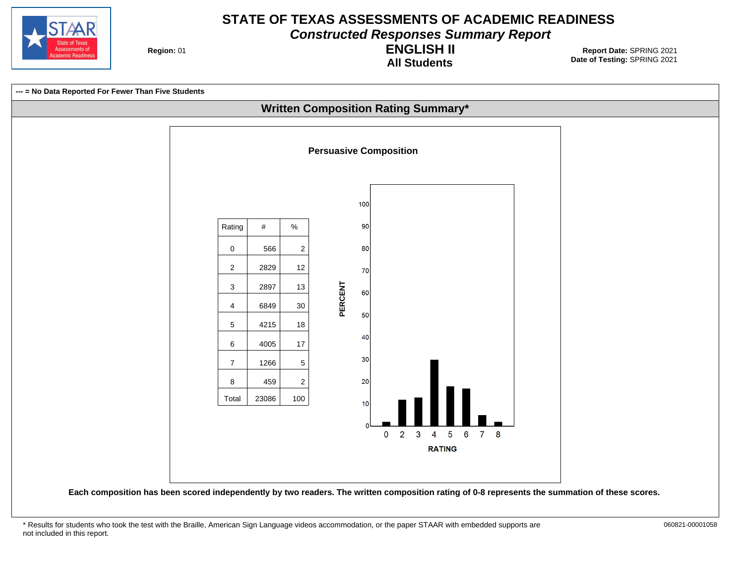

**Constructed Responses Summary Report**

**Region: 01** 

**All Students ENGLISH II**

**Date of Testing:**  SPRING 2021 01 **Report Date:** SPRING 2021

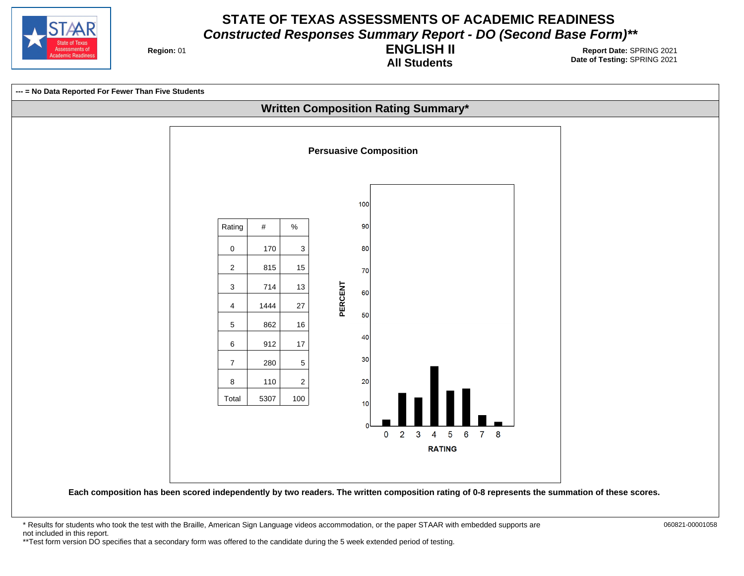

**Region: 01** 

**All Students ENGLISH II**

**Date of Testing:**  SPRING 2021 01 **Report Date:** SPRING 2021



\* Results for students who took the test with the Braille, American Sign Language videos accommodation, or the paper STAAR with embedded supports are 060821-00001058 not included in this report. \*\*Test form version DO specifies that a secondary form was offered to the candidate during the 5 week extended period of testing.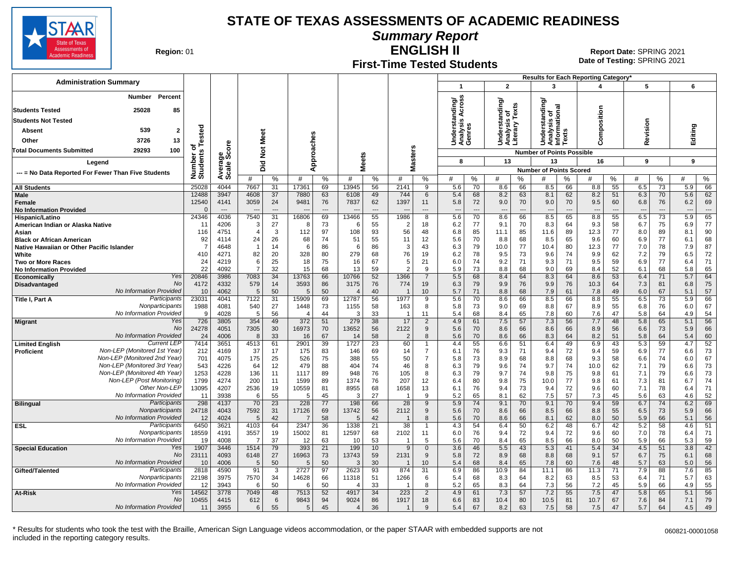

**Summary Report**

**Region: 01** 

# **First-Time Tested Students**

**ENGLISH II** 01 **Report Date:** SPRING 2021 **Date of Testing:**  SPRING 2021

| <b>Administration Summary</b>                                                 |                      |                        |                               |                |              |                      |                  |                      |                        |                      |                                                       |              |                                              |                      |                                             |                                | <b>Results for Each Reporting Category</b> |                                |                                 |                      |                                 |          |
|-------------------------------------------------------------------------------|----------------------|------------------------|-------------------------------|----------------|--------------|----------------------|------------------|----------------------|------------------------|----------------------|-------------------------------------------------------|--------------|----------------------------------------------|----------------------|---------------------------------------------|--------------------------------|--------------------------------------------|--------------------------------|---------------------------------|----------------------|---------------------------------|----------|
|                                                                               |                      |                        |                               |                |              |                      |                  |                      |                        |                      | $\overline{\mathbf{1}}$                               |              | $\overline{2}$                               |                      | 3                                           |                                |                                            |                                | 5                               |                      | 6                               |          |
| Percent<br>Number                                                             |                      |                        |                               |                |              |                      |                  |                      |                        |                      |                                                       |              |                                              |                      | ৯                                           |                                |                                            |                                |                                 |                      |                                 |          |
| 25028<br><b>Students Tested</b><br>85                                         |                      |                        |                               |                |              |                      |                  |                      |                        |                      | Across<br>Understanding/<br>Analysis Across<br>Genres |              | erstanding/                                  | Fexts                | indin                                       | ᠊ᢛ                             |                                            |                                |                                 |                      |                                 |          |
| <b>Students Not Tested</b>                                                    |                      |                        |                               |                |              |                      |                  |                      |                        |                      |                                                       |              | ठ                                            |                      | ō<br>ত                                      | ã                              | omposition                                 |                                |                                 |                      |                                 |          |
| 539<br>$\overline{\mathbf{2}}$<br>Absent                                      |                      |                        |                               |                |              |                      |                  |                      |                        |                      |                                                       |              | Understar<br>Analysis <b>(</b><br>Literary T |                      | Understa<br>Analysis<br>Informatic<br>Texts |                                |                                            |                                | evision                         |                      | Editing                         |          |
| 3726<br>13<br>Other                                                           | ested                |                        | Meet                          |                |              |                      |                  |                      |                        |                      |                                                       |              |                                              |                      |                                             |                                |                                            |                                |                                 |                      |                                 |          |
| 29293<br>100<br><b>Total Documents Submitted</b>                              | $\circ$              | ၑ                      |                               |                |              |                      |                  |                      | n                      |                      |                                                       |              |                                              |                      |                                             |                                | Õ                                          |                                | ě                               |                      |                                 |          |
| Legend                                                                        | Number o<br>Students | Average<br>Scale Scor  | $\frac{5}{2}$                 |                | pproaches    |                      | Meets            |                      | laster:                |                      | 8                                                     |              | 13                                           |                      | <b>Number of Points Possible</b><br>13      |                                | 16                                         |                                | 9                               |                      | 9                               |          |
|                                                                               |                      |                        | 고.<br>۵                       |                | ⋖            |                      |                  |                      | Σ                      |                      |                                                       |              |                                              |                      | <b>Number of Points Scored</b>              |                                |                                            |                                |                                 |                      |                                 |          |
| --- = No Data Reported For Fewer Than Five Students                           |                      |                        | #                             | %              | #            | %                    | #                | %                    | #                      | %                    | #                                                     | %            | #                                            | %                    | #                                           | %                              | #                                          | %                              | #                               | %                    | #                               | %        |
| <b>All Students</b>                                                           | 25028                | 4044                   | 7667                          | 31             | 17361        | 69                   | 13945            | 56                   | 2141                   | 9                    | 5.6                                                   | 70           | 8.6                                          | 66                   | 8.5                                         | 66                             | 8.8                                        | 55                             | 6.5                             | 73                   | 5.9                             | 66       |
| <b>Male</b>                                                                   | 12488                | 3947                   | 4608                          | 37             | 7880         | 63                   | 6108             | 49                   | 744                    | 6                    | 5.4                                                   | 68           | 8.2                                          | 63                   | 8.1                                         | 62                             | 8.2                                        | 51                             | 6.3                             | 70                   | 5.6                             | 62       |
| Female<br><b>No Information Provided</b>                                      | 12540                | 4141<br>$\overline{a}$ | 3059                          | 24<br>$-$ --   | 9481         | 76<br>$\overline{a}$ | 7837             | 62<br>$\overline{a}$ | 1397                   | 11                   | 5.8                                                   | 72<br>$\sim$ | 9.0<br>---                                   | 70<br>$\overline{a}$ | 9.0<br>---                                  | 70<br>$\overline{\phantom{a}}$ | 9.5<br>$\overline{\phantom{a}}$            | 60<br>$\overline{\phantom{a}}$ | 6.8<br>$\overline{\phantom{a}}$ | 76<br>$\overline{a}$ | 6.2<br>$\overline{\phantom{a}}$ | 69       |
| Hispanic/Latino                                                               | 24346                | 4036                   | 7540                          | 31             | 16806        | 69                   | 13466            | 55                   | 1986                   | 8                    | 5.6                                                   | 70           | 8.6                                          | 66                   | 8.5                                         | 65                             | 8.8                                        | 55                             | 6.5                             | 73                   | 5.9                             | 65       |
| American Indian or Alaska Native                                              | -11                  | 4206                   | 3                             | 27             | -8           | 73                   | 6                | 55                   | 2                      | 18                   | 6.2                                                   | 77           | 9.1                                          | 70                   | 8.3                                         | 64                             | 9.3                                        | 58                             | 6.7                             | 75                   | 6.9                             | 77       |
| Asian                                                                         | 116                  | 4751                   | $\overline{4}$                | 3              | 112          | 97                   | 108              | 93                   | 56                     | 48                   | 6.8                                                   | 85           | 11.1                                         | 85                   | 11.6                                        | 89                             | 12.3                                       | 77                             | 8.0                             | 89                   | 8.1                             | 90       |
| <b>Black or African American</b><br>Native Hawaiian or Other Pacific Islander | 92<br>-7             | 4114<br>4648           | 24<br>$\overline{\mathbf{1}}$ | 26<br>14       | 68<br>6      | 74<br>86             | 51<br>6          | 55<br>86             | 11<br>3                | 12<br>43             | 5.6<br>6.3                                            | 70<br>79     | 8.8<br>10.0                                  | 68<br>77             | 8.5                                         | 65<br>80                       | 9.6<br>12.3                                | 60<br>77                       | 6.9<br>7.0                      | 77<br>78             | 6.1<br>7.9                      | 68<br>87 |
| White                                                                         | 410                  | 4271                   | 82                            | 20             | 328          | 80                   | 279              | 68                   | 76                     | 19                   | 6.2                                                   | 78           | 9.5                                          | 73                   | 10.4<br>9.6                                 | 74                             | 9.9                                        | 62                             | 7.2                             | 79                   | 6.5                             | 72       |
| <b>Two or More Races</b>                                                      | 24                   | 4219                   | 6                             | 25             | 18           | 75                   | 16               | 67                   | 5                      | 21                   | 6.0                                                   | 74           | 9.2                                          | 71                   | 9.3                                         | 71                             | 9.5                                        | 59                             | 6.9                             | 77                   | 6.4                             | 71       |
| <b>No Information Provided</b>                                                | 22                   | 4092                   | $\overline{7}$                | 32             | 15           | 68                   | 13               | 59                   | $\mathcal{P}$          | 9                    | 5.9                                                   | 73           | 8.8                                          | 68                   | 9.0                                         | 69                             | 8.4                                        | 52                             | 6.1                             | 68                   | 5.8                             | 65       |
| Yes<br><b>Economically</b><br>No                                              | 20846                | 3986                   | 7083                          | 34             | 13763        | 66                   | 10766            | 52                   | 1366                   | $\overline{7}$       | 5.5                                                   | 68           | 8.4                                          | 64                   | 8.3                                         | 64                             | 8.6                                        | 53                             | 6.4                             | 71                   | 5.7                             | 64       |
| Disadvantaged<br>No Information Provided                                      | 4172<br>10           | 4332<br>4062           | 579<br>5                      | 14<br>50       | 3593<br>5    | 86<br>50             | 3175<br>$\angle$ | 76<br>40             | 774                    | 19<br>10             | 6.3<br>5.7                                            | 79<br>71     | 9.9<br>8.8                                   | 76<br>68             | 9.9<br>7.9                                  | 76<br>61                       | 10.3<br>7.8                                | 64<br>49                       | 7.3<br>6.0                      | 81<br>67             | 6.8<br>5.1                      | 75<br>57 |
| Participants<br>Title I, Part A                                               | 23031                | 4041                   | 7122                          | 31             | 5909         | 69                   | 12787            | 56                   | 1977                   | 9                    | 5.6                                                   | 70           | 8.6                                          | 66                   | 8.5                                         | 66                             | 8.8                                        | 55                             | 6.5                             | 73                   | 5.9                             | 66       |
| Nonparticipants                                                               | 1988                 | 4081                   | 540                           | 27             | 1448         | 73                   | 1155             | 58                   | 163                    | 8                    | 5.8                                                   | 73           | 9.0                                          | 69                   | 8.8                                         | 67                             | 8.9                                        | 55                             | 6.8                             | 76                   | 6.0                             | 67       |
| No Information Provided                                                       | <b>C</b>             | 4028                   | 5                             | 56             |              | 44                   | 3                | 33                   | -1                     | 11                   | 5.4                                                   | 68           | 8.4                                          | 65                   | 7.8                                         | 60                             | 7.6                                        | 47                             | 5.8                             | 64                   | 4.9                             | 54       |
| Yes<br><b>Migrant</b><br>No                                                   | 726<br>24278         | 3805<br>4051           | 354<br>7305                   | 49<br>30       | 372<br>16973 | 51<br>70             | 279<br>13652     | 38<br>56             | 17<br>2122             | $\overline{2}$<br>9  | 4.9<br>5.6                                            | 61<br>70     | 7.5<br>8.6                                   | 57<br>66             | 7.3<br>8.6                                  | 56<br>66                       | 7.7<br>8.9                                 | 48<br>56                       | 5.8<br>6.6                      | 65<br>73             | 5.1<br>5.9                      | 56<br>66 |
| No Information Provided                                                       | 24                   | 4006                   | 8                             | 33             | 16           | 67                   | 14               | 58                   | $\overline{2}$         | 8                    | 5.6                                                   | 70           | 8.6                                          | 66                   | 8.3                                         | 64                             | 8.2                                        | 51                             | 5.8                             | 64                   | 5.4                             | 60       |
| <b>Current LEP</b><br><b>Limited English</b>                                  | 7414                 | 3651                   | 4513                          | 61             | 2901         | 39                   | 1727             | $\overline{23}$      | 60                     | $\mathbf 1$          | 4.4                                                   | 55           | 6.6                                          | 51                   | 6.4                                         | 49                             | 6.9                                        | 43                             | 5.3                             | 59                   | 4.7                             | 52       |
| Non-LEP (Monitored 1st Year)<br>Proficient                                    | 212                  | 4169                   | 37                            | 17             | 175          | 83                   | 146              | 69                   | 14                     | $\overline{7}$       | 6.1                                                   | 76           | 9.3                                          | 71                   | 9.4                                         | 72                             | 9.4                                        | 59                             | 6.9                             | 77                   | 6.6                             | 73       |
| Non-LEP (Monitored 2nd Year)<br>Non-LEP (Monitored 3rd Year)                  | 701                  | 4075                   | 175                           | 25             | 526          | 75                   | 388              | 55                   | 50                     | $\overline{7}$       | 5.8                                                   | 73           | 8.9                                          | 68                   | 8.8                                         | 68                             | 9.3                                        | 58                             | 6.6                             | 74                   | 6.0                             | 67       |
| Non-LEP (Monitored 4th Year)                                                  | 543<br>1253          | 4226<br>4228           | 64<br>136                     | 12<br>11       | 479<br>1117  | 88<br>89             | 404<br>948       | 74<br>76             | 46<br>105              | 8<br>8               | 6.3<br>6.3                                            | 79<br>79     | 9.6<br>9.7                                   | 74<br>74             | 9.7<br>9.8                                  | 74<br>75                       | 10.0<br>9.8                                | 62<br>61                       | 7.1<br>7.1                      | 79<br>79             | 6.6<br>6.6                      | 73<br>73 |
| Non-LEP (Post Monitoring)                                                     | 1799                 | 4274                   | 200                           | 11             | 1599         | 89                   | 1374             | 76                   | 207                    | 12                   | 6.4                                                   | 80           | 9.8                                          | 75                   | 10.0                                        | 77                             | 9.8                                        | 61                             | 7.3                             | 81                   | 6.7                             | 74       |
| Other Non-LEP                                                                 | 13095                | 4207                   | 2536                          | 19             | 10559        | 81                   | 8955             | 68                   | 1658                   | 13                   | 6.1                                                   | 76           | 9.4                                          | 73                   | 9.4                                         | 72                             | 9.6                                        | 60                             | 7.1                             | 78                   | 6.4                             | 71       |
| No Information Provided                                                       | 11                   | 3938                   | 6                             | 55             | -5           | 45                   | 3                | 27                   |                        | $\mathbf{Q}$         | 5.2                                                   | 65           | 8.1                                          | 62                   | 7.5                                         | 57                             | 7.3                                        | 45                             | 5.6                             | 63                   | 4.6                             | 52       |
| Participants<br><b>Bilingual</b>                                              | 298                  | 4137                   | 70                            | 23             | 228          | 77                   | 198              | 66                   | 28                     | 9                    | 5.9                                                   | 74           | 9.1                                          | 70                   | 9.1                                         | 70                             | 9.4                                        | 59                             | 6.7                             | 74                   | 6.2                             | 69       |
| Nonparticipants<br>No Information Provided                                    | 24718<br>12          | 4043<br>4024           | 7592<br>5                     | 31<br>42       | 17126        | 69<br>58             | 13742<br>5       | 56<br>42             | 2112<br>$\overline{1}$ | 9<br>8               | 5.6<br>5.6                                            | 70<br>70     | 8.6<br>8.6                                   | 66<br>66             | 8.5<br>8.1                                  | 66<br>62                       | 8.8<br>8.0                                 | 55<br>50                       | 6.5<br>5.9                      | 73<br>66             | 5.9<br>5.1                      | 66<br>56 |
| Participants<br><b>ESL</b>                                                    | 6450                 | 3621                   | 4103                          | 64             | 2347         | 36                   | 1338             | 21                   | 38                     | -1                   | 4.3                                                   | 54           | 6.4                                          | 50                   | 6.2                                         | 48                             | 6.7                                        | 42                             | 5.2                             | 58                   | 4.6                             | 51       |
| Nonparticipants                                                               | 18559                | 4191                   | 3557                          | 19             | 15002        | 81                   | 12597            | 68                   | 2102                   | 11                   | 6.0                                                   | 76           | 9.4                                          | 72                   | 9.4                                         | 72                             | 9.6                                        | 60                             | 7.0                             | 78                   | 6.4                             | 71       |
| No Information Provided                                                       | 19                   | 4008                   | 7                             | 37             | 12           | 63                   | 10               | 53                   | -1                     | 5                    | 5.6                                                   | 70           | 8.4                                          | 65                   | 8.5                                         | 66                             | 8.0                                        | 50                             | 5.9                             | 66                   | 5.3                             | 59       |
| Yes<br><b>Special Education</b><br><b>No</b>                                  | 1907                 | 3446<br>4093           | 1514                          | 79             | 393          | 21<br>73             | 199              | 10<br>59             | 9                      | $\mathbf{0}$<br>9    | 3.6                                                   | 46           | 5.5                                          | 43<br>68             | 5.3<br>8.8                                  | 41<br>68                       | 5.4                                        | 34                             | 4.5                             | 51                   | 3.8                             | 42<br>68 |
| No Information Provided                                                       | 23111<br>10          | 4006                   | 6148<br>5                     | 27<br>50       | 16963<br>.5  | 50                   | 13743<br>3       | 30                   | 2131                   | 10                   | 5.8<br>5.4                                            | 72<br>68     | 8.9<br>8.4                                   | 65                   | 7.8                                         | 60                             | 9.1<br>7.6                                 | 57<br>48                       | 6.7<br>5.7                      | 75<br>63             | 6.1<br>5.0                      | 56       |
| Participants<br>Gifted/Talented                                               | 2818                 | 4590                   | 91                            | $\overline{3}$ | 2727         | 97                   | 2623             | 93                   | 874                    | $\overline{31}$      | 6.9                                                   | 86           | 10.9                                         | 84                   | 11.1                                        | 86                             | 11.3                                       | $\overline{71}$                | 7.9                             | 88                   | 7.6                             | 85       |
| Nonparticipants                                                               | 22198                | 3975                   | 7570                          | 34             | 14628        | 66                   | 11318            | 51                   | 1266                   | 6                    | 5.4                                                   | 68           | 8.3                                          | 64                   | 8.2                                         | 63                             | 8.5                                        | 53                             | 6.4                             | 71                   | 5.7                             | 63       |
| No Information Provided                                                       | 12                   | 3943                   | 6                             | 50             | -6           | 50                   | $\angle$         | 33                   |                        | 8                    | 5.2                                                   | 65           | 8.3                                          | 64                   | 7.3                                         | 56                             | 7.2                                        | 45                             | 5.9                             | 66                   | 4.9                             | 55       |
| Yes<br>At-Risk<br>No                                                          | 14562<br>10455       | 3778<br>4415           | 7049<br>612                   | 48<br>6        | 7513<br>9843 | 52<br>94             | 4917<br>9024     | 34<br>86             | 223<br>1917            | $\overline{2}$<br>18 | 4.9<br>6.6                                            | 61<br>83     | 7.3<br>10.4                                  | 57<br>80             | 7.2<br>10.5                                 | 55<br>81                       | 7.5<br>10.7                                | 47<br>67                       | 5.8<br>7.6                      | 65<br>84             | 5.1<br>7.1                      | 56<br>79 |
| No Information Provided                                                       | 11                   | 3955                   | 6                             | 55             | 5            | 45                   | $\overline{4}$   | 36                   |                        | 9                    | 5.4                                                   | 67           | 8.2                                          | 63                   | 7.5                                         | 58                             | 7.5                                        | 47                             | 5.7                             | 64                   | 4.5                             | 49       |
|                                                                               |                      |                        |                               |                |              |                      |                  |                      |                        |                      |                                                       |              |                                              |                      |                                             |                                |                                            |                                |                                 |                      |                                 |          |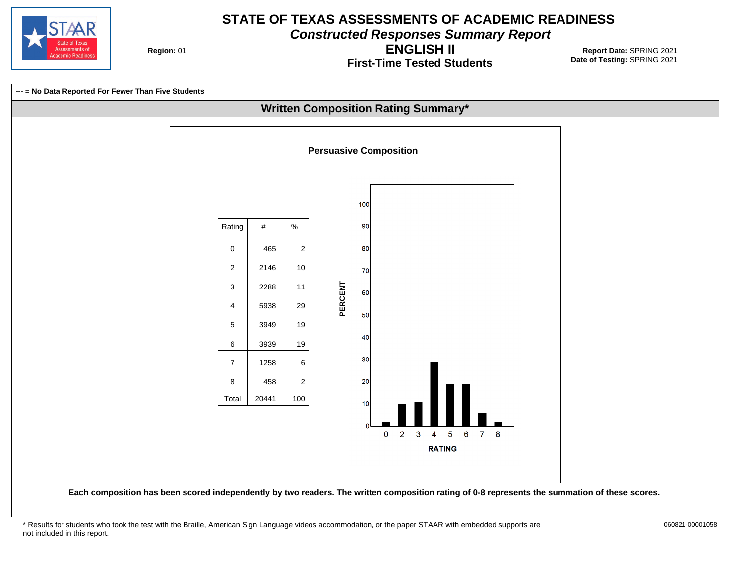

**Constructed Responses Summary Report**

**Region: 01** 

**First-Time Tested Students ENGLISH II**

**Date of Testing:**  SPRING 2021 01 **Report Date:** SPRING 2021

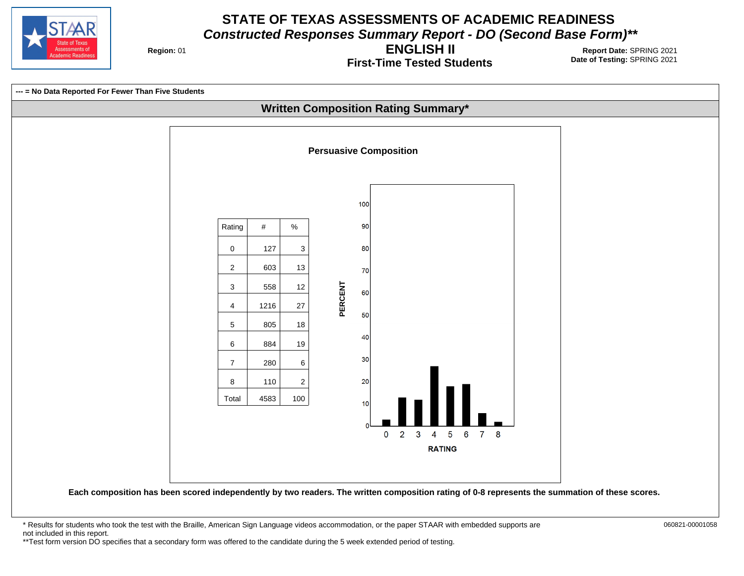

**Region: 01** 

**First-Time Tested Students ENGLISH II**

**Date of Testing:**  SPRING 2021 01 **Report Date:** SPRING 2021

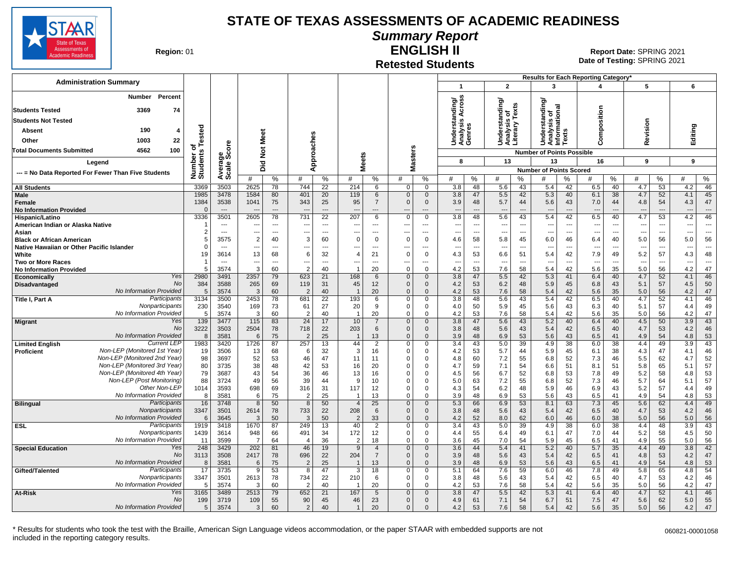

# **Summary Report**

**Region: 01** 

#### **Retested Students ENGLISH II**

**Date of Testing:**  SPRING 2021 01 **Report Date:** SPRING 2021

| <b>Administration Summary</b>                                |                      |                                  |                                  |                |                                            |                      |                       |                    |                              |                               |                                                                   |                                  |                      | Results for Each Reporting Category' |                          |                                 |                                |                                 |                                |            |                                |
|--------------------------------------------------------------|----------------------|----------------------------------|----------------------------------|----------------|--------------------------------------------|----------------------|-----------------------|--------------------|------------------------------|-------------------------------|-------------------------------------------------------------------|----------------------------------|----------------------|--------------------------------------|--------------------------|---------------------------------|--------------------------------|---------------------------------|--------------------------------|------------|--------------------------------|
|                                                              |                      |                                  |                                  |                |                                            |                      |                       |                    |                              |                               | $\mathbf{1}$                                                      | $\overline{2}$                   |                      | 3                                    |                          | 4                               |                                | 5                               |                                | 6          |                                |
| Percent<br><b>Number</b>                                     |                      |                                  |                                  |                |                                            |                      |                       |                    |                              |                               | tanding/<br>is Across                                             |                                  |                      |                                      |                          |                                 |                                |                                 |                                |            |                                |
| 3369<br>74<br><b>Students Tested</b>                         |                      |                                  |                                  |                |                                            |                      |                       |                    |                              |                               | Acro:                                                             | rstanding/<br>ō                  | Texts                | tanding/<br>ö                        | $\overline{2}$<br>δ      |                                 |                                |                                 |                                |            |                                |
| <b>Students Not Tested</b>                                   |                      |                                  |                                  |                |                                            |                      |                       |                    |                              |                               |                                                                   |                                  |                      |                                      |                          |                                 |                                |                                 |                                |            |                                |
| 190<br>Absent<br>4                                           |                      |                                  |                                  |                |                                            |                      |                       |                    |                              |                               | Understa<br>Analysis<br>Genres                                    | Understa<br>Analysis<br>Literary |                      | Understa<br>Analysis<br>Informatio   | ŵ                        | Composition                     |                                | Revision                        |                                | Editing    |                                |
| 22<br>1003<br>Other                                          | Tested               |                                  | Meet                             |                |                                            |                      |                       |                    |                              |                               |                                                                   |                                  |                      |                                      | $\overline{\mathrm{s}}$  |                                 |                                |                                 |                                |            |                                |
| 4562<br>100<br>Total Documents Submitted                     | ত                    |                                  | $\frac{5}{2}$                    |                | pproaches                                  |                      |                       |                    |                              |                               |                                                                   |                                  |                      | <b>Number of Points Possible</b>     |                          |                                 |                                |                                 |                                |            |                                |
|                                                              | Number o<br>Students |                                  |                                  |                |                                            |                      | <b>Meets</b>          |                    |                              | Masters                       | 8                                                                 | 13                               |                      | 13                                   |                          | 16                              |                                | 9                               |                                | 9          |                                |
| Legend                                                       |                      |                                  | 고.<br>ه                          |                | ⋖                                          |                      |                       |                    |                              |                               |                                                                   |                                  |                      | <b>Number of Points Scored</b>       |                          |                                 |                                |                                 |                                |            |                                |
| --- = No Data Reported For Fewer Than Five Students          |                      | Average<br>Scale Score           | #                                | $\%$           | #                                          | %                    | #                     | %                  | #                            | %                             | %<br>#                                                            | #                                | %                    | #                                    | %                        | #                               | %                              | #                               | %                              | #          | ℅                              |
| <b>All Students</b>                                          | 3369                 | 3503                             | 2625                             | 78             | 744                                        | 22                   | 214                   | 6                  | 0                            | $\mathbf 0$                   | 3.8<br>48                                                         | 5.6                              | 43                   | 5.4                                  | 42                       | 6.5                             | 40                             | 4.7                             | 53                             | 4.2        | 46                             |
| Male                                                         | 1985                 | 3478                             | 1584                             | 80             | 401                                        | 20                   | 119                   | 6                  | $\mathbf 0$                  | $\mathbf 0$                   | 3.8<br>47                                                         | 5.5                              | 42                   | 5.3                                  | 40                       | 6.1                             | 38                             | 4.7                             | 52                             | 4.1        | 45                             |
| <b>Female</b><br><b>No Information Provided</b>              | 1384<br>$\Omega$     | 3538<br>$\overline{\phantom{a}}$ | 1041                             | 75<br>$-$ --   | 343                                        | 25<br>$\overline{a}$ | 95                    | $\overline{7}$     | $\mathbf{0}$                 | $\mathbf{0}$<br>---           | 3.9<br>48<br>$\sim$<br>$\overline{a}$                             | 5.7<br>$\sim$                    | 44<br>$\overline{a}$ | 5.6<br>$\sim$                        | 43<br>$\sim$             | 7.0                             | 44                             | 4.8                             | 54<br>$\overline{a}$           | 4.3        | 47<br>$\overline{a}$           |
| Hispanic/Latino                                              | 3336                 | 3501                             | 2605                             | 78             | 731                                        | 22                   | 207                   | 6                  | $\Omega$                     | $\mathbf 0$                   | 3.8<br>48                                                         | 5.6                              | 43                   | 5.4                                  | 42                       | 6.5                             | 40                             | 4.7                             | 53                             | 4.2        | 46                             |
| American Indian or Alaska Native                             |                      | $\sim$                           |                                  | ---            | $\overline{\phantom{a}}$                   | $---$                |                       |                    | --                           | $\overline{\phantom{a}}$      | $\overline{\phantom{a}}$<br>---                                   | $\overline{\phantom{a}}$         | ---                  | ---                                  | $\ddotsc$                | $\sim$                          | ---                            | $\overline{\phantom{a}}$        | ---                            | ---        | $\overline{\phantom{a}}$       |
| Asian<br><b>Black or African American</b>                    | $\overline{2}$<br>5  | $\overline{\phantom{a}}$<br>3575 | $\overline{a}$<br>$\overline{2}$ | ---<br>40      | $\overline{\phantom{a}}$<br>3              | $\overline{a}$<br>60 | ---<br>$\Omega$       | ---<br>$\mathbf 0$ | ---<br>$\Omega$              | $\overline{a}$<br>$\mathbf 0$ | $\overline{\phantom{a}}$<br>$\overline{\phantom{a}}$<br>4.6<br>58 | $\overline{\phantom{a}}$<br>5.8  | $\overline{a}$<br>45 | ---<br>6.0                           | ---<br>46                | $\overline{\phantom{a}}$<br>6.4 | $\overline{\phantom{a}}$<br>40 | $\overline{\phantom{a}}$<br>5.0 | $\overline{\phantom{a}}$<br>56 | ---<br>5.0 | ---<br>56                      |
| Native Hawaiian or Other Pacific Islander                    | $\Omega$             | $\overline{\phantom{a}}$         | ---                              | $\overline{a}$ | ---                                        | ---                  |                       | $\ddotsc$          | ÷.,                          | $\overline{a}$                | $\overline{a}$<br>$\overline{\phantom{a}}$                        | $\overline{\phantom{a}}$         | ---                  | ---                                  | ---                      |                                 | $\overline{\phantom{a}}$       | $\overline{\phantom{a}}$        | $\overline{\phantom{a}}$       | ---        | ---                            |
| White                                                        | 19                   | 3614                             | 13                               | 68             | 6                                          | 32                   | $\overline{4}$        | 21                 | $\Omega$                     | $\mathbf 0$                   | 4.3<br>53                                                         | 6.6                              | 51                   | 5.4                                  | 42                       | 7.9                             | 49                             | 5.2                             | 57                             | 4.3        | 48                             |
| <b>Two or More Races</b>                                     | -1                   | $\sim$                           | $\overline{\phantom{a}}$<br>3    | ---            | $\overline{\phantom{a}}$<br>$\overline{2}$ | $\overline{a}$<br>40 | ---                   | $\sim$             | ---<br>$\Omega$              | ---<br>$\Omega$               | $\overline{\phantom{a}}$<br>$\overline{\phantom{a}}$              | $\overline{\phantom{a}}$         | $\overline{a}$       | $\overline{a}$                       | $\overline{\phantom{a}}$ | $---$                           | $\overline{\phantom{a}}$       | $\overline{a}$                  | $\overline{\phantom{a}}$       | ---<br>4.2 | $\overline{\phantom{a}}$<br>47 |
| <b>No Information Provided</b><br>Yes<br>Economically        | 5<br>2980            | 3574<br>3491                     | 2357                             | 60<br>79       | 623                                        | 21                   | 168                   | 20<br>6            | $\mathbf{0}$                 | $\mathbf{0}$                  | 4.2<br>53<br>3.8<br>47                                            | 7.6<br>5.5                       | 58<br>42             | 5.4<br>5.3                           | 42<br>41                 | 5.6<br>6.4                      | 35<br>40                       | 5.0<br>4.7                      | 56<br>52                       | 4.1        | 46                             |
| No<br>Disadvantaged                                          | 384                  | 3588                             | 265                              | 69             | 119                                        | 31                   | 45                    | 12                 | $\Omega$                     | $\mathbf 0$                   | 4.2<br>53                                                         | 6.2                              | 48                   | 5.9                                  | 45                       | 6.8                             | 43                             | 5.1                             | 57                             | 4.5        | 50                             |
| No Information Provided                                      | 5                    | 3574                             | 3                                | 60             | $\overline{2}$                             | 40                   |                       | 20                 | $\Omega$                     | $\Omega$                      | 4.2<br>53                                                         | 7.6                              | 58                   | 5.4                                  | 42                       | 5.6                             | 35                             | 5.0                             | 56                             | 4.2        | 47                             |
| Participants<br>Title I, Part A<br>Nonparticipants           | 3134<br>230          | 3500<br>3540                     | 2453<br>169                      | 78<br>73       | 681<br>61                                  | 22<br>27             | 193<br>20             | 6<br>9             | $\mathbf 0$<br>$\mathbf 0$   | $\mathbf 0$<br>$\mathbf 0$    | 3.8<br>48<br>4.0<br>50                                            | 5.6<br>5.9                       | 43<br>45             | 5.4<br>5.6                           | 42<br>43                 | 6.5<br>6.3                      | 40<br>40                       | 4.7<br>5.1                      | 52<br>57                       | 4.1<br>4.4 | 46<br>49                       |
| No Information Provided                                      | 5                    | 3574                             | 3                                | 60             | $\overline{2}$                             | 40                   |                       | 20                 | $\Omega$                     | 0                             | 4.2<br>53                                                         | 7.6                              | 58                   | 5.4                                  | 42                       | 5.6                             | 35                             | 5.0                             | 56                             | 4.2        | 47                             |
| Yes<br><b>Migrant</b>                                        | 139                  | 3477                             | 115                              | 83             | 24                                         | 17                   | 10                    | $\overline{7}$     | $\mathbf{0}$                 | $\overline{0}$                | 3.8<br>47                                                         | 5.6                              | 43                   | 5.2                                  | 40                       | 6.4                             | 40                             | 4.5                             | 50                             | 3.9        | 43                             |
| No<br>No Information Provided                                | 3222                 | 3503<br>3581                     | 2504<br>6                        | 78<br>75       | 718<br>$\overline{2}$                      | 22<br>25             | 203                   | 6<br>13            | $\mathbf 0$<br>$\Omega$      | $\mathbf 0$<br>$\mathbf 0$    | 3.8<br>48<br>3.9<br>48                                            | 5.6                              | 43                   | 5.4<br>5.6                           | 42<br>43                 | 6.5<br>6.5                      | 40<br>41                       | 4.7<br>4.9                      | 53<br>54                       | 4.2<br>4.8 | 46                             |
| <b>Current LEP</b><br><b>Limited English</b>                 | 8<br>1983            | 3420                             | 1726                             | 87             | 257                                        | 13                   | 44                    | $\overline{2}$     | $\mathbf 0$                  | $\Omega$                      | 3.4<br>43                                                         | 6.9<br>5.0                       | 53<br>39             | 4.9                                  | 38                       | 6.0                             | 38                             | 4.4                             | 49                             | 3.9        | 53<br>43                       |
| Non-LEP (Monitored 1st Year)<br><b>Proficient</b>            | 19                   | 3506                             | 13                               | 68             | -6                                         | 32                   | -3                    | 16                 | $\Omega$                     | $\mathbf 0$                   | 4.2<br>53                                                         | 5.7                              | 44                   | 5.9                                  | 45                       | 6.1                             | 38                             | 4.3                             | 47                             | 4.1        | 46                             |
| Non-LEP (Monitored 2nd Year)                                 | 98                   | 3697                             | 52                               | 53             | 46                                         | 47                   | 11                    | 11                 | $\Omega$                     | $\Omega$                      | 4.8<br>60                                                         | 7.2                              | 55                   | 6.8                                  | 52                       | 7.3                             | 46                             | 5.5                             | 62                             | 4.7        | 52                             |
| Non-LEP (Monitored 3rd Year)<br>Non-LEP (Monitored 4th Year) | 80<br>79             | 3735<br>3687                     | 38<br>43                         | 48<br>54       | 42<br>36                                   | 53<br>46             | 16<br>13              | 20<br>16           | $\Omega$<br>$\Omega$         | $\mathbf 0$<br>$\Omega$       | 59<br>4.7<br>56<br>4.5                                            | 7.1<br>6.7                       | 54<br>52             | 6.6<br>6.8                           | 51<br>53                 | 8.1<br>7.8                      | 51<br>49                       | 5.8<br>5.2                      | 65<br>58                       | 5.1<br>4.8 | 57<br>53                       |
| Non-LEP (Post Monitoring)                                    | 88                   | 3724                             | 49                               | 56             | 39                                         | 44                   | 9                     | 10                 | $\Omega$                     | $\Omega$                      | 5.0<br>63                                                         | 7.2                              | 55                   | 6.8                                  | 52                       | 7.3                             | 46                             | 5.7                             | 64                             | 5.1        | 57                             |
| Other Non-LEP                                                | 1014                 | 3593                             | 698                              | 69             | 316                                        | 31                   | 117                   | 12                 | $\Omega$                     | $\mathbf 0$                   | 4.3<br>54                                                         | 6.2                              | 48                   | 5.9                                  | 46                       | 6.9                             | 43                             | 5.2                             | 57                             | 4.4        | 49                             |
| No Information Provided<br>Participants<br><b>Bilingual</b>  | 8<br>16              | 3581<br>3748                     | 6<br>8                           | 75<br>50       | $\overline{2}$<br>$\mathcal{R}$            | 25<br>50             | -1<br>$\overline{4}$  | 13<br>25           | $\Omega$<br>$\mathbf 0$      | $\mathbf 0$<br>$\mathbf{0}$   | 3.9<br>48<br>5.3<br>66                                            | 6.9<br>6.9                       | 53<br>53             | 5.6<br>8.1                           | 43<br>63                 | 6.5<br>7.3                      | 41<br>45                       | 4.9<br>5.6                      | 54<br>62                       | 4.8<br>4.4 | 53<br>49                       |
| Nonparticipants                                              | 3347                 | 3501                             | 2614                             | 78             | 733                                        | 22                   | 208                   | 6                  | $\Omega$                     | $\mathbf{0}$                  | 3.8<br>48                                                         | 5.6                              | 43                   | 5.4                                  | 42                       | 6.5                             | 40                             | 4.7                             | 53                             | 4.2        | 46                             |
| No Information Provided                                      | 6                    | 3645                             | 3                                | 50             | 3                                          | 50                   | $\overline{2}$        | 33                 | $\Omega$                     | $\mathbf 0$                   | 4.2<br>52                                                         | 8.0                              | 62                   | 6.0                                  | 46                       | 6.0                             | 38                             | 5.0                             | 56                             | 5.0        | 56                             |
| Participants<br><b>ESL</b><br>Nonparticipants                | 1919                 | 3418                             | 1670                             | 87             | 249                                        | 13                   | 40                    | 2                  | $\Omega$                     | $\mathbf 0$                   | 3.4<br>43                                                         | 5.0                              | 39                   | 4.9                                  | 38                       | 6.0                             | 38                             | 4.4                             | 48                             | 3.9        | 43                             |
| No Information Provided                                      | 1439<br>11           | 3614<br>3599                     | 948<br>$\overline{7}$            | 66<br>64       | 491<br>$\overline{4}$                      | 34<br>36             | 172<br>$\overline{2}$ | 12<br>18           | 0<br>$\Omega$                | 0<br>$\Omega$                 | 4.4<br>55<br>3.6<br>45                                            | 6.4<br>7.0                       | 49<br>54             | 6.1<br>5.9                           | 47<br>45                 | 7.0<br>6.5                      | 44<br>41                       | 5.2<br>4.9                      | 58<br>55                       | 4.5<br>5.0 | 50<br>56                       |
| Yes<br><b>Special Education</b>                              | 248                  | 3429                             | 202                              | 81             | 46                                         | 19                   | 9                     | $\overline{4}$     | $\mathbf{0}$                 | $\mathbf 0$                   | 3.6<br>44                                                         | 5.4                              | 41                   | 5.2                                  | 40                       | 5.7                             | 35                             | 4.4                             | 49                             | 3.8        | 42                             |
| No                                                           | 3113                 | 3508                             | 2417                             | 78             | 696                                        | 22                   | 204                   | $\overline{7}$     | $\mathbf 0$                  | $\mathbf 0$                   | 3.9<br>48                                                         | 5.6                              | 43                   | 5.4                                  | 42                       | 6.5                             | 41                             | 4.8                             | 53                             | 4.2        | 47                             |
| No Information Provided<br>Participants<br>Gifted/Talented   | 8<br>17              | 3581<br>3735                     | 6<br>9                           | 75<br>53       | $\overline{2}$<br>8                        | 25<br>47             | 3                     | 13<br>18           | $\mathbf{0}$<br>$\mathbf 0$  | $\mathbf{0}$<br>$\mathbf 0$   | 3.9<br>48<br>5.1<br>64                                            | 6.9<br>7.6                       | 53<br>59             | 5.6<br>6.0                           | 43<br>46                 | 6.5<br>7.8                      | 41<br>49                       | 4.9<br>5.8                      | 54<br>65                       | 4.8<br>4.8 | 53<br>54                       |
| Nonparticipants                                              | 3347                 | 3501                             | 2613                             | 78             | 734                                        | 22                   | 210                   | 6                  | $\Omega$                     | $\mathbf 0$                   | 3.8<br>48                                                         | 5.6                              | 43                   | 5.4                                  | 42                       | 6.5                             | 40                             | 4.7                             | 53                             | 4.2        | 46                             |
| No Information Provided                                      | 5                    | 3574                             | 3                                | 60             | $\mathcal{P}$                              | 40                   |                       | 20                 | $\Omega$                     | $\Omega$                      | 4.2<br>53                                                         | 7.6                              | 58                   | 5.4                                  | 42                       | 5.6                             | 35                             | 5.0                             | 56                             | 4.2        | 47                             |
| Yes<br><b>At-Risk</b>                                        | 3165                 | 3489                             | 2513                             | 79             | 652                                        | 21                   | 167                   | 5                  | $\Omega$                     | $\Omega$                      | 3.8<br>47                                                         | 5.5                              | 42                   | 5.3                                  | 41                       | 6.4                             | 40                             | 4.7                             | 52                             | 4.1        | 46                             |
| No<br>No Information Provided                                | 199<br>5             | 3719<br>3574                     | 109<br>3                         | 55<br>60       | 90<br>$\overline{2}$                       | 45<br>40             | 46<br>$\overline{1}$  | 23<br>20           | $\mathbf{0}$<br>$\mathbf{0}$ | $\Omega$<br>$\Omega$          | 4.9<br>61<br>4.2<br>53                                            | 7.1<br>7.6                       | 54<br>58             | 6.7<br>5.4                           | 51<br>42                 | 7.5<br>5.6                      | 47<br>35                       | 5.6<br>5.0                      | 62<br>56                       | 5.0<br>4.2 | 55<br>47                       |
|                                                              |                      |                                  |                                  |                |                                            |                      |                       |                    |                              |                               |                                                                   |                                  |                      |                                      |                          |                                 |                                |                                 |                                |            |                                |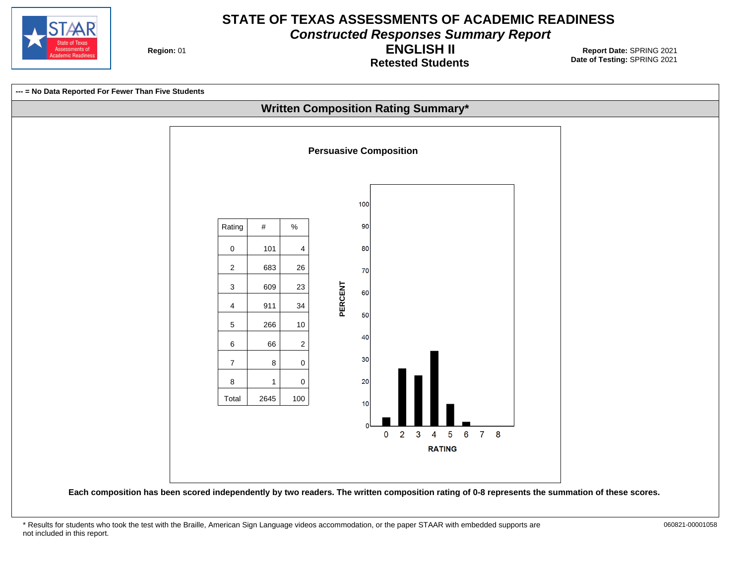

**Constructed Responses Summary Report**

**Region: 01** 

**Retested Students ENGLISH II**

**Date of Testing:**  SPRING 2021 01 **Report Date:** SPRING 2021

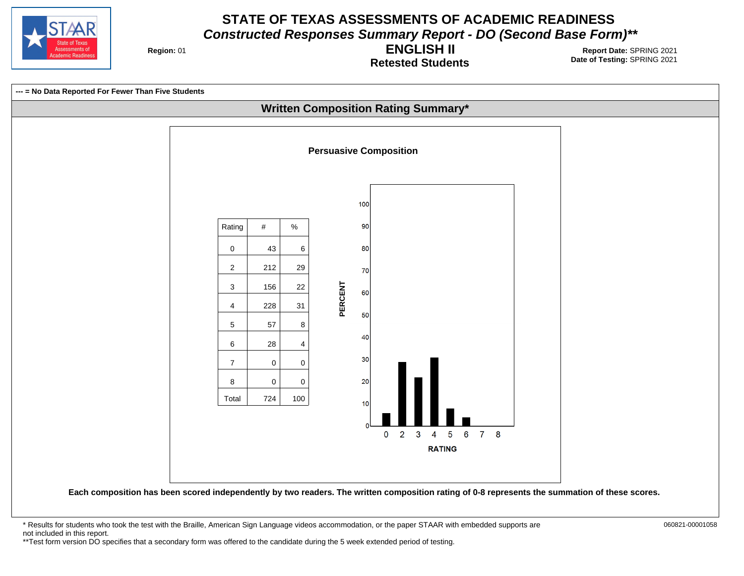

**Region: 01** 

**Retested Students ENGLISH II**

**Date of Testing:**  SPRING 2021 01 **Report Date:** SPRING 2021



**Each composition has been scored independently by two readers. The written composition rating of 0-8 represents the summation of these scores.**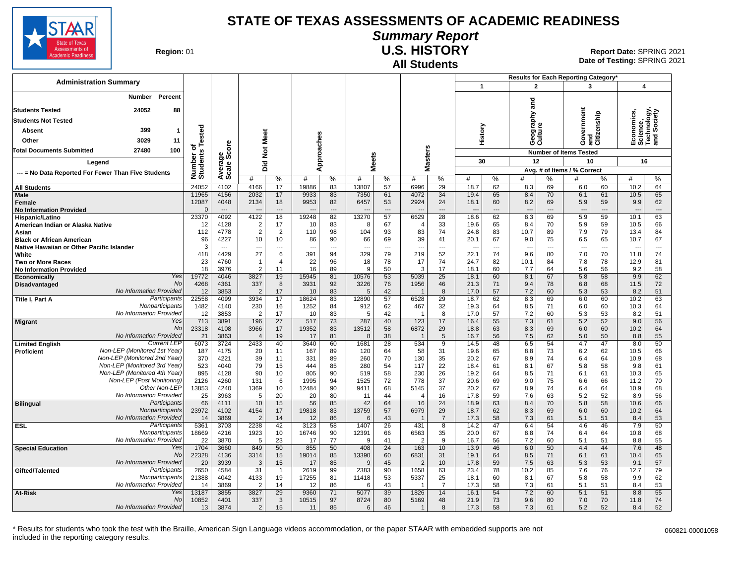

### **Summary Report**

**Region: 01** 

#### **All Students U.S. HISTORY**

**Date of Testing:**  SPRING 2021 01 **Report Date:** SPRING 2021

|                                                     |                                                              |                       |                                  |                        |                                |               |           |              |                       |                                |                      |                                  |           | Results for Each Reporting Category* |                                |                                     |                      |                                                      |                                |
|-----------------------------------------------------|--------------------------------------------------------------|-----------------------|----------------------------------|------------------------|--------------------------------|---------------|-----------|--------------|-----------------------|--------------------------------|----------------------|----------------------------------|-----------|--------------------------------------|--------------------------------|-------------------------------------|----------------------|------------------------------------------------------|--------------------------------|
| <b>Administration Summary</b>                       |                                                              |                       |                                  |                        |                                |               |           |              |                       |                                |                      | $\mathbf{1}$                     |           | $\overline{2}$                       |                                | 3                                   |                      | 4                                                    |                                |
| Percent<br>Number                                   |                                                              |                       |                                  |                        |                                |               |           |              |                       |                                |                      |                                  |           |                                      |                                |                                     |                      |                                                      |                                |
| 24052<br><b>Students Tested</b><br>88               |                                                              |                       |                                  |                        |                                |               |           |              |                       |                                |                      |                                  |           | and                                  |                                |                                     |                      |                                                      |                                |
| <b>Students Not Tested</b>                          |                                                              |                       |                                  |                        |                                |               |           |              |                       |                                |                      |                                  |           |                                      |                                |                                     |                      |                                                      |                                |
| Absent                                              | 399<br>$\mathbf{1}$                                          |                       |                                  |                        |                                |               |           |              |                       |                                |                      | History                          |           | Geography<br>Culture                 |                                | ernment                             | and<br>Citizenship   | Economics,<br>Science,<br>Technology,<br>and Society | hnology,<br>Society            |
| Other                                               | 3029<br>11                                                   | Tested                |                                  |                        | Not Meet                       |               |           |              |                       |                                |                      |                                  |           |                                      |                                | Š                                   |                      |                                                      |                                |
| <b>Total Documents Submitted</b>                    | 27480<br>100                                                 | ৳                     | ge<br>Score                      |                        |                                |               |           |              |                       |                                |                      |                                  |           |                                      |                                | Ō                                   |                      |                                                      |                                |
|                                                     |                                                              | Number of<br>Students |                                  |                        |                                | Approaches    |           | <b>Meets</b> |                       | Masters                        |                      | 30                               |           | 12                                   |                                | <b>Number of Items Tested</b><br>10 |                      | 16                                                   |                                |
| Legend                                              |                                                              |                       | Average:                         | id<br>Did              |                                |               |           |              |                       |                                |                      |                                  |           |                                      |                                | Avg. # of Items / % Correct         |                      |                                                      |                                |
| --- = No Data Reported For Fewer Than Five Students |                                                              |                       |                                  | #                      | %                              | #             | %         | #            | %                     | #                              | %                    | #                                | %         | #                                    | %                              | #                                   | %                    | #                                                    | $\%$                           |
| <b>All Students</b>                                 |                                                              | 24052                 | 4102                             | 4166                   | 17                             | 19886         | 83        | 13807        | 57                    | 6996                           | 29                   | 18.7                             | 62        | 8.3                                  | 69                             | 6.0                                 | 60                   | 10.2                                                 | 64                             |
| <b>Male</b>                                         |                                                              | 11965                 | 4156                             | 2032                   | 17                             | 9933          | 83        | 7350         | 61                    | 4072                           | 34                   | 19.4                             | 65        | 8.4                                  | 70                             | 6.1                                 | 61                   | 10.5                                                 | 65                             |
| <b>Female</b><br><b>No Information Provided</b>     |                                                              | 12087<br>$\mathbf{0}$ | 4048<br>$\qquad \qquad \cdots$   | 2134                   | 18<br>$\overline{\phantom{a}}$ | 9953          | 82<br>--- | 6457         | 53<br>---             | 2924                           | 24<br>---            | 18.1<br>$\overline{\phantom{a}}$ | 60<br>--- | 8.2<br>$\overline{a}$                | 69<br>$\overline{\phantom{a}}$ | 5.9<br>$\overline{\phantom{a}}$     | 59<br>---            | 9.9<br>$\overline{\phantom{a}}$                      | 62<br>$\cdots$                 |
| Hispanic/Latino                                     |                                                              | 23370                 | 4092                             | 4122                   | 18                             | 19248         | 82        | 13270        | 57                    | 6629                           | 28                   | 18.6                             | 62        | 8.3                                  | 69                             | 5.9                                 | 59                   | 10.1                                                 | 63                             |
| American Indian or Alaska Native                    |                                                              | 12                    | 4128                             | $\overline{2}$         | 17                             | 10            | 83        | 8            | 67                    |                                | 33                   | 19.6                             | 65        | 8.4                                  | 70                             | 5.9                                 | 59                   | 10.5                                                 | 66                             |
| Asian                                               |                                                              | 112                   | 4778                             | $\overline{2}$         | 2                              | 110           | 98        | 104          | 93                    | 83                             | 74                   | 24.8                             | 83        | 10.7                                 | 89                             | 7.9                                 | 79                   | 13.4                                                 | 84                             |
| <b>Black or African American</b>                    |                                                              | 96<br>3               | 4227<br>$\overline{\phantom{a}}$ | 10                     | 10                             | 86            | 90        | 66           | 69                    | 39<br>$\overline{\phantom{a}}$ | 41                   | 20.1                             | 67<br>--- | 9.0                                  | 75                             | 6.5                                 | 65<br>$\overline{a}$ | 10.7                                                 | 67                             |
| Native Hawaiian or Other Pacific Islander<br>White  |                                                              | 418                   | 4429                             | $\overline{a}$<br>27   | $\overline{a}$<br>6            | ---<br>391    | ---<br>94 | ---<br>329   | ---<br>79             | 219                            | $\overline{a}$<br>52 | 22.1                             | 74        | $\overline{\phantom{a}}$<br>9.6      | $\sim$<br>80                   | $\overline{\phantom{a}}$<br>7.0     | 70                   | ---<br>11.8                                          | $\overline{\phantom{a}}$<br>74 |
| <b>Two or More Races</b>                            |                                                              | 23                    | 4760                             | $\mathbf 1$            | $\overline{4}$                 | 22            | 96        | 18           | 78                    | 17                             | 74                   | 24.7                             | 82        | 10.1                                 | 84                             | 7.8                                 | 78                   | 12.9                                                 | 81                             |
| <b>No Information Provided</b>                      |                                                              | 18                    | 3976                             | $\overline{2}$         | 11                             | 16            | 89        | <sub>9</sub> | 50                    | 3                              | 17                   | 18.1                             | 60        | 7.7                                  | 64                             | 5.6                                 | 56                   | 9.2                                                  | 58                             |
| Economically                                        | Yes                                                          | 19772                 | 4046                             | 3827                   | 19                             | 15945         | 81        | 10576        | 53                    | 5039                           | 25                   | 18.1                             | 60        | 8.1                                  | 67                             | 5.8                                 | 58                   | 9.9                                                  | 62                             |
| <b>Disadvantaged</b>                                | No<br>No Information Provided                                | 4268<br>12            | 4361<br>3853                     | 337<br>$\overline{2}$  | 8<br>17                        | 3931<br>10    | 92<br>83  | 3226<br>5    | 76<br>42              | 1956                           | 46<br>8              | 21.3<br>17.0                     | 71<br>57  | 9.4<br>7.2                           | 78<br>60                       | 6.8<br>5.3                          | 68<br>53             | 11.5<br>8.2                                          | 72<br>51                       |
| Title I, Part A                                     | Participants                                                 | 22558                 | 4099                             | 3934                   | 17                             | 18624         | 83        | 12890        | 57                    | 6528                           | 29                   | 18.7                             | 62        | 8.3                                  | 69                             | 6.0                                 | 60                   | $\overline{10.2}$                                    | 63                             |
|                                                     | Nonparticipants                                              | 1482                  | 4140                             | 230                    | 16                             | 1252          | 84        | 912          | 62                    | 467                            | 32                   | 19.3                             | 64        | 8.5                                  | 71                             | 6.0                                 | 60                   | 10.3                                                 | 64                             |
|                                                     | No Information Provided                                      | 12                    | 3853                             | $\overline{2}$         | 17                             | 10            | 83        | 5            | 42                    |                                | 8                    | 17.0                             | 57        | 7.2                                  | 60                             | 5.3                                 | 53                   | 8.2                                                  | 51                             |
| <b>Migrant</b>                                      | Yes<br><b>No</b>                                             | 713<br>23318          | 3891<br>4108                     | 196<br>3966            | 27<br>17                       | 517<br>19352  | 73<br>83  | 287<br>13512 | 40<br>58              | 123<br>6872                    | 17<br>29             | 16.4<br>18.8                     | 55<br>63  | 7.3<br>8.3                           | 61<br>69                       | 5.2<br>6.0                          | 52<br>60             | 9.0<br>10.2                                          | 56<br>64                       |
|                                                     | No Information Provided                                      | 21                    | 3863                             | $\overline{4}$         | 19                             | 17            | 81        | 8            | 38                    | $\overline{\mathbf{1}}$        | 5                    | 16.7                             | 56        | 7.5                                  | 62                             | 5.0                                 | 50                   | 8.8                                                  | 55                             |
| <b>Limited English</b>                              | <b>Current LEP</b>                                           | 6073                  | 3724                             | 2433                   | 40                             | 3640          | 60        | 1681         | $\overline{28}$       | 534                            | 9                    | 14.5                             | 48        | 6.5                                  | 54                             | 4.7                                 | 47                   | 8.0                                                  | 50                             |
| Proficient                                          | Non-LEP (Monitored 1st Year)                                 | 187                   | 4175                             | 20                     | 11                             | 167           | 89        | 120          | 64                    | 58                             | 31                   | 19.6                             | 65        | 8.8                                  | 73                             | 6.2                                 | 62                   | 10.5                                                 | 66                             |
|                                                     | Non-LEP (Monitored 2nd Year)                                 | 370                   | 4221                             | 39                     | 11                             | 331           | 89        | 260          | 70                    | 130                            | 35                   | 20.2                             | 67        | 8.9                                  | 74                             | 6.4                                 | 64                   | 10.9                                                 | 68                             |
|                                                     | Non-LEP (Monitored 3rd Year)<br>Non-LEP (Monitored 4th Year) | 523<br>895            | 4040<br>4128                     | 79<br>90               | 15<br>10                       | 444<br>805    | 85<br>90  | 280<br>519   | 54<br>58              | 117<br>230                     | 22<br>26             | 18.4<br>19.2                     | 61<br>64  | 8.1<br>8.5                           | 67<br>71                       | 5.8<br>6.1                          | 58<br>61             | 9.8<br>10.3                                          | 61<br>65                       |
|                                                     | Non-LEP (Post Monitoring)                                    | 2126                  | 4260                             | 131                    | 6                              | 1995          | 94        | 1525         | 72                    | 778                            | 37                   | 20.6                             | 69        | 9.0                                  | 75                             | 6.6                                 | 66                   | 11.2                                                 | 70                             |
|                                                     | Other Non-LEP                                                | 13853                 | 4240                             | 1369                   | 10                             | 12484         | 90        | 9411         | 68                    | 5145                           | 37                   | 20.2                             | 67        | 8.9                                  | 74                             | 6.4                                 | 64                   | 10.9                                                 | 68                             |
|                                                     | No Information Provided                                      | 25                    | 3963                             | 5                      | 20                             | 20            | 80        | 11           | 44                    | $\overline{4}$                 | 16                   | 17.8                             | 59        | 7.6                                  | 63                             | 5.2                                 | 52                   | 8.9                                                  | 56                             |
| <b>Bilingual</b>                                    | Participants<br>Nonparticipants                              | 66                    | 4111                             | 10                     | 15                             | 56            | 85        | 42           | 64                    | 16                             | $\overline{24}$      | 18.9                             | 63        | 8.4                                  | 70                             | 5.8                                 | 58                   | 10.6                                                 | 66                             |
|                                                     | No Information Provided                                      | 23972<br>14           | 4102<br>3869                     | 4154<br>$\overline{2}$ | 17<br>14                       | 19818<br>12   | 83<br>86  | 13759<br>6   | 57<br>43              | 6979                           | 29<br>$\overline{7}$ | 18.7<br>17.3                     | 62<br>58  | 8.3<br>7.3                           | 69<br>61                       | 6.0<br>5.1                          | 60<br>51             | 10.2<br>8.4                                          | 64<br>53                       |
| <b>ESL</b>                                          | Participants                                                 | 5361                  | 3703                             | 2238                   | 42                             | 3123          | 58        | 1407         | $\overline{26}$       | 431                            | 8                    | 14.2                             | 47        | 6.4                                  | 54                             | 4.6                                 | 46                   | 7.9                                                  | 50                             |
|                                                     | Nonparticipants                                              | 18669                 | 4216                             | 1923                   | 10                             | 16746         | 90        | 12391        | 66                    | 6563                           | 35                   | 20.0                             | 67        | 8.8                                  | 74                             | 6.4                                 | 64                   | 10.8                                                 | 68                             |
|                                                     | No Information Provided                                      | 22                    | 3870                             | 5                      | 23                             | 17            | 77        | 9            | 41                    | 2                              | 9                    | 16.7                             | 56        | 7.2                                  | 60                             | 5.1                                 | 51                   | 8.8                                                  | 55                             |
| <b>Special Education</b>                            | Yes<br>No                                                    | 1704<br>22328         | 3660<br>4136                     | 849<br>3314            | 50<br>15                       | 855<br>19014  | 50<br>85  | 408<br>13390 | $\overline{24}$<br>60 | 163<br>6831                    | 10<br>31             | 13.9<br>19.1                     | 46<br>64  | 6.0<br>8.5                           | 50<br>71                       | 4.4<br>6.1                          | 44<br>61             | 7.6<br>10.4                                          | 48<br>65                       |
|                                                     | No Information Provided                                      | 20                    | 3939                             | 3                      | 15                             | 17            | 85        | 9            | 45                    | 2                              | 10                   | 17.8                             | 59        | 7.5                                  | 63                             | 5.3                                 | 53                   | 9.1                                                  | 57                             |
| Gifted/Talented                                     | Participants                                                 | 2650                  | 4584                             | $\overline{31}$        | $\mathbf{1}$                   | 2619          | 99        | 2383         | 90                    | 1658                           | 63                   | 23.4                             | 78        | 10.2                                 | 85                             | 7.6                                 | 76                   | 12.7                                                 | 79                             |
|                                                     | Nonparticipants                                              | 21388                 | 4042                             | 4133                   | 19                             | 17255         | 81        | 11418        | 53                    | 5337                           | 25                   | 18.1                             | 60        | 8.1                                  | 67                             | 5.8                                 | 58                   | 9.9                                                  | 62                             |
|                                                     | No Information Provided                                      | 14                    | 3869                             | $\overline{2}$         | 14                             | 12            | 86        | 6            | 43                    |                                | $\overline{7}$       | 17.3                             | 58        | 7.3                                  | 61                             | 5.1                                 | 51                   | 8.4                                                  | 53                             |
| At-Risk                                             | Yes<br>No                                                    | 13187<br>10852        | 3855<br>4401                     | 3827<br>337            | 29<br>3                        | 9360<br>10515 | 71<br>97  | 5077<br>8724 | 39<br>80              | 1826<br>5169                   | 14<br>48             | 16.1<br>21.9                     | 54<br>73  | 7.2<br>9.6                           | 60<br>80                       | 5.1<br>7.0                          | 51<br>70             | 8.8<br>11.8                                          | 55<br>74                       |
|                                                     | No Information Provided                                      | 13                    | 3874                             | $\overline{2}$         | 15                             | 11            | 85        | 6            | 46                    | $\mathbf{1}$                   | 8                    | 17.3                             | 58        | 7.3                                  | 61                             | 5.2                                 | 52                   | 8.4                                                  | 52                             |
|                                                     |                                                              |                       |                                  |                        |                                |               |           |              |                       |                                |                      |                                  |           |                                      |                                |                                     |                      |                                                      |                                |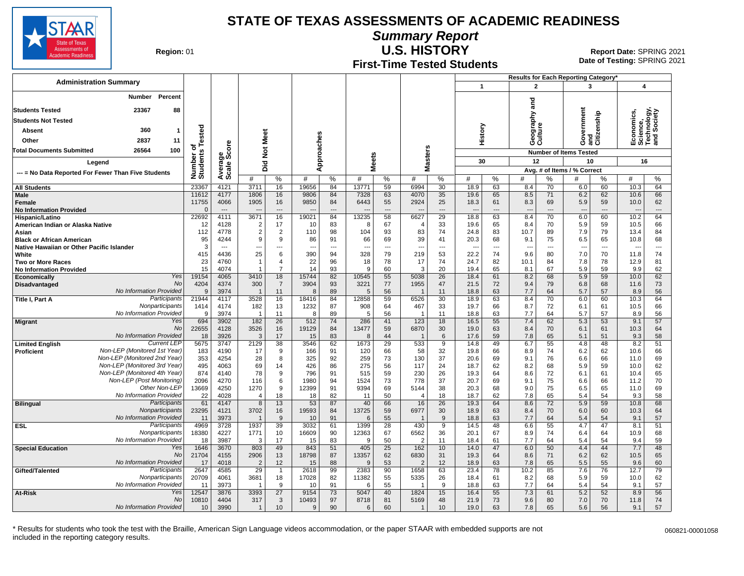

**Summary Report**

ssessments of demic Readine

**Region: 01** 

# **First-Time Tested Students**

**U.S. HISTORY** 01 **Report Date:** SPRING 2021 **Date of Testing:**  SPRING 2021

|                                                     |                                                    |              |                          |                                  |                     |                     |               |                          |              |                |                          |                      |                        |                      | Results for Each Reporting Category* |                                |                                  |                               |                                                      |                          |
|-----------------------------------------------------|----------------------------------------------------|--------------|--------------------------|----------------------------------|---------------------|---------------------|---------------|--------------------------|--------------|----------------|--------------------------|----------------------|------------------------|----------------------|--------------------------------------|--------------------------------|----------------------------------|-------------------------------|------------------------------------------------------|--------------------------|
| <b>Administration Summary</b>                       |                                                    |              |                          |                                  |                     |                     |               |                          |              |                |                          |                      | $\mathbf{1}$           |                      | $\mathbf{2}$                         |                                | 3                                |                               | $\overline{\mathbf{4}}$                              |                          |
| Number Percent                                      |                                                    |              |                          |                                  |                     |                     |               |                          |              |                |                          |                      |                        |                      |                                      |                                |                                  |                               |                                                      |                          |
| <b>Students Tested</b>                              | 23367                                              | 88           |                          |                                  |                     |                     |               |                          |              |                |                          |                      |                        |                      | ត<br>ត                               |                                |                                  |                               |                                                      |                          |
| <b>Students Not Tested</b>                          |                                                    |              |                          |                                  |                     |                     |               |                          |              |                |                          |                      |                        |                      | ξ                                    |                                |                                  |                               | Economics,<br>Science,<br>Technology,<br>and Society |                          |
| <b>Absent</b>                                       | 360                                                | $\mathbf{1}$ |                          |                                  |                     |                     |               |                          |              |                |                          |                      |                        |                      | ga<br>Sig                            |                                | Government                       | and<br>Citizenship            |                                                      |                          |
|                                                     | 2837                                               |              | ested                    |                                  |                     |                     |               |                          |              |                |                          |                      | History                |                      | es<br>es                             |                                |                                  |                               |                                                      |                          |
| Other                                               |                                                    | 11           |                          |                                  |                     |                     |               |                          |              |                | S                        |                      |                        |                      |                                      |                                |                                  |                               |                                                      |                          |
| <b>Total Documents Submitted</b>                    | 26564                                              | 100          |                          |                                  |                     | Did Not Meet        |               | Approaches               |              | <b>Meets</b>   |                          | laster:              |                        |                      |                                      |                                |                                  | <b>Number of Items Tested</b> |                                                      |                          |
| Legend                                              |                                                    |              |                          |                                  |                     |                     |               |                          |              |                |                          |                      | 30                     |                      | 12                                   |                                | 10                               |                               | 16                                                   |                          |
| --- = No Data Reported For Fewer Than Five Students |                                                    |              | Number of<br>Students Te | Average<br>Scale Score           | #                   | $\%$                | #             | %                        | #            | %              | Σ<br>#                   | %                    | #                      | %                    | #                                    | %                              | Avg. # of Items / % Correct<br># | %                             | #                                                    | %                        |
| <b>All Students</b>                                 |                                                    |              | 23367                    | 4121                             | 3711                | 16                  | 19656         | 84                       | 13771        | 59             | 6994                     | 30                   | 18.9                   | 63                   | 8.4                                  | 70                             | 6.0                              | 60                            | 10.3                                                 | 64                       |
| Male                                                |                                                    |              | 11612                    | 4177                             | 1806                | 16                  | 9806          | 84                       | 7328         | 63             | 4070                     | 35                   | 19.6                   | 65                   | 8.5                                  | 71                             | 6.2                              | 62                            | 10.6                                                 | 66                       |
| <b>Female</b>                                       |                                                    |              | 11755<br>$\Omega$        | 4066<br>$\hspace{0.05cm} \ldots$ | 1905                | 16<br>---           | 9850          | 84<br>$\cdots$           | 6443         | 55<br>---      | 2924                     | 25<br>---            | 18.3<br>$\overline{a}$ | 61<br>$\overline{a}$ | 8.3<br>$\overline{\phantom{a}}$      | 69<br>$\overline{\phantom{a}}$ | 5.9<br>$\overline{\phantom{a}}$  | 59<br>$---$                   | 10.0                                                 | 62<br>---                |
| <b>No Information Provided</b><br>Hispanic/Latino   |                                                    |              | 22692                    | 4111                             | 3671                | 16                  | 19021         | 84                       | 13235        | 58             | 6627                     | 29                   | 18.8                   | 63                   | 8.4                                  | 70                             | 6.0                              | 60                            | 10.2                                                 | 64                       |
| American Indian or Alaska Native                    |                                                    |              | 12                       | 4128                             | $\overline{2}$      | 17                  | 10            | 83                       | 8            | 67             | $\overline{4}$           | 33                   | 19.6                   | 65                   | 8.4                                  | 70                             | 5.9                              | 59                            | 10.5                                                 | 66                       |
| Asian                                               |                                                    |              | 112                      | 4778                             | $\overline{2}$      | 2                   | 110           | 98                       | 104          | 93             | 83                       | 74                   | 24.8                   | 83                   | 10.7                                 | 89                             | 7.9                              | 79                            | 13.4                                                 | 84                       |
| <b>Black or African American</b>                    |                                                    |              | 95                       | 4244                             | 9                   | 9                   | 86            | 91                       | 66           | 69             | 39                       | 41                   | 20.3                   | 68                   | 9.1                                  | 75                             | 6.5                              | 65                            | 10.8                                                 | 68                       |
| Native Hawaiian or Other Pacific Islander           |                                                    |              | 3                        | $---$                            | ---                 | ---                 | ---           | $\overline{\phantom{a}}$ | ---          | $\overline{a}$ | ---                      | ---                  | ---                    | $\overline{a}$       | $\overline{\phantom{a}}$             | $\overline{a}$                 | $\overline{a}$                   | $\overline{a}$                | $\sim$                                               | $\overline{\phantom{a}}$ |
| White<br><b>Two or More Races</b>                   |                                                    |              | 415<br>23                | 4436<br>4760                     | 25<br>-1            | 6<br>$\overline{4}$ | 390<br>22     | 94<br>96                 | 328<br>18    | 79<br>78       | 219<br>17                | 53<br>74             | 22.2<br>24.7           | 74<br>82             | 9.6<br>10.1                          | 80<br>84                       | 7.0<br>7.8                       | 70<br>78                      | 11.8<br>12.9                                         | 74<br>81                 |
| <b>No Information Provided</b>                      |                                                    |              | 15                       | 4074                             |                     | $\overline{7}$      | 14            | 93                       | 9            | 60             | 3                        | 20                   | 19.4                   | 65                   | 8.1                                  | 67                             | 5.9                              | 59                            | 9.9                                                  | 62                       |
| <b>Economically</b>                                 |                                                    | Yes          | 19154                    | 4065                             | 3410                | 18                  | 15744         | 82                       | 10545        | 55             | 5038                     | 26                   | 18.4                   | 61                   | 8.2                                  | 68                             | 5.9                              | 59                            | 10.0                                                 | 62                       |
| Disadvantaged                                       |                                                    | No           | 4204                     | 4374                             | 300                 | $\overline{7}$      | 3904          | 93                       | 3221         | 77             | 1955                     | 47                   | 21.5                   | 72                   | 9.4                                  | 79                             | 6.8                              | 68                            | 11.6                                                 | 73                       |
|                                                     | No Information Provided                            |              | 9                        | 3974                             | $\overline{1}$      | 11                  | 8             | 89                       | 5            | 56             | -1                       | 11                   | 18.8                   | 63                   | 7.7                                  | 64                             | 5.7                              | 57                            | 8.9                                                  | 56                       |
| Title I, Part A                                     | Participants<br>Nonparticipants                    |              | 21944<br>1414            | 4117<br>4174                     | 3528<br>182         | 16<br>13            | 18416<br>1232 | 84<br>87                 | 12858<br>908 | 59<br>64       | 6526<br>467              | 30<br>33             | 18.9<br>19.7           | 63<br>66             | 8.4<br>8.7                           | 70<br>72                       | 6.0<br>6.1                       | 60<br>61                      | 10.3<br>10.5                                         | 64<br>66                 |
|                                                     | No Information Provided                            |              | 9                        | 3974                             | $\overline{1}$      | 11                  | 8             | 89                       | 5            | 56             | -1                       | 11                   | 18.8                   | 63                   | 7.7                                  | 64                             | 5.7                              | 57                            | 8.9                                                  | 56                       |
| <b>Migrant</b>                                      |                                                    | Yes          | 694                      | 3902                             | 182                 | 26                  | 512           | 74                       | 286          | 41             | 123                      | 18                   | 16.5                   | 55                   | 7.4                                  | 62                             | 5.3                              | 53                            | 9.1                                                  | 57                       |
|                                                     |                                                    | No           | 22655                    | 4128                             | 3526                | 16                  | 19129         | 84                       | 13477        | 59             | 6870                     | 30                   | 19.0                   | 63                   | 8.4                                  | 70                             | 6.1                              | 61                            | 10.3                                                 | 64                       |
|                                                     | No Information Provided                            |              | 18                       | 3926                             | 3                   | 17                  | 15            | 83                       | 8            | 44             | -1                       | $6\phantom{1}6$      | 17.6                   | 59                   | 7.8                                  | 65                             | 5.1                              | 51                            | 9.3                                                  | 58                       |
| <b>Limited English</b><br><b>Proficient</b>         | <b>Current LEP</b><br>Non-LEP (Monitored 1st Year) |              | 5675<br>183              | 3747<br>4190                     | 2129<br>17          | 38<br>9             | 3546<br>166   | 62<br>91                 | 1673<br>120  | 29<br>66       | 533<br>58                | $\overline{9}$<br>32 | 14.8<br>19.8           | 49<br>66             | 6.7<br>8.9                           | 55<br>74                       | 4.8<br>6.2                       | 48<br>62                      | 8.2<br>10.6                                          | 51<br>66                 |
|                                                     | Non-LEP (Monitored 2nd Year)                       |              | 353                      | 4254                             | 28                  | 8                   | 325           | 92                       | 259          | 73             | 130                      | 37                   | 20.6                   | 69                   | 9.1                                  | 76                             | 6.6                              | 66                            | 11.0                                                 | 69                       |
|                                                     | Non-LEP (Monitored 3rd Year)                       |              | 495                      | 4063                             | 69                  | 14                  | 426           | 86                       | 275          | 56             | 117                      | 24                   | 18.7                   | 62                   | 8.2                                  | 68                             | 5.9                              | 59                            | 10.0                                                 | 62                       |
|                                                     | Non-LEP (Monitored 4th Year)                       |              | 874                      | 4140                             | 78                  | 9                   | 796           | 91                       | 515          | 59             | 230                      | 26                   | 19.3                   | 64                   | 8.6                                  | 72                             | 6.1                              | 61                            | 10.4                                                 | 65                       |
|                                                     | Non-LEP (Post Monitoring)                          |              | 2096                     | 4270                             | 116                 | 6                   | 1980          | 94                       | 1524         | 73             | 778                      | 37                   | 20.7                   | 69                   | 9.1                                  | 75                             | 6.6                              | 66                            | 11.2                                                 | 70                       |
|                                                     | Other Non-LEP<br>No Information Provided           |              | 13669                    | 4250                             | 1270                | 9                   | 12399         | 91                       | 9394         | 69             | 5144                     | 38                   | 20.3                   | 68                   | 9.0                                  | 75                             | 6.5                              | 65                            | 11.0                                                 | 69                       |
| <b>Bilingual</b>                                    | Participants                                       |              | 22<br>61                 | 4028<br>4147                     | $\overline{4}$<br>8 | 18<br>13            | 18<br>53      | 82<br>87                 | 11<br>40     | 50<br>66       | $\overline{4}$<br>16     | 18<br>26             | 18.7<br>19.3           | 62<br>64             | 7.8<br>8.6                           | 65<br>72                       | 5.4<br>5.9                       | 54<br>59                      | 9.3<br>10.8                                          | 58<br>68                 |
|                                                     | Nonparticipants                                    |              | 23295                    | 4121                             | 3702                | 16                  | 19593         | 84                       | 13725        | 59             | 6977                     | 30                   | 18.9                   | 63                   | 8.4                                  | 70                             | 6.0                              | 60                            | 10.3                                                 | 64                       |
|                                                     | No Information Provided                            |              | 11                       | 3973                             |                     | 9                   | 10            | 91                       | 6            | 55             | $\overline{\phantom{a}}$ | 9                    | 18.8                   | 63                   | 7.7                                  | 64                             | 5.4                              | 54                            | 9.1                                                  | 57                       |
| <b>ESL</b>                                          | Participants                                       |              | 4969                     | 3728                             | 1937                | 39                  | 3032          | 61                       | 1399         | 28             | 430                      | $\overline{9}$       | 14.5                   | 48                   | 6.6                                  | 55                             | 4.7                              | 47                            | 8.1                                                  | 51                       |
|                                                     | Nonparticipants                                    |              | 18380                    | 4227                             | 1771                | 10                  | 16609         | 90                       | 12363        | 67             | 6562                     | 36                   | 20.1                   | 67                   | 8.9                                  | 74                             | 6.4                              | 64                            | 10.9                                                 | 68                       |
| <b>Special Education</b>                            | No Information Provided                            | Yes          | 18<br>1646               | 3987<br>3670                     | 3<br>803            | 17<br>49            | 15<br>843     | 83<br>51                 | 9<br>405     | 50<br>25       | $\overline{2}$<br>162    | 11<br>10             | 18.4<br>14.0           | 61<br>47             | 7.7<br>6.0                           | 64<br>50                       | 5.4<br>4.4                       | 54<br>44                      | 9.4<br>7.7                                           | 59<br>48                 |
|                                                     |                                                    | <b>No</b>    | 21704                    | 4155                             | 2906                | 13                  | 18798         | 87                       | 13357        | 62             | 6830                     | 31                   | 19.3                   | 64                   | 8.6                                  | 71                             | 6.2                              | 62                            | 10.5                                                 | 65                       |
|                                                     | No Information Provided                            |              | 17                       | 4018                             | $\overline{2}$      | 12                  | 15            | 88                       | 9            | 53             | $\overline{2}$           | 12                   | 18.9                   | 63                   | 7.8                                  | 65                             | 5.5                              | 55                            | 9.6                                                  | 60                       |
| Gifted/Talented                                     | Participants                                       |              | 2647                     | 4585                             | 29                  | $\overline{1}$      | 2618          | 99                       | 2383         | 90             | 1658                     | 63                   | 23.4                   | 78                   | 10.2                                 | 85                             | 7.6                              | 76                            | 12.7                                                 | 79                       |
|                                                     | Nonparticipants                                    |              | 20709                    | 4061                             | 3681                | 18                  | 17028         | 82                       | 11382        | 55             | 5335                     | 26                   | 18.4                   | 61                   | 8.2                                  | 68                             | 5.9                              | 59                            | 10.0                                                 | 62                       |
|                                                     | No Information Provided                            | Yes          | 11                       | 3973                             | -1                  | 9                   | 10            | 91                       | 6            | 55             |                          | 9                    | 18.8                   | 63                   | 7.7                                  | 64                             | 5.4                              | 54                            | 9.1                                                  | 57                       |
| At-Risk                                             |                                                    | <b>No</b>    | 12547<br>10810           | 3876<br>4404                     | 3393<br>317         | 27<br>3             | 9154<br>10493 | 73<br>97                 | 5047<br>8718 | 40<br>81       | 1824<br>5169             | 15<br>48             | 16.4<br>21.9           | 55<br>73             | 7.3<br>9.6                           | 61<br>80                       | 5.2<br>7.0                       | 52<br>70                      | 8.9<br>11.8                                          | 56<br>74                 |
|                                                     | No Information Provided                            |              | 10                       | 3990                             | $\mathbf{1}$        | 10                  | 9             | 90                       | 6            | 60             |                          | 10                   | 19.0                   | 63                   | 7.8                                  | 65                             | 5.6                              | 56                            | 9.1                                                  | 57                       |